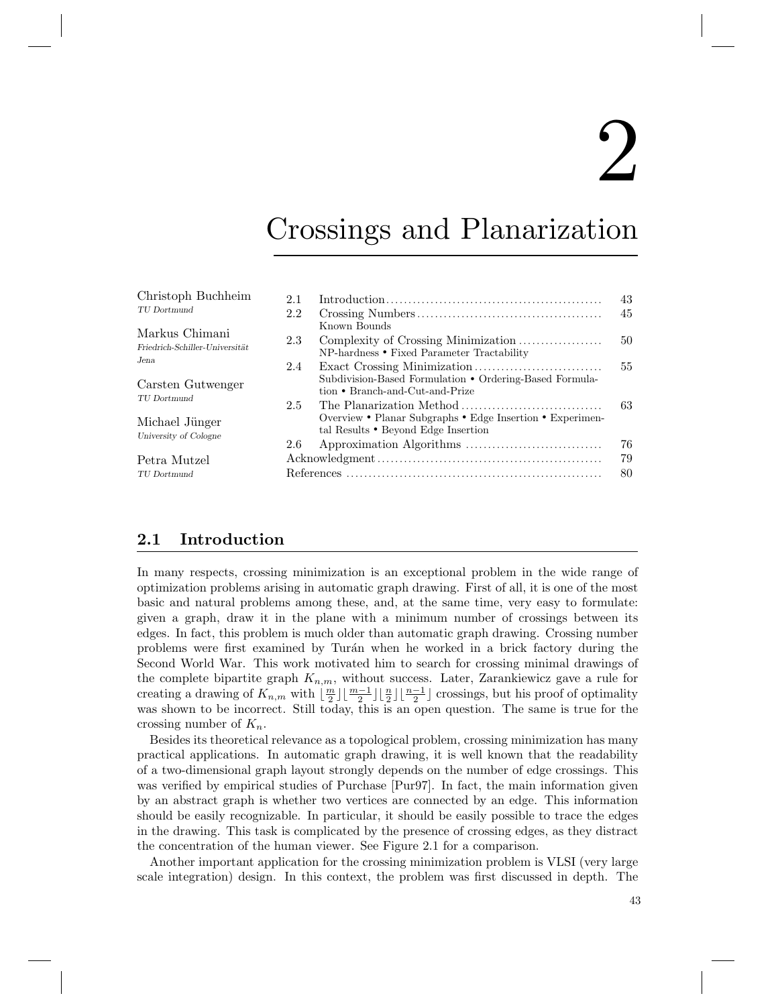# <u>(</u>

## Crossings and Planarization

| Christoph Buchheim                               | 2.1 |                                                                                                   | 43 |
|--------------------------------------------------|-----|---------------------------------------------------------------------------------------------------|----|
| TU Dortmund                                      | 2.2 |                                                                                                   | 45 |
| Markus Chimani<br>Friedrich-Schiller-Universität | 2.3 | Known Bounds<br>Complexity of Crossing Minimization<br>NP-hardness • Fixed Parameter Tractability | 50 |
| Jena                                             | 2.4 |                                                                                                   | 55 |
| Carsten Gutwenger<br>TU Dortmund                 |     | Subdivision-Based Formulation • Ordering-Based Formula-<br>tion • Branch-and-Cut-and-Prize        |    |
|                                                  | 2.5 |                                                                                                   | 63 |
| Michael Jünger<br>University of Cologne          |     | Overview • Planar Subgraphs • Edge Insertion • Experimen-<br>tal Results • Beyond Edge Insertion  |    |
|                                                  | 2.6 |                                                                                                   | 76 |
| Petra Mutzel                                     |     |                                                                                                   | 79 |
| TU Dortmund                                      |     |                                                                                                   | 80 |

#### 2.1 Introduction

In many respects, crossing minimization is an exceptional problem in the wide range of optimization problems arising in automatic graph drawing. First of all, it is one of the most basic and natural problems among these, and, at the same time, very easy to formulate: given a graph, draw it in the plane with a minimum number of crossings between its edges. In fact, this problem is much older than automatic graph drawing. Crossing number problems were first examined by Tur´an when he worked in a brick factory during the Second World War. This work motivated him to search for crossing minimal drawings of the complete bipartite graph  $K_{n,m}$ , without success. Later, Zarankiewicz gave a rule for creating a drawing of  $K_{n,m}$  with  $\lfloor \frac{m}{2} \rfloor \lfloor \frac{m-1}{2} \rfloor \lfloor \frac{n}{2} \rfloor \lfloor \frac{n-1}{2} \rfloor$  crossings, but his proof of optimality was shown to be incorrect. Still today, this is an open question. The same is true for the crossing number of  $K_n$ .

Besides its theoretical relevance as a topological problem, crossing minimization has many practical applications. In automatic graph drawing, it is well known that the readability of a two-dimensional graph layout strongly depends on the number of edge crossings. This was verified by empirical studies of Purchase [Pur97]. In fact, the main information given by an abstract graph is whether two vertices are connected by an edge. This information should be easily recognizable. In particular, it should be easily possible to trace the edges in the drawing. This task is complicated by the presence of crossing edges, as they distract the concentration of the human viewer. See Figure 2.1 for a comparison.

Another important application for the crossing minimization problem is VLSI (very large scale integration) design. In this context, the problem was first discussed in depth. The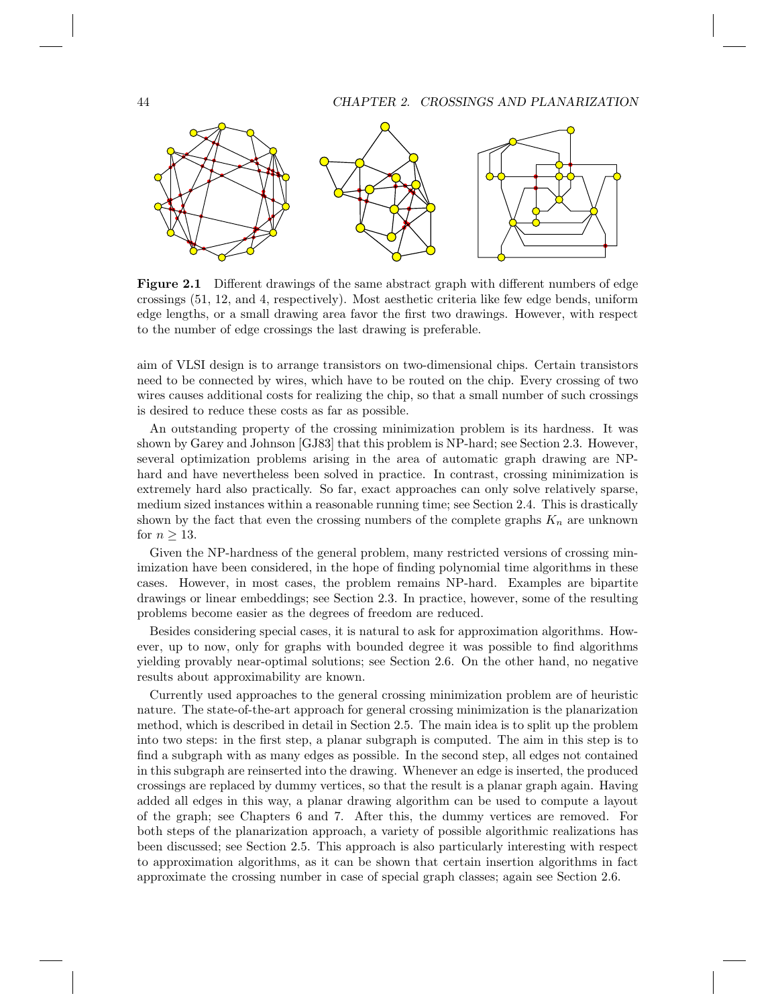

Figure 2.1 Different drawings of the same abstract graph with different numbers of edge crossings (51, 12, and 4, respectively). Most aesthetic criteria like few edge bends, uniform edge lengths, or a small drawing area favor the first two drawings. However, with respect to the number of edge crossings the last drawing is preferable.

aim of VLSI design is to arrange transistors on two-dimensional chips. Certain transistors need to be connected by wires, which have to be routed on the chip. Every crossing of two wires causes additional costs for realizing the chip, so that a small number of such crossings is desired to reduce these costs as far as possible.

An outstanding property of the crossing minimization problem is its hardness. It was shown by Garey and Johnson [GJ83] that this problem is NP-hard; see Section 2.3. However, several optimization problems arising in the area of automatic graph drawing are NPhard and have nevertheless been solved in practice. In contrast, crossing minimization is extremely hard also practically. So far, exact approaches can only solve relatively sparse, medium sized instances within a reasonable running time; see Section 2.4. This is drastically shown by the fact that even the crossing numbers of the complete graphs  $K_n$  are unknown for  $n \geq 13$ .

Given the NP-hardness of the general problem, many restricted versions of crossing minimization have been considered, in the hope of finding polynomial time algorithms in these cases. However, in most cases, the problem remains NP-hard. Examples are bipartite drawings or linear embeddings; see Section 2.3. In practice, however, some of the resulting problems become easier as the degrees of freedom are reduced.

Besides considering special cases, it is natural to ask for approximation algorithms. However, up to now, only for graphs with bounded degree it was possible to find algorithms yielding provably near-optimal solutions; see Section 2.6. On the other hand, no negative results about approximability are known.

Currently used approaches to the general crossing minimization problem are of heuristic nature. The state-of-the-art approach for general crossing minimization is the planarization method, which is described in detail in Section 2.5. The main idea is to split up the problem into two steps: in the first step, a planar subgraph is computed. The aim in this step is to find a subgraph with as many edges as possible. In the second step, all edges not contained in this subgraph are reinserted into the drawing. Whenever an edge is inserted, the produced crossings are replaced by dummy vertices, so that the result is a planar graph again. Having added all edges in this way, a planar drawing algorithm can be used to compute a layout of the graph; see Chapters 6 and 7. After this, the dummy vertices are removed. For both steps of the planarization approach, a variety of possible algorithmic realizations has been discussed; see Section 2.5. This approach is also particularly interesting with respect to approximation algorithms, as it can be shown that certain insertion algorithms in fact approximate the crossing number in case of special graph classes; again see Section 2.6.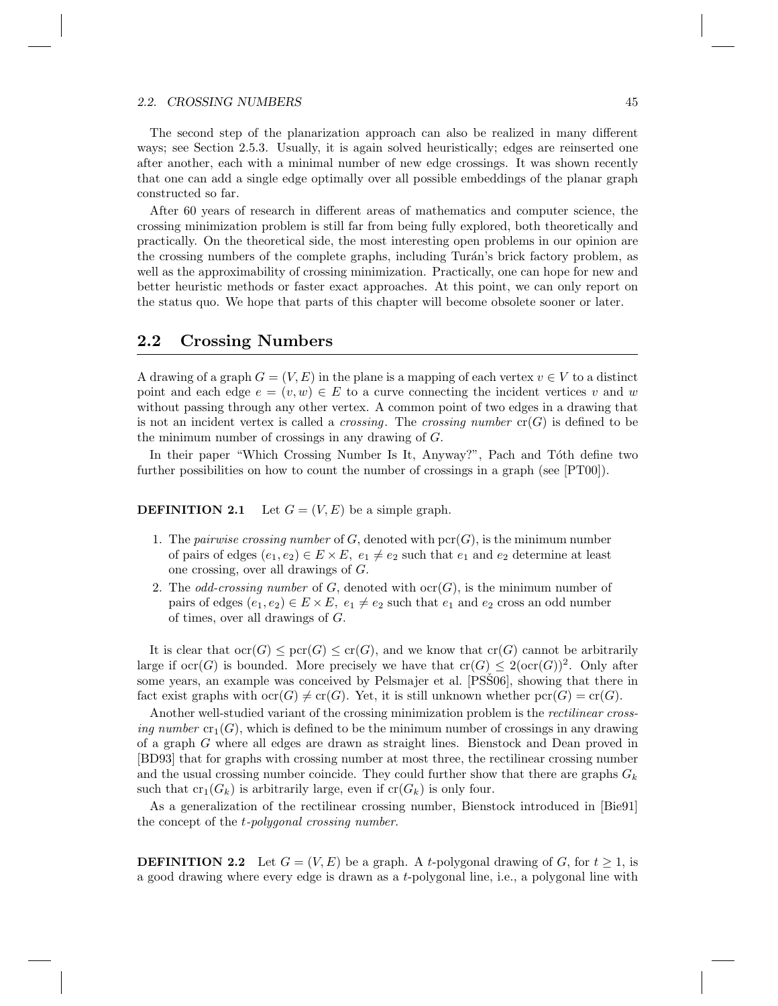#### 2.2. CROSSING NUMBERS 45

The second step of the planarization approach can also be realized in many different ways; see Section 2.5.3. Usually, it is again solved heuristically; edges are reinserted one after another, each with a minimal number of new edge crossings. It was shown recently that one can add a single edge optimally over all possible embeddings of the planar graph constructed so far.

After 60 years of research in different areas of mathematics and computer science, the crossing minimization problem is still far from being fully explored, both theoretically and practically. On the theoretical side, the most interesting open problems in our opinion are the crossing numbers of the complete graphs, including Turán's brick factory problem, as well as the approximability of crossing minimization. Practically, one can hope for new and better heuristic methods or faster exact approaches. At this point, we can only report on the status quo. We hope that parts of this chapter will become obsolete sooner or later.

#### 2.2 Crossing Numbers

A drawing of a graph  $G = (V, E)$  in the plane is a mapping of each vertex  $v \in V$  to a distinct point and each edge  $e = (v, w) \in E$  to a curve connecting the incident vertices v and w without passing through any other vertex. A common point of two edges in a drawing that is not an incident vertex is called a *crossing*. The *crossing number*  $cr(G)$  is defined to be the minimum number of crossings in any drawing of G.

In their paper "Which Crossing Number Is It, Anyway?", Pach and Tóth define two further possibilities on how to count the number of crossings in a graph (see [PT00]).

#### **DEFINITION 2.1** Let  $G = (V, E)$  be a simple graph.

- 1. The pairwise crossing number of G, denoted with  $\text{per}(G)$ , is the minimum number of pairs of edges  $(e_1, e_2) \in E \times E$ ,  $e_1 \neq e_2$  such that  $e_1$  and  $e_2$  determine at least one crossing, over all drawings of G.
- 2. The *odd-crossing number* of G, denoted with  $\mathrm{ocr}(G)$ , is the minimum number of pairs of edges  $(e_1, e_2) \in E \times E$ ,  $e_1 \neq e_2$  such that  $e_1$  and  $e_2$  cross an odd number of times, over all drawings of G.

It is clear that  $\mathrm{ocr}(G) \leq \mathrm{per}(G) \leq \mathrm{cr}(G)$ , and we know that  $\mathrm{cr}(G)$  cannot be arbitrarily large if  $\mathrm{ocr}(G)$  is bounded. More precisely we have that  $\mathrm{cr}(G) \leq 2(\mathrm{ocr}(G))^2$ . Only after some years, an example was conceived by Pelsmajer et al. [PSS06], showing that there in fact exist graphs with  $\mathrm{ocr}(G) \neq \mathrm{cr}(G)$ . Yet, it is still unknown whether  $\mathrm{per}(G) = \mathrm{cr}(G)$ .

Another well-studied variant of the crossing minimization problem is the rectilinear crossing number  $cr_1(G)$ , which is defined to be the minimum number of crossings in any drawing of a graph G where all edges are drawn as straight lines. Bienstock and Dean proved in [BD93] that for graphs with crossing number at most three, the rectilinear crossing number and the usual crossing number coincide. They could further show that there are graphs  $G_k$ such that  $cr_1(G_k)$  is arbitrarily large, even if  $cr(G_k)$  is only four.

As a generalization of the rectilinear crossing number, Bienstock introduced in [Bie91] the concept of the t-polygonal crossing number.

**DEFINITION 2.2** Let  $G = (V, E)$  be a graph. A t-polygonal drawing of G, for  $t > 1$ , is a good drawing where every edge is drawn as a t-polygonal line, i.e., a polygonal line with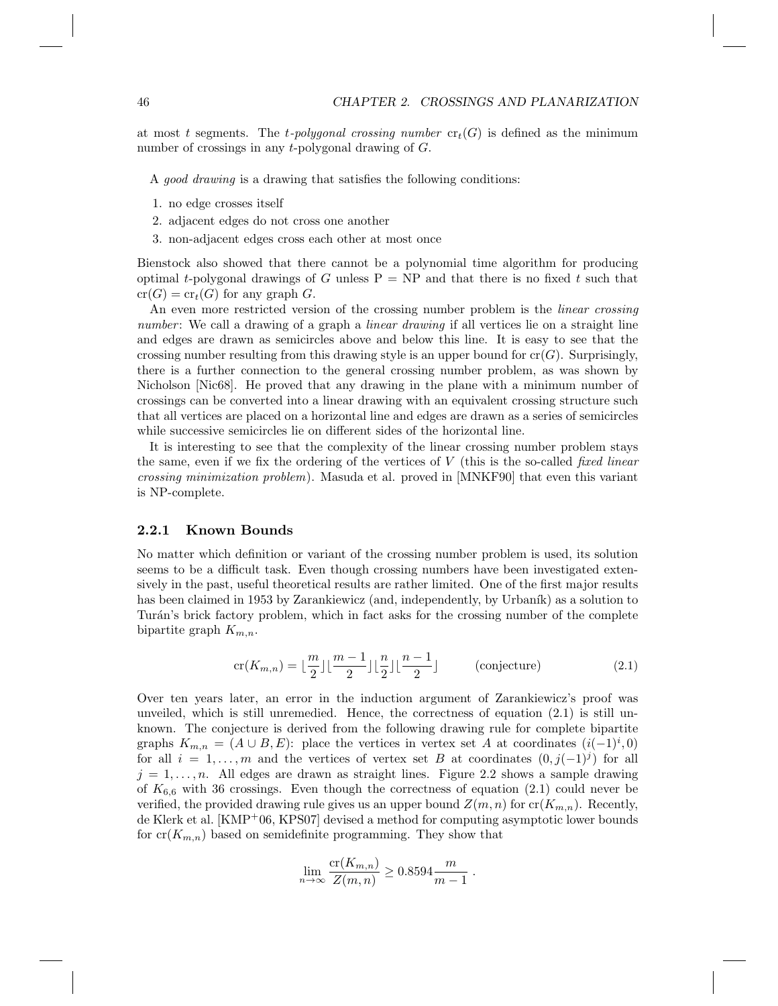at most t segments. The t-polygonal crossing number  $cr_t(G)$  is defined as the minimum number of crossings in any t-polygonal drawing of G.

A good drawing is a drawing that satisfies the following conditions:

- 1. no edge crosses itself
- 2. adjacent edges do not cross one another
- 3. non-adjacent edges cross each other at most once

Bienstock also showed that there cannot be a polynomial time algorithm for producing optimal t-polygonal drawings of G unless  $P = NP$  and that there is no fixed t such that  $cr(G) = cr<sub>t</sub>(G)$  for any graph G.

An even more restricted version of the crossing number problem is the *linear crossing* number: We call a drawing of a graph a *linear drawing* if all vertices lie on a straight line and edges are drawn as semicircles above and below this line. It is easy to see that the crossing number resulting from this drawing style is an upper bound for  $cr(G)$ . Surprisingly, there is a further connection to the general crossing number problem, as was shown by Nicholson [Nic68]. He proved that any drawing in the plane with a minimum number of crossings can be converted into a linear drawing with an equivalent crossing structure such that all vertices are placed on a horizontal line and edges are drawn as a series of semicircles while successive semicircles lie on different sides of the horizontal line.

It is interesting to see that the complexity of the linear crossing number problem stays the same, even if we fix the ordering of the vertices of  $V$  (this is the so-called *fixed linear* crossing minimization problem). Masuda et al. proved in [MNKF90] that even this variant is NP-complete.

#### 2.2.1 Known Bounds

No matter which definition or variant of the crossing number problem is used, its solution seems to be a difficult task. Even though crossing numbers have been investigated extensively in the past, useful theoretical results are rather limited. One of the first major results has been claimed in 1953 by Zarankiewicz (and, independently, by Urbaník) as a solution to Turán's brick factory problem, which in fact asks for the crossing number of the complete bipartite graph  $K_{m,n}$ .

$$
\operatorname{cr}(K_{m,n}) = \lfloor \frac{m}{2} \rfloor \lfloor \frac{m-1}{2} \rfloor \lfloor \frac{n}{2} \rfloor \lfloor \frac{n-1}{2} \rfloor \qquad \text{(conjecture)} \tag{2.1}
$$

Over ten years later, an error in the induction argument of Zarankiewicz's proof was unveiled, which is still unremedied. Hence, the correctness of equation (2.1) is still unknown. The conjecture is derived from the following drawing rule for complete bipartite graphs  $K_{m,n} = (A \cup B, E)$ : place the vertices in vertex set A at coordinates  $(i(-1)^i, 0)$ for all  $i = 1, \ldots, m$  and the vertices of vertex set B at coordinates  $(0, j(-1)^j)$  for all  $j = 1, \ldots, n$ . All edges are drawn as straight lines. Figure 2.2 shows a sample drawing of  $K_{6,6}$  with 36 crossings. Even though the correctness of equation (2.1) could never be verified, the provided drawing rule gives us an upper bound  $Z(m, n)$  for  $\mathrm{cr}(K_{m,n})$ . Recently, de Klerk et al. [KMP+06, KPS07] devised a method for computing asymptotic lower bounds for  $\mathrm{cr}(K_{m,n})$  based on semidefinite programming. They show that

$$
\lim_{n \to \infty} \frac{\mathrm{cr}(K_{m,n})}{Z(m,n)} \ge 0.8594 \frac{m}{m-1} .
$$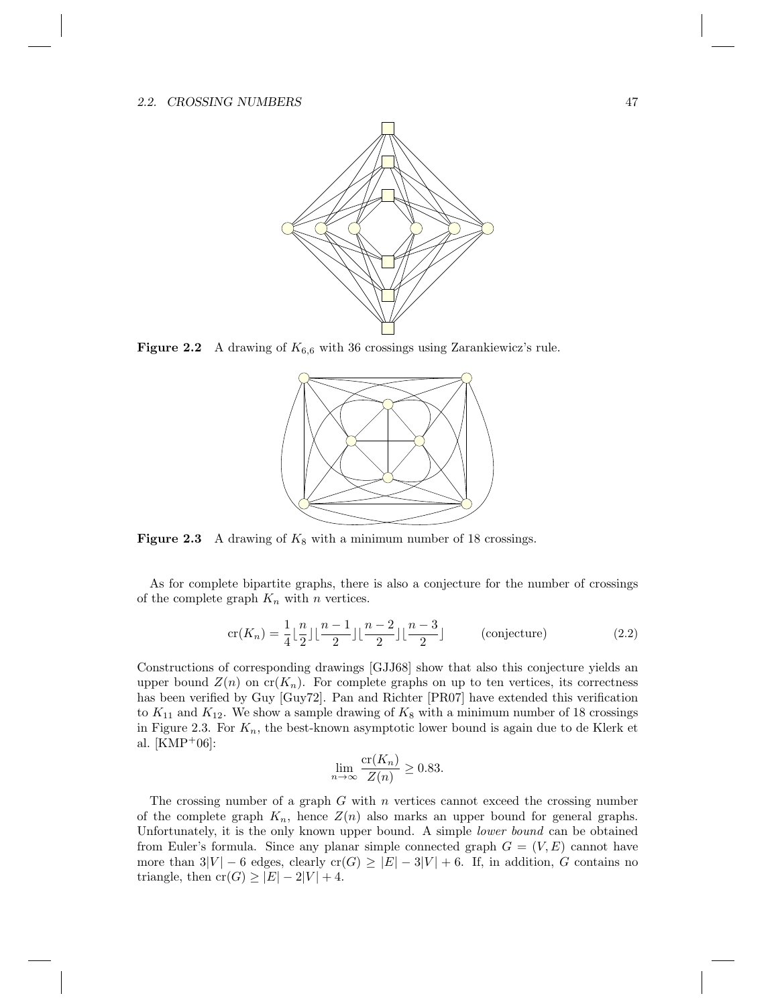#### 2.2. CROSSING NUMBERS 47



**Figure 2.2** A drawing of  $K_{6,6}$  with 36 crossings using Zarankiewicz's rule.



**Figure 2.3** A drawing of  $K_8$  with a minimum number of 18 crossings.

As for complete bipartite graphs, there is also a conjecture for the number of crossings of the complete graph  $K_n$  with n vertices.

$$
\operatorname{cr}(K_n) = \frac{1}{4} \lfloor \frac{n}{2} \rfloor \lfloor \frac{n-1}{2} \rfloor \lfloor \frac{n-2}{2} \rfloor \lfloor \frac{n-3}{2} \rfloor \qquad \text{(conjecture)} \tag{2.2}
$$

Constructions of corresponding drawings [GJJ68] show that also this conjecture yields an upper bound  $Z(n)$  on  $cr(K_n)$ . For complete graphs on up to ten vertices, its correctness has been verified by Guy [Guy72]. Pan and Richter [PR07] have extended this verification to  $K_{11}$  and  $K_{12}$ . We show a sample drawing of  $K_8$  with a minimum number of 18 crossings in Figure 2.3. For  $K_n$ , the best-known asymptotic lower bound is again due to de Klerk et al.  $[KMP<sup>+</sup>06]$ :

$$
\lim_{n \to \infty} \frac{\operatorname{cr}(K_n)}{Z(n)} \ge 0.83.
$$

The crossing number of a graph  $G$  with  $n$  vertices cannot exceed the crossing number of the complete graph  $K_n$ , hence  $Z(n)$  also marks an upper bound for general graphs. Unfortunately, it is the only known upper bound. A simple lower bound can be obtained from Euler's formula. Since any planar simple connected graph  $G = (V, E)$  cannot have more than  $3|V| - 6$  edges, clearly  $\text{cr}(G) \geq |E| - 3|V| + 6$ . If, in addition, G contains no triangle, then  $cr(G) \geq |E| - 2|V| + 4$ .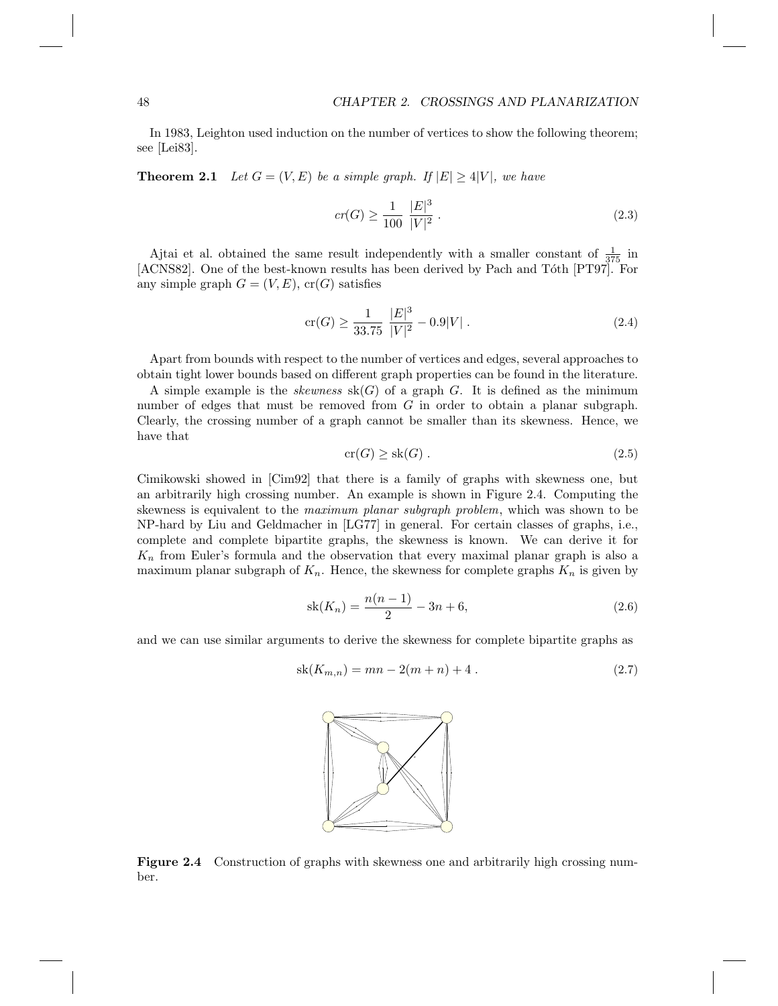In 1983, Leighton used induction on the number of vertices to show the following theorem; see [Lei83].

**Theorem 2.1** Let  $G = (V, E)$  be a simple graph. If  $|E| \ge 4|V|$ , we have

$$
cr(G) \ge \frac{1}{100} \frac{|E|^3}{|V|^2} \,. \tag{2.3}
$$

Ajtai et al. obtained the same result independently with a smaller constant of  $\frac{1}{375}$  in [ACNS82]. One of the best-known results has been derived by Pach and Tóth [PT97]. For any simple graph  $G = (V, E)$ ,  $cr(G)$  satisfies

$$
\operatorname{cr}(G) \ge \frac{1}{33.75} \frac{|E|^3}{|V|^2} - 0.9|V| \,. \tag{2.4}
$$

Apart from bounds with respect to the number of vertices and edges, several approaches to obtain tight lower bounds based on different graph properties can be found in the literature.

A simple example is the *skewness*  $sk(G)$  of a graph G. It is defined as the minimum number of edges that must be removed from G in order to obtain a planar subgraph. Clearly, the crossing number of a graph cannot be smaller than its skewness. Hence, we have that

$$
\operatorname{cr}(G) \ge \operatorname{sk}(G) \tag{2.5}
$$

Cimikowski showed in [Cim92] that there is a family of graphs with skewness one, but an arbitrarily high crossing number. An example is shown in Figure 2.4. Computing the skewness is equivalent to the maximum planar subgraph problem, which was shown to be NP-hard by Liu and Geldmacher in [LG77] in general. For certain classes of graphs, i.e., complete and complete bipartite graphs, the skewness is known. We can derive it for  $K_n$  from Euler's formula and the observation that every maximal planar graph is also a maximum planar subgraph of  $K_n$ . Hence, the skewness for complete graphs  $K_n$  is given by

$$
sk(K_n) = \frac{n(n-1)}{2} - 3n + 6,\tag{2.6}
$$

and we can use similar arguments to derive the skewness for complete bipartite graphs as

$$
sk(K_{m,n}) = mn - 2(m+n) + 4.
$$
 (2.7)



Figure 2.4 Construction of graphs with skewness one and arbitrarily high crossing number.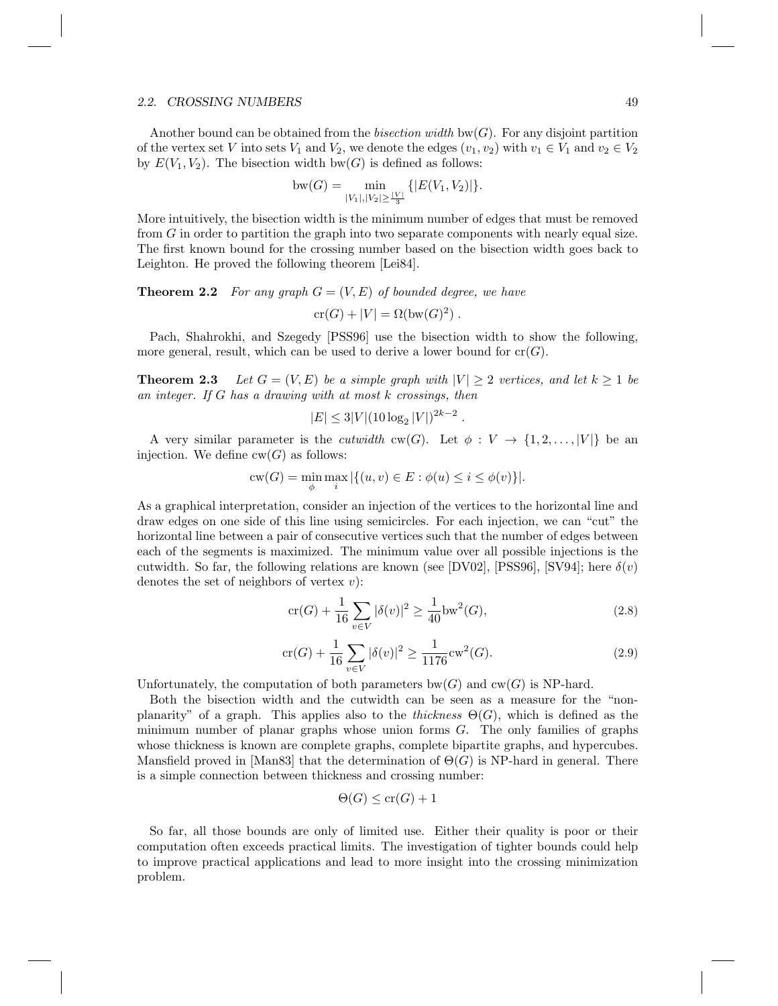#### 2.2. CROSSING NUMBERS 49

Another bound can be obtained from the *bisection width* bw( $G$ ). For any disjoint partition of the vertex set V into sets  $V_1$  and  $V_2$ , we denote the edges  $(v_1, v_2)$  with  $v_1 \in V_1$  and  $v_2 \in V_2$ by  $E(V_1, V_2)$ . The bisection width bw(G) is defined as follows:

bw(G) = 
$$
\min_{|V_1|, |V_2| \ge \frac{|V|}{3}} \{|E(V_1, V_2)|\}.
$$

More intuitively, the bisection width is the minimum number of edges that must be removed from G in order to partition the graph into two separate components with nearly equal size. The first known bound for the crossing number based on the bisection width goes back to Leighton. He proved the following theorem [Lei84].

**Theorem 2.2** For any graph  $G = (V, E)$  of bounded degree, we have

 $cr(G) + |V| = \Omega(bw(G)^2)$ .

Pach, Shahrokhi, and Szegedy [PSS96] use the bisection width to show the following, more general, result, which can be used to derive a lower bound for  $cr(G)$ .

**Theorem 2.3** Let  $G = (V, E)$  be a simple graph with  $|V| \ge 2$  vertices, and let  $k \ge 1$  be an integer. If G has a drawing with at most k crossings, then

$$
|E| \le 3|V|(10\log_2|V|)^{2k-2}
$$

A very similar parameter is the *cutwidth* cw(G). Let  $\phi: V \to \{1, 2, ..., |V|\}$  be an injection. We define  $cw(G)$  as follows:

$$
cw(G) = \min_{\phi} \max_{i} |\{(u, v) \in E : \phi(u) \le i \le \phi(v)\}|.
$$

As a graphical interpretation, consider an injection of the vertices to the horizontal line and draw edges on one side of this line using semicircles. For each injection, we can "cut" the horizontal line between a pair of consecutive vertices such that the number of edges between each of the segments is maximized. The minimum value over all possible injections is the cutwidth. So far, the following relations are known (see [DV02], [PSS96], [SV94]; here  $\delta(v)$ denotes the set of neighbors of vertex  $v$ :

$$
\operatorname{cr}(G) + \frac{1}{16} \sum_{v \in V} |\delta(v)|^2 \ge \frac{1}{40} \text{bw}^2(G),\tag{2.8}
$$

.

$$
\operatorname{cr}(G) + \frac{1}{16} \sum_{v \in V} |\delta(v)|^2 \ge \frac{1}{1176} \operatorname{cw}^2(G). \tag{2.9}
$$

Unfortunately, the computation of both parameters bw(G) and  $cw(G)$  is NP-hard.

Both the bisection width and the cutwidth can be seen as a measure for the "nonplanarity" of a graph. This applies also to the *thickness*  $\Theta(G)$ , which is defined as the minimum number of planar graphs whose union forms G. The only families of graphs whose thickness is known are complete graphs, complete bipartite graphs, and hypercubes. Mansfield proved in [Man83] that the determination of  $\Theta(G)$  is NP-hard in general. There is a simple connection between thickness and crossing number:

$$
\Theta(G) \le \text{cr}(G) + 1
$$

So far, all those bounds are only of limited use. Either their quality is poor or their computation often exceeds practical limits. The investigation of tighter bounds could help to improve practical applications and lead to more insight into the crossing minimization problem.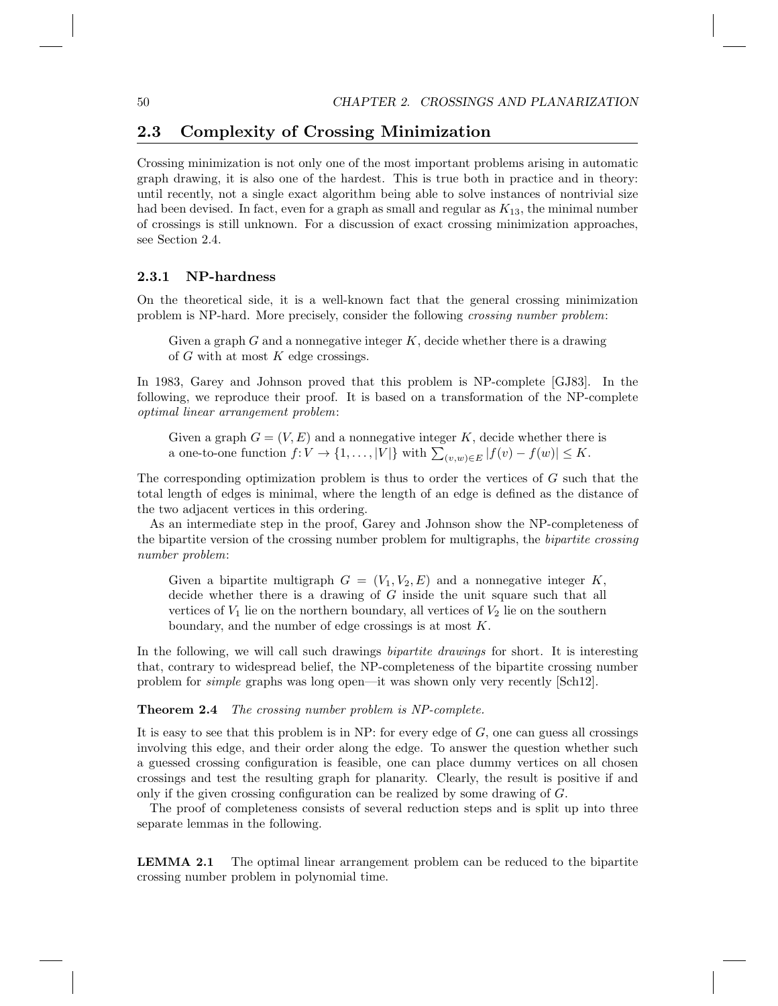#### 2.3 Complexity of Crossing Minimization

Crossing minimization is not only one of the most important problems arising in automatic graph drawing, it is also one of the hardest. This is true both in practice and in theory: until recently, not a single exact algorithm being able to solve instances of nontrivial size had been devised. In fact, even for a graph as small and regular as  $K_{13}$ , the minimal number of crossings is still unknown. For a discussion of exact crossing minimization approaches, see Section 2.4.

#### 2.3.1 NP-hardness

On the theoretical side, it is a well-known fact that the general crossing minimization problem is NP-hard. More precisely, consider the following crossing number problem:

Given a graph  $G$  and a nonnegative integer  $K$ , decide whether there is a drawing of  $G$  with at most  $K$  edge crossings.

In 1983, Garey and Johnson proved that this problem is NP-complete [GJ83]. In the following, we reproduce their proof. It is based on a transformation of the NP-complete optimal linear arrangement problem:

Given a graph  $G = (V, E)$  and a nonnegative integer K, decide whether there is a one-to-one function  $f: V \to \{1, \ldots, |V|\}$  with  $\sum_{(v,w)\in E} |f(v) - f(w)| \leq K$ .

The corresponding optimization problem is thus to order the vertices of  $G$  such that the total length of edges is minimal, where the length of an edge is defined as the distance of the two adjacent vertices in this ordering.

As an intermediate step in the proof, Garey and Johnson show the NP-completeness of the bipartite version of the crossing number problem for multigraphs, the *bipartite crossing* number problem:

Given a bipartite multigraph  $G = (V_1, V_2, E)$  and a nonnegative integer K, decide whether there is a drawing of  $G$  inside the unit square such that all vertices of  $V_1$  lie on the northern boundary, all vertices of  $V_2$  lie on the southern boundary, and the number of edge crossings is at most K.

In the following, we will call such drawings *bipartite drawings* for short. It is interesting that, contrary to widespread belief, the NP-completeness of the bipartite crossing number problem for simple graphs was long open—it was shown only very recently [Sch12].

#### Theorem 2.4 The crossing number problem is NP-complete.

It is easy to see that this problem is in  $NP$ : for every edge of  $G$ , one can guess all crossings involving this edge, and their order along the edge. To answer the question whether such a guessed crossing configuration is feasible, one can place dummy vertices on all chosen crossings and test the resulting graph for planarity. Clearly, the result is positive if and only if the given crossing configuration can be realized by some drawing of G.

The proof of completeness consists of several reduction steps and is split up into three separate lemmas in the following.

LEMMA 2.1 The optimal linear arrangement problem can be reduced to the bipartite crossing number problem in polynomial time.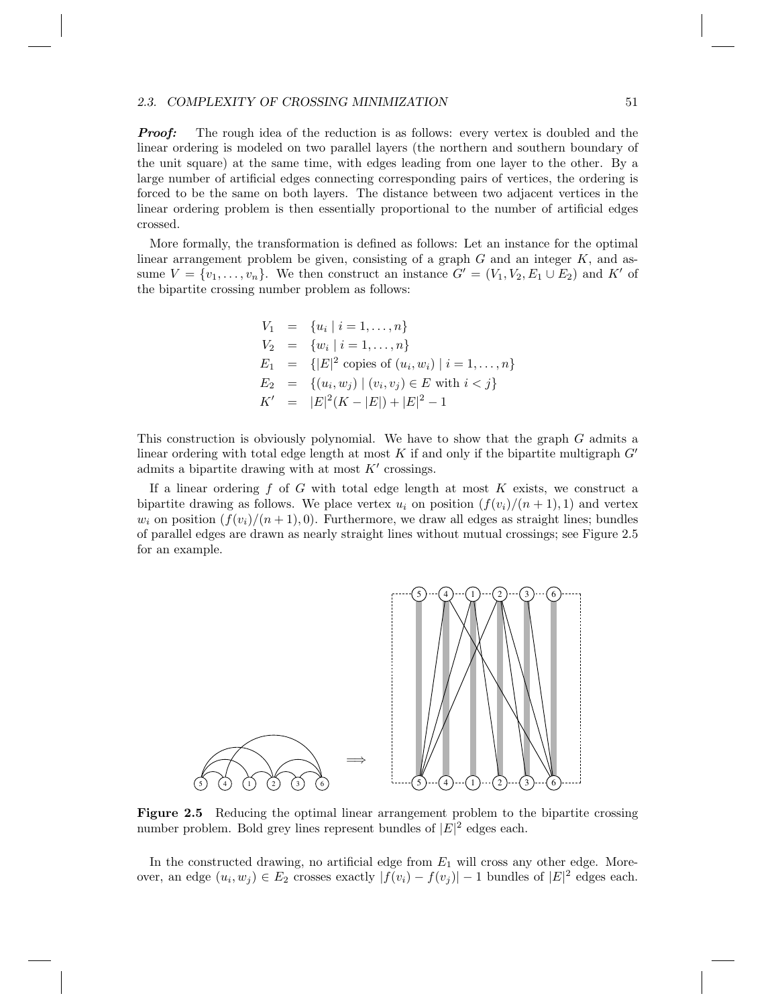#### 2.3. COMPLEXITY OF CROSSING MINIMIZATION 51

**Proof:** The rough idea of the reduction is as follows: every vertex is doubled and the linear ordering is modeled on two parallel layers (the northern and southern boundary of the unit square) at the same time, with edges leading from one layer to the other. By a large number of artificial edges connecting corresponding pairs of vertices, the ordering is forced to be the same on both layers. The distance between two adjacent vertices in the linear ordering problem is then essentially proportional to the number of artificial edges crossed.

More formally, the transformation is defined as follows: Let an instance for the optimal linear arrangement problem be given, consisting of a graph  $G$  and an integer  $K$ , and assume  $V = \{v_1, \ldots, v_n\}$ . We then construct an instance  $G' = (V_1, V_2, E_1 \cup E_2)$  and K' of the bipartite crossing number problem as follows:

$$
V_1 = \{u_i \mid i = 1, ..., n\}
$$
  
\n
$$
V_2 = \{w_i \mid i = 1, ..., n\}
$$
  
\n
$$
E_1 = \{ |E|^2 \text{ copies of } (u_i, w_i) \mid i = 1, ..., n\}
$$
  
\n
$$
E_2 = \{(u_i, w_j) \mid (v_i, v_j) \in E \text{ with } i < j\}
$$
  
\n
$$
K' = |E|^2 (K - |E|) + |E|^2 - 1
$$

This construction is obviously polynomial. We have to show that the graph G admits a linear ordering with total edge length at most  $K$  if and only if the bipartite multigraph  $G'$ admits a bipartite drawing with at most  $K'$  crossings.

If a linear ordering  $f$  of  $G$  with total edge length at most  $K$  exists, we construct a bipartite drawing as follows. We place vertex  $u_i$  on position  $(f(v_i)/(n+1), 1)$  and vertex  $w_i$  on position  $(f(v_i)/(n+1), 0)$ . Furthermore, we draw all edges as straight lines; bundles of parallel edges are drawn as nearly straight lines without mutual crossings; see Figure 2.5 for an example.



Figure 2.5 Reducing the optimal linear arrangement problem to the bipartite crossing number problem. Bold grey lines represent bundles of  $|E|^2$  edges each.

In the constructed drawing, no artificial edge from  $E_1$  will cross any other edge. Moreover, an edge  $(u_i, w_j) \in E_2$  crosses exactly  $|f(v_i) - f(v_j)| - 1$  bundles of  $|E|^2$  edges each.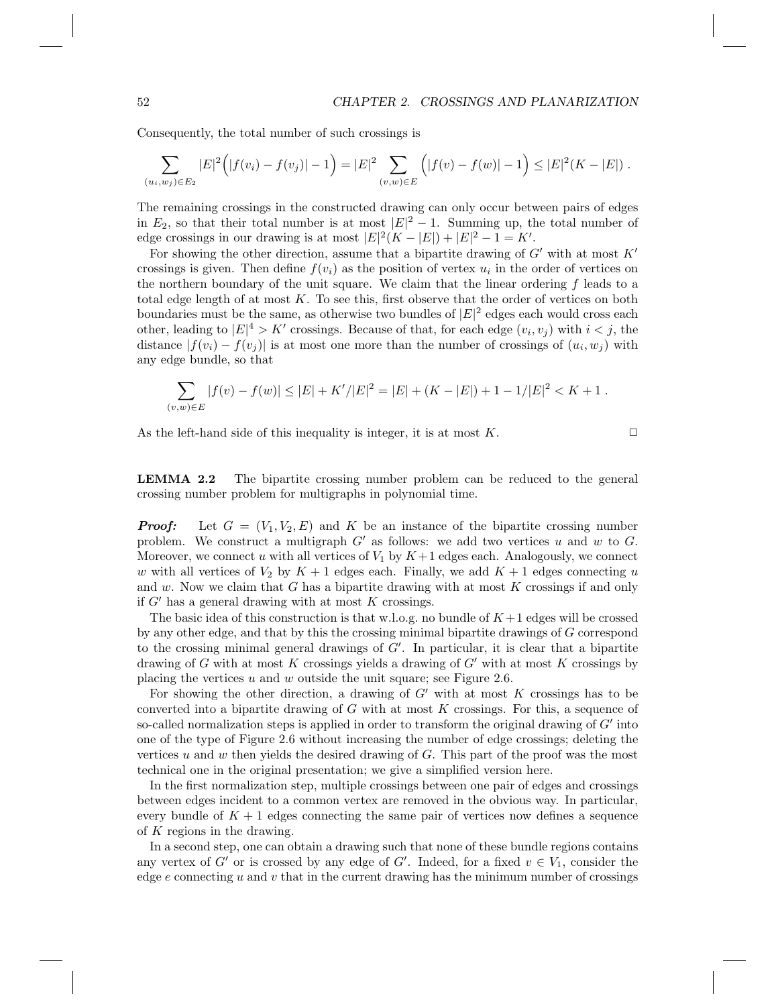Consequently, the total number of such crossings is

$$
\sum_{(u_i,w_j)\in E_2} |E|^2 \Big(|f(v_i)-f(v_j)|-1\Big)=|E|^2 \sum_{(v,w)\in E} \Big(|f(v)-f(w)|-1\Big) \leq |E|^2(K-|E|) .
$$

The remaining crossings in the constructed drawing can only occur between pairs of edges in  $E_2$ , so that their total number is at most  $|E|^2 - 1$ . Summing up, the total number of edge crossings in our drawing is at most  $|E|^2(K - |E|) + |E|^2 - 1 = K'$ .

For showing the other direction, assume that a bipartite drawing of  $G'$  with at most  $K'$ crossings is given. Then define  $f(v_i)$  as the position of vertex  $u_i$  in the order of vertices on the northern boundary of the unit square. We claim that the linear ordering  $f$  leads to a total edge length of at most  $K$ . To see this, first observe that the order of vertices on both boundaries must be the same, as otherwise two bundles of  $|E|^2$  edges each would cross each other, leading to  $|E|^4 > K'$  crossings. Because of that, for each edge  $(v_i, v_j)$  with  $i < j$ , the distance  $|f(v_i) - f(v_j)|$  is at most one more than the number of crossings of  $(u_i, w_j)$  with any edge bundle, so that

$$
\sum_{(v,w)\in E} |f(v) - f(w)| \le |E| + K'/|E|^2 = |E| + (K - |E|) + 1 - 1/|E|^2 < K + 1.
$$

As the left-hand side of this inequality is integer, it is at most  $K$ .

LEMMA 2.2 The bipartite crossing number problem can be reduced to the general crossing number problem for multigraphs in polynomial time.

**Proof:** Let  $G = (V_1, V_2, E)$  and K be an instance of the bipartite crossing number problem. We construct a multigraph  $G'$  as follows: we add two vertices u and w to  $G$ . Moreover, we connect u with all vertices of  $V_1$  by  $K+1$  edges each. Analogously, we connect w with all vertices of  $V_2$  by  $K + 1$  edges each. Finally, we add  $K + 1$  edges connecting u and w. Now we claim that G has a bipartite drawing with at most  $K$  crossings if and only if  $G'$  has a general drawing with at most K crossings.

The basic idea of this construction is that w.l.o.g. no bundle of  $K+1$  edges will be crossed by any other edge, and that by this the crossing minimal bipartite drawings of G correspond to the crossing minimal general drawings of  $G'$ . In particular, it is clear that a bipartite drawing of G with at most K crossings yields a drawing of  $G'$  with at most K crossings by placing the vertices  $u$  and  $w$  outside the unit square; see Figure 2.6.

For showing the other direction, a drawing of  $G'$  with at most K crossings has to be converted into a bipartite drawing of G with at most K crossings. For this, a sequence of so-called normalization steps is applied in order to transform the original drawing of  $G'$  into one of the type of Figure 2.6 without increasing the number of edge crossings; deleting the vertices  $u$  and  $w$  then yields the desired drawing of  $G$ . This part of the proof was the most technical one in the original presentation; we give a simplified version here.

In the first normalization step, multiple crossings between one pair of edges and crossings between edges incident to a common vertex are removed in the obvious way. In particular, every bundle of  $K + 1$  edges connecting the same pair of vertices now defines a sequence of K regions in the drawing.

In a second step, one can obtain a drawing such that none of these bundle regions contains any vertex of G' or is crossed by any edge of G'. Indeed, for a fixed  $v \in V_1$ , consider the edge  $e$  connecting u and v that in the current drawing has the minimum number of crossings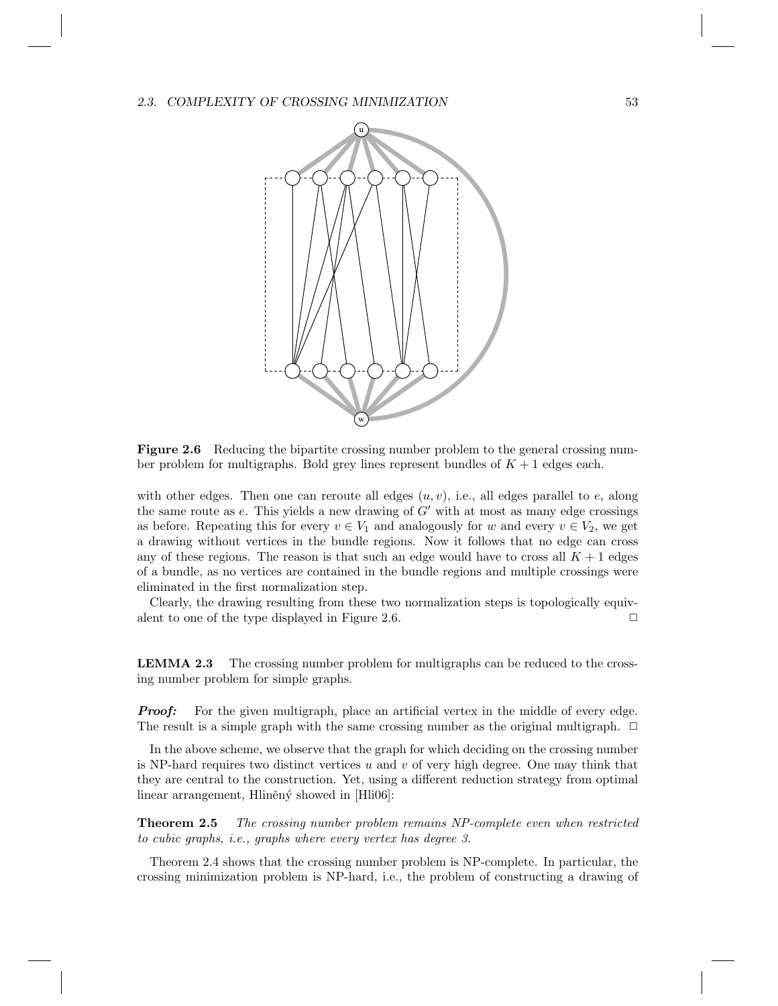#### 2.3. COMPLEXITY OF CROSSING MINIMIZATION 53



Figure 2.6 Reducing the bipartite crossing number problem to the general crossing number problem for multigraphs. Bold grey lines represent bundles of  $K + 1$  edges each.

with other edges. Then one can reroute all edges  $(u, v)$ , i.e., all edges parallel to e, along the same route as  $e$ . This yields a new drawing of  $G'$  with at most as many edge crossings as before. Repeating this for every  $v \in V_1$  and analogously for w and every  $v \in V_2$ , we get a drawing without vertices in the bundle regions. Now it follows that no edge can cross any of these regions. The reason is that such an edge would have to cross all  $K + 1$  edges of a bundle, as no vertices are contained in the bundle regions and multiple crossings were eliminated in the first normalization step.

Clearly, the drawing resulting from these two normalization steps is topologically equivalent to one of the type displayed in Figure 2.6.  $\Box$ 

LEMMA 2.3 The crossing number problem for multigraphs can be reduced to the crossing number problem for simple graphs.

**Proof:** For the given multigraph, place an artificial vertex in the middle of every edge. The result is a simple graph with the same crossing number as the original multigraph.  $\Box$ 

In the above scheme, we observe that the graph for which deciding on the crossing number is NP-hard requires two distinct vertices  $u$  and  $v$  of very high degree. One may think that they are central to the construction. Yet, using a different reduction strategy from optimal linear arrangement, Hliněný showed in [Hli06]:

**Theorem 2.5** The crossing number problem remains NP-complete even when restricted to cubic graphs, i.e., graphs where every vertex has degree 3.

Theorem 2.4 shows that the crossing number problem is NP-complete. In particular, the crossing minimization problem is NP-hard, i.e., the problem of constructing a drawing of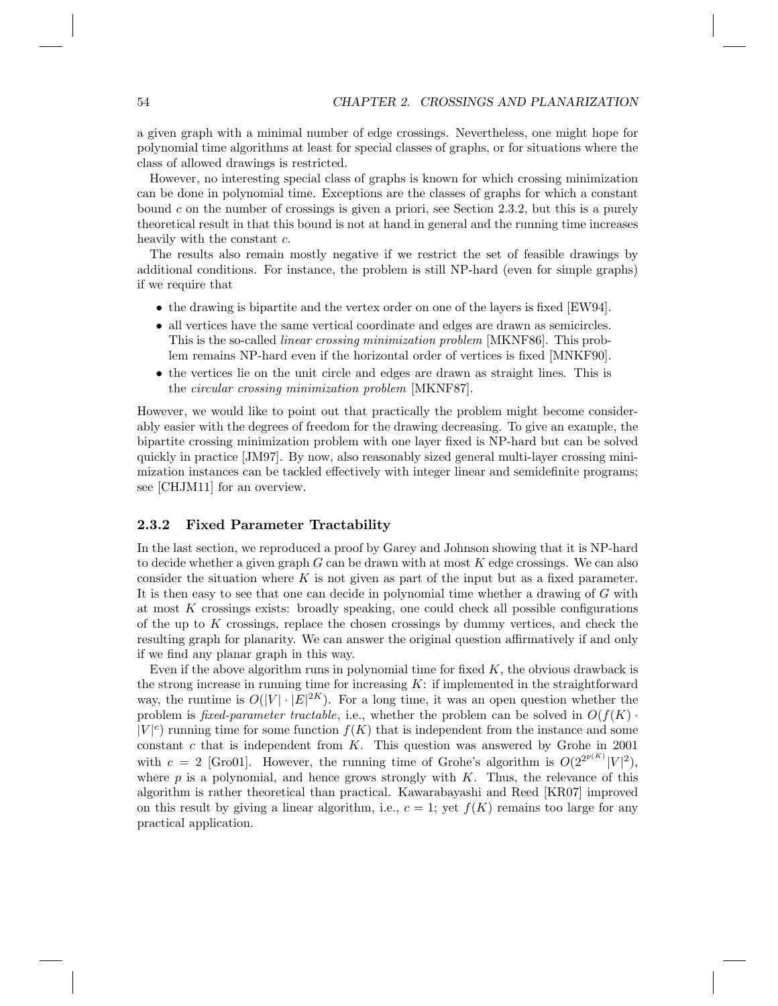a given graph with a minimal number of edge crossings. Nevertheless, one might hope for polynomial time algorithms at least for special classes of graphs, or for situations where the class of allowed drawings is restricted.

However, no interesting special class of graphs is known for which crossing minimization can be done in polynomial time. Exceptions are the classes of graphs for which a constant bound c on the number of crossings is given a priori, see Section 2.3.2, but this is a purely theoretical result in that this bound is not at hand in general and the running time increases heavily with the constant  $c$ .

The results also remain mostly negative if we restrict the set of feasible drawings by additional conditions. For instance, the problem is still NP-hard (even for simple graphs) if we require that

- the drawing is bipartite and the vertex order on one of the layers is fixed [EW94].
- all vertices have the same vertical coordinate and edges are drawn as semicircles. This is the so-called linear crossing minimization problem [MKNF86]. This problem remains NP-hard even if the horizontal order of vertices is fixed [MNKF90].
- the vertices lie on the unit circle and edges are drawn as straight lines. This is the circular crossing minimization problem [MKNF87].

However, we would like to point out that practically the problem might become considerably easier with the degrees of freedom for the drawing decreasing. To give an example, the bipartite crossing minimization problem with one layer fixed is NP-hard but can be solved quickly in practice [JM97]. By now, also reasonably sized general multi-layer crossing minimization instances can be tackled effectively with integer linear and semidefinite programs; see [CHJM11] for an overview.

#### 2.3.2 Fixed Parameter Tractability

In the last section, we reproduced a proof by Garey and Johnson showing that it is NP-hard to decide whether a given graph G can be drawn with at most K edge crossings. We can also consider the situation where  $K$  is not given as part of the input but as a fixed parameter. It is then easy to see that one can decide in polynomial time whether a drawing of G with at most  $K$  crossings exists: broadly speaking, one could check all possible configurations of the up to K crossings, replace the chosen crossings by dummy vertices, and check the resulting graph for planarity. We can answer the original question affirmatively if and only if we find any planar graph in this way.

Even if the above algorithm runs in polynomial time for fixed  $K$ , the obvious drawback is the strong increase in running time for increasing  $K$ : if implemented in the straightforward way, the runtime is  $O(|V| \cdot |E|^{2K})$ . For a long time, it was an open question whether the problem is fixed-parameter tractable, i.e., whether the problem can be solved in  $O(f(K))$ .  $|V|^c$  running time for some function  $f(K)$  that is independent from the instance and some constant  $c$  that is independent from  $K$ . This question was answered by Grohe in 2001 with  $c = 2$  [Gro01]. However, the running time of Grohe's algorithm is  $O(2^{2^{p(K)}}|V|^2)$ , where p is a polynomial, and hence grows strongly with  $K$ . Thus, the relevance of this algorithm is rather theoretical than practical. Kawarabayashi and Reed [KR07] improved on this result by giving a linear algorithm, i.e.,  $c = 1$ ; yet  $f(K)$  remains too large for any practical application.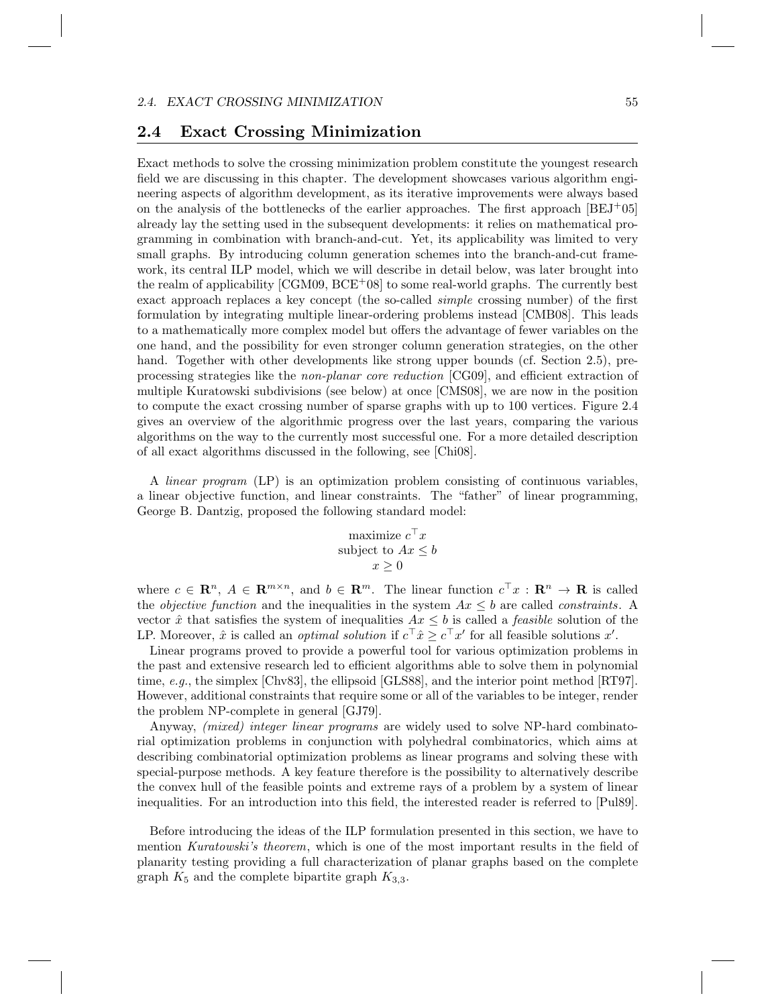#### 2.4 Exact Crossing Minimization

Exact methods to solve the crossing minimization problem constitute the youngest research field we are discussing in this chapter. The development showcases various algorithm engineering aspects of algorithm development, as its iterative improvements were always based on the analysis of the bottlenecks of the earlier approaches. The first approach  $[BEJ<sup>+</sup>05]$ already lay the setting used in the subsequent developments: it relies on mathematical programming in combination with branch-and-cut. Yet, its applicability was limited to very small graphs. By introducing column generation schemes into the branch-and-cut framework, its central ILP model, which we will describe in detail below, was later brought into the realm of applicability [CGM09, BCE+08] to some real-world graphs. The currently best exact approach replaces a key concept (the so-called simple crossing number) of the first formulation by integrating multiple linear-ordering problems instead [CMB08]. This leads to a mathematically more complex model but offers the advantage of fewer variables on the one hand, and the possibility for even stronger column generation strategies, on the other hand. Together with other developments like strong upper bounds (cf. Section 2.5), preprocessing strategies like the *non-planar core reduction* [CG09], and efficient extraction of multiple Kuratowski subdivisions (see below) at once [CMS08], we are now in the position to compute the exact crossing number of sparse graphs with up to 100 vertices. Figure 2.4 gives an overview of the algorithmic progress over the last years, comparing the various algorithms on the way to the currently most successful one. For a more detailed description of all exact algorithms discussed in the following, see [Chi08].

A linear program (LP) is an optimization problem consisting of continuous variables, a linear objective function, and linear constraints. The "father" of linear programming, George B. Dantzig, proposed the following standard model:

$$
\begin{array}{c}\n\text{maximize } c^\top x\\ \n\text{subject to } Ax \leq b\\ \n\text{ } x \geq 0\n\end{array}
$$

where  $c \in \mathbb{R}^n$ ,  $A \in \mathbb{R}^{m \times n}$ , and  $b \in \mathbb{R}^m$ . The linear function  $c^{\top}x : \mathbb{R}^n \to \mathbb{R}$  is called the *objective function* and the inequalities in the system  $Ax \leq b$  are called *constraints*. A vector  $\hat{x}$  that satisfies the system of inequalities  $Ax \leq b$  is called a *feasible* solution of the LP. Moreover,  $\hat{x}$  is called an *optimal solution* if  $c^{\top}\hat{x} \geq c^{\top}x'$  for all feasible solutions  $x'$ .

Linear programs proved to provide a powerful tool for various optimization problems in the past and extensive research led to efficient algorithms able to solve them in polynomial time, e.g., the simplex [Chv83], the ellipsoid [GLS88], and the interior point method [RT97]. However, additional constraints that require some or all of the variables to be integer, render the problem NP-complete in general [GJ79].

Anyway, *(mixed)* integer linear programs are widely used to solve NP-hard combinatorial optimization problems in conjunction with polyhedral combinatorics, which aims at describing combinatorial optimization problems as linear programs and solving these with special-purpose methods. A key feature therefore is the possibility to alternatively describe the convex hull of the feasible points and extreme rays of a problem by a system of linear inequalities. For an introduction into this field, the interested reader is referred to [Pul89].

Before introducing the ideas of the ILP formulation presented in this section, we have to mention Kuratowski's theorem, which is one of the most important results in the field of planarity testing providing a full characterization of planar graphs based on the complete graph  $K_5$  and the complete bipartite graph  $K_{3,3}$ .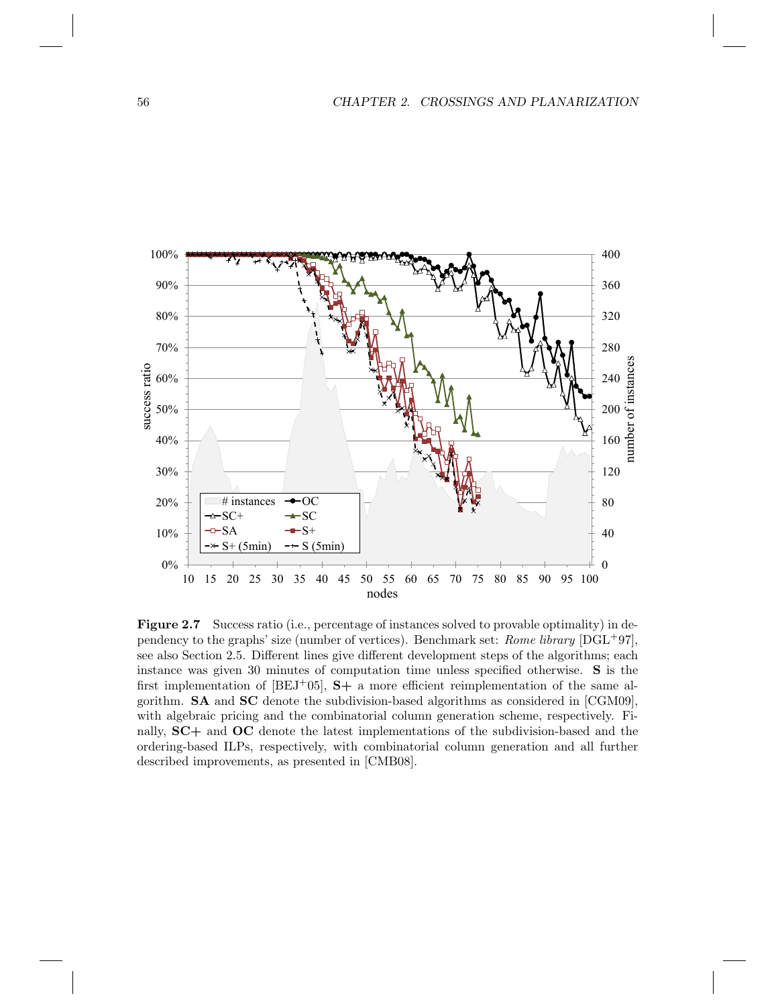

Figure 2.7 Success ratio (i.e., percentage of instances solved to provable optimality) in dependency to the graphs' size (number of vertices). Benchmark set: *Rome library* [DGL<sup>+97]</sup>, see also Section 2.5. Different lines give different development steps of the algorithms; each instance was given 30 minutes of computation time unless specified otherwise. S is the first implementation of  $[BEJ+05]$ ,  $S+$  a more efficient reimplementation of the same algorithm. SA and SC denote the subdivision-based algorithms as considered in [CGM09], with algebraic pricing and the combinatorial column generation scheme, respectively. Finally, SC+ and OC denote the latest implementations of the subdivision-based and the ordering-based ILPs, respectively, with combinatorial column generation and all further described improvements, as presented in [CMB08].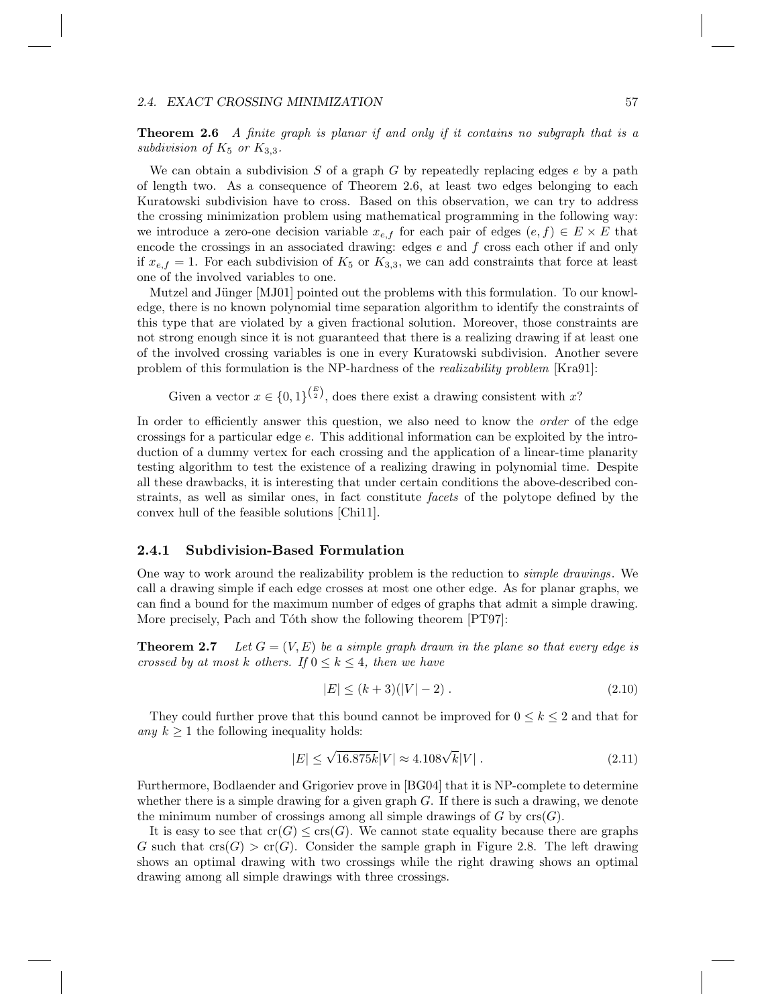#### 2.4. EXACT CROSSING MINIMIZATION 57

Theorem 2.6 A finite graph is planar if and only if it contains no subgraph that is a subdivision of  $K_5$  or  $K_{3,3}$ .

We can obtain a subdivision S of a graph G by repeatedly replacing edges  $e$  by a path of length two. As a consequence of Theorem 2.6, at least two edges belonging to each Kuratowski subdivision have to cross. Based on this observation, we can try to address the crossing minimization problem using mathematical programming in the following way: we introduce a zero-one decision variable  $x_{e,f}$  for each pair of edges  $(e, f) \in E \times E$  that encode the crossings in an associated drawing: edges  $e$  and  $f$  cross each other if and only if  $x_{e,f} = 1$ . For each subdivision of  $K_5$  or  $K_{3,3}$ , we can add constraints that force at least one of the involved variables to one.

Mutzel and Jünger [MJ01] pointed out the problems with this formulation. To our knowledge, there is no known polynomial time separation algorithm to identify the constraints of this type that are violated by a given fractional solution. Moreover, those constraints are not strong enough since it is not guaranteed that there is a realizing drawing if at least one of the involved crossing variables is one in every Kuratowski subdivision. Another severe problem of this formulation is the NP-hardness of the realizability problem [Kra91]:

Given a vector  $x \in \{0,1\}^{\binom{E}{2}}$ , does there exist a drawing consistent with  $x$ ?

In order to efficiently answer this question, we also need to know the *order* of the edge crossings for a particular edge e. This additional information can be exploited by the introduction of a dummy vertex for each crossing and the application of a linear-time planarity testing algorithm to test the existence of a realizing drawing in polynomial time. Despite all these drawbacks, it is interesting that under certain conditions the above-described constraints, as well as similar ones, in fact constitute facets of the polytope defined by the convex hull of the feasible solutions [Chi11].

#### 2.4.1 Subdivision-Based Formulation

One way to work around the realizability problem is the reduction to simple drawings. We call a drawing simple if each edge crosses at most one other edge. As for planar graphs, we can find a bound for the maximum number of edges of graphs that admit a simple drawing. More precisely, Pach and Tóth show the following theorem [PT97]:

**Theorem 2.7** Let  $G = (V, E)$  be a simple graph drawn in the plane so that every edge is crossed by at most k others. If  $0 \leq k \leq 4$ , then we have

$$
|E| \le (k+3)(|V|-2) \tag{2.10}
$$

They could further prove that this bound cannot be improved for  $0 \leq k \leq 2$  and that for any  $k \geq 1$  the following inequality holds:

$$
|E| \le \sqrt{16.875k}|V| \approx 4.108\sqrt{k}|V| \,. \tag{2.11}
$$

Furthermore, Bodlaender and Grigoriev prove in [BG04] that it is NP-complete to determine whether there is a simple drawing for a given graph  $G$ . If there is such a drawing, we denote the minimum number of crossings among all simple drawings of  $G$  by  $\text{crs}(G)$ .

It is easy to see that  $cr(G) \leq crs(G)$ . We cannot state equality because there are graphs G such that  $\text{cr}(G) > \text{cr}(G)$ . Consider the sample graph in Figure 2.8. The left drawing shows an optimal drawing with two crossings while the right drawing shows an optimal drawing among all simple drawings with three crossings.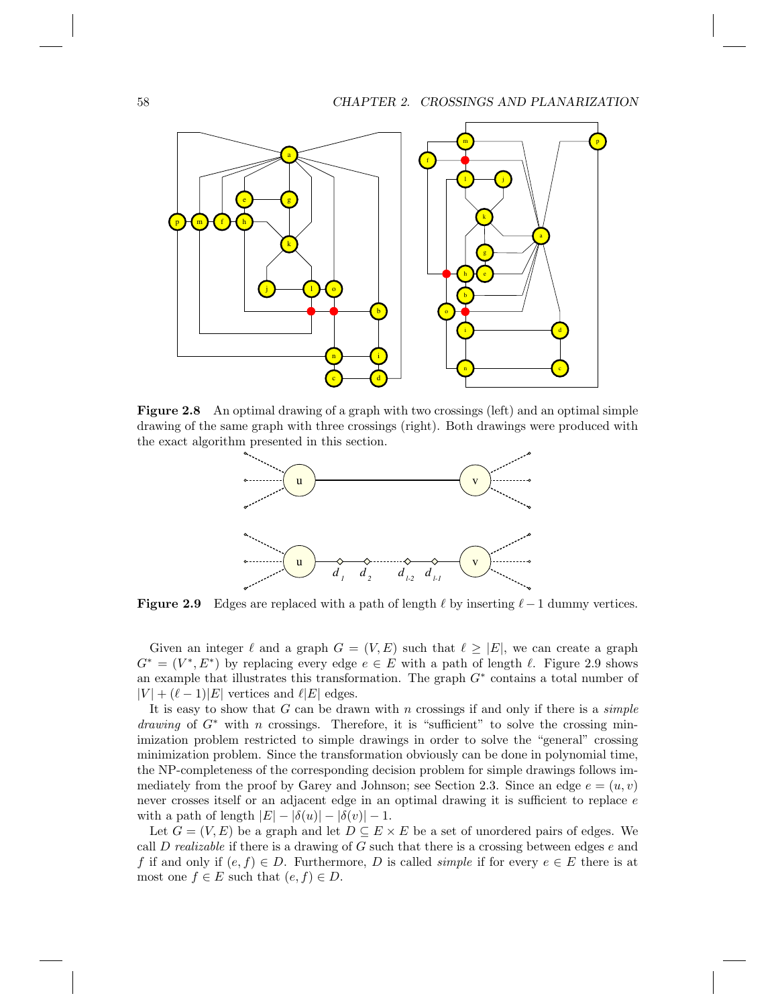

Figure 2.8 An optimal drawing of a graph with two crossings (left) and an optimal simple drawing of the same graph with three crossings (right). Both drawings were produced with the exact algorithm presented in this section.



**Figure 2.9** Edges are replaced with a path of length  $\ell$  by inserting  $\ell - 1$  dummy vertices.

Given an integer  $\ell$  and a graph  $G = (V, E)$  such that  $\ell \geq |E|$ , we can create a graph  $G^* = (V^*, E^*)$  by replacing every edge  $e \in E$  with a path of length  $\ell$ . Figure 2.9 shows an example that illustrates this transformation. The graph  $G^*$  contains a total number of  $|V| + (\ell - 1)|E|$  vertices and  $\ell|E|$  edges.

It is easy to show that  $G$  can be drawn with  $n$  crossings if and only if there is a *simple* drawing of  $G^*$  with n crossings. Therefore, it is "sufficient" to solve the crossing minimization problem restricted to simple drawings in order to solve the "general" crossing minimization problem. Since the transformation obviously can be done in polynomial time, the NP-completeness of the corresponding decision problem for simple drawings follows immediately from the proof by Garey and Johnson; see Section 2.3. Since an edge  $e = (u, v)$ never crosses itself or an adjacent edge in an optimal drawing it is sufficient to replace e with a path of length  $|E| - |\delta(u)| - |\delta(v)| - 1$ .

Let  $G = (V, E)$  be a graph and let  $D \subseteq E \times E$  be a set of unordered pairs of edges. We call D realizable if there is a drawing of G such that there is a crossing between edges  $e$  and f if and only if  $(e, f) \in D$ . Furthermore, D is called *simple* if for every  $e \in E$  there is at most one  $f \in E$  such that  $(e, f) \in D$ .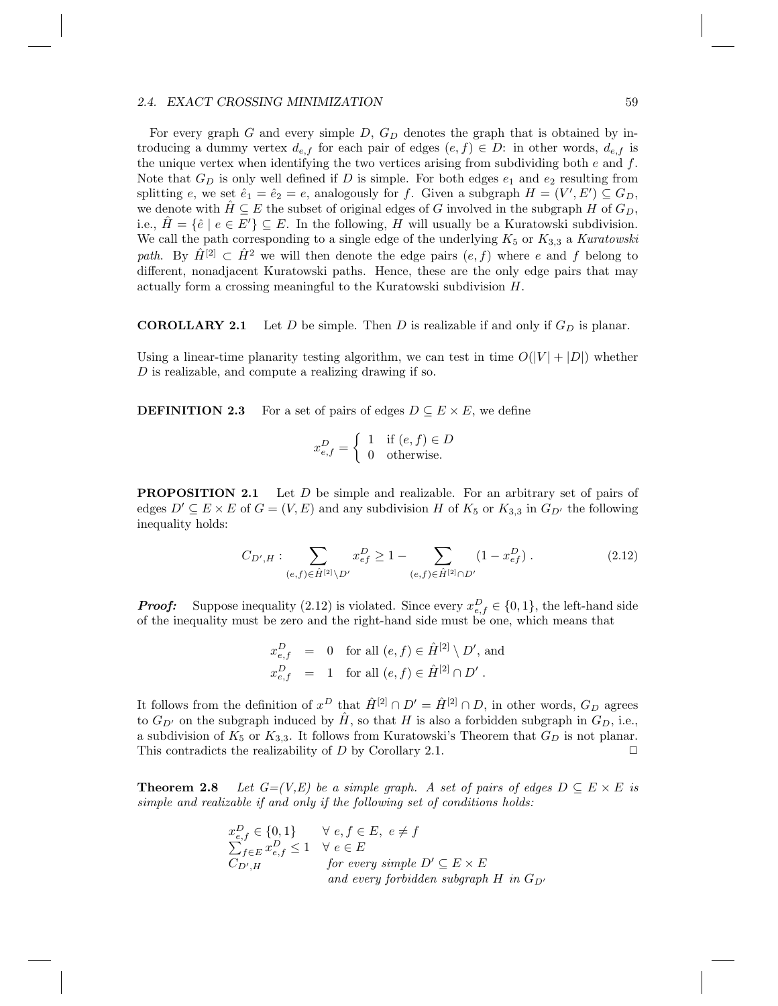#### 2.4. EXACT CROSSING MINIMIZATION 59

For every graph G and every simple  $D$ ,  $G_D$  denotes the graph that is obtained by introducing a dummy vertex  $d_{e,f}$  for each pair of edges  $(e, f) \in D$ : in other words,  $d_{e,f}$  is the unique vertex when identifying the two vertices arising from subdividing both  $e$  and  $f$ . Note that  $G_D$  is only well defined if D is simple. For both edges  $e_1$  and  $e_2$  resulting from splitting e, we set  $\hat{e}_1 = \hat{e}_2 = e$ , analogously for f. Given a subgraph  $H = (V', E') \subseteq G_D$ , we denote with  $H \subseteq E$  the subset of original edges of G involved in the subgraph H of  $G_D$ , i.e.,  $\hat{H} = \{\hat{e} \mid e \in E'\} \subseteq E$ . In the following, H will usually be a Kuratowski subdivision. We call the path corresponding to a single edge of the underlying  $K_5$  or  $K_{3,3}$  a Kuratowski path. By  $\hat{H}^{[2]} \subset \hat{H}^2$  we will then denote the edge pairs  $(e, f)$  where e and f belong to different, nonadjacent Kuratowski paths. Hence, these are the only edge pairs that may actually form a crossing meaningful to the Kuratowski subdivision H.

**COROLLARY 2.1** Let D be simple. Then D is realizable if and only if  $G_D$  is planar.

Using a linear-time planarity testing algorithm, we can test in time  $O(|V| + |D|)$  whether D is realizable, and compute a realizing drawing if so.

**DEFINITION 2.3** For a set of pairs of edges  $D \subseteq E \times E$ , we define

$$
x_{e,f}^D = \begin{cases} 1 & \text{if } (e,f) \in D \\ 0 & \text{otherwise.} \end{cases}
$$

**PROPOSITION 2.1** Let D be simple and realizable. For an arbitrary set of pairs of edges  $D' \subseteq E \times E$  of  $G = (V, E)$  and any subdivision H of  $K_5$  or  $K_{3,3}$  in  $G_{D'}$  the following inequality holds:

$$
C_{D',H}: \sum_{(e,f)\in \hat{H}^{[2]}\backslash D'} x_{ef}^D \ge 1 - \sum_{(e,f)\in \hat{H}^{[2]}\cap D'} (1 - x_{ef}^D). \tag{2.12}
$$

**Proof:** Suppose inequality (2.12) is violated. Since every  $x_{e,f}^D \in \{0,1\}$ , the left-hand side of the inequality must be zero and the right-hand side must be one, which means that

$$
x_{e,f}^D = 0 \text{ for all } (e, f) \in \hat{H}^{[2]} \setminus D', \text{ and}
$$
  

$$
x_{e,f}^D = 1 \text{ for all } (e, f) \in \hat{H}^{[2]} \cap D'.
$$

It follows from the definition of  $x^D$  that  $\hat{H}^{[2]} \cap D' = \hat{H}^{[2]} \cap D$ , in other words,  $G_D$  agrees to  $G_{D'}$  on the subgraph induced by  $\hat{H}$ , so that H is also a forbidden subgraph in  $G_D$ , i.e., a subdivision of  $K_5$  or  $K_{3,3}$ . It follows from Kuratowski's Theorem that  $G_D$  is not planar. This contradicts the realizability of  $D$  by Corollary 2.1.  $\Box$ 

**Theorem 2.8** Let  $G=(V,E)$  be a simple graph. A set of pairs of edges  $D \subseteq E \times E$  is simple and realizable if and only if the following set of conditions holds:

$$
\begin{array}{lll}\nx_{e,f}^D < \{0,1\} & \forall\ e,f\in E,\ e\neq f\\
\sum_{f\in E} x_{e,f}^D \leq 1 & \forall\ e\in E\\
C_{D',H} & \textit{for every simple } D'\subseteq E\times E\\
\textit{and every forbidden subgraph } H \textit{ in } G_{D'}\n\end{array}
$$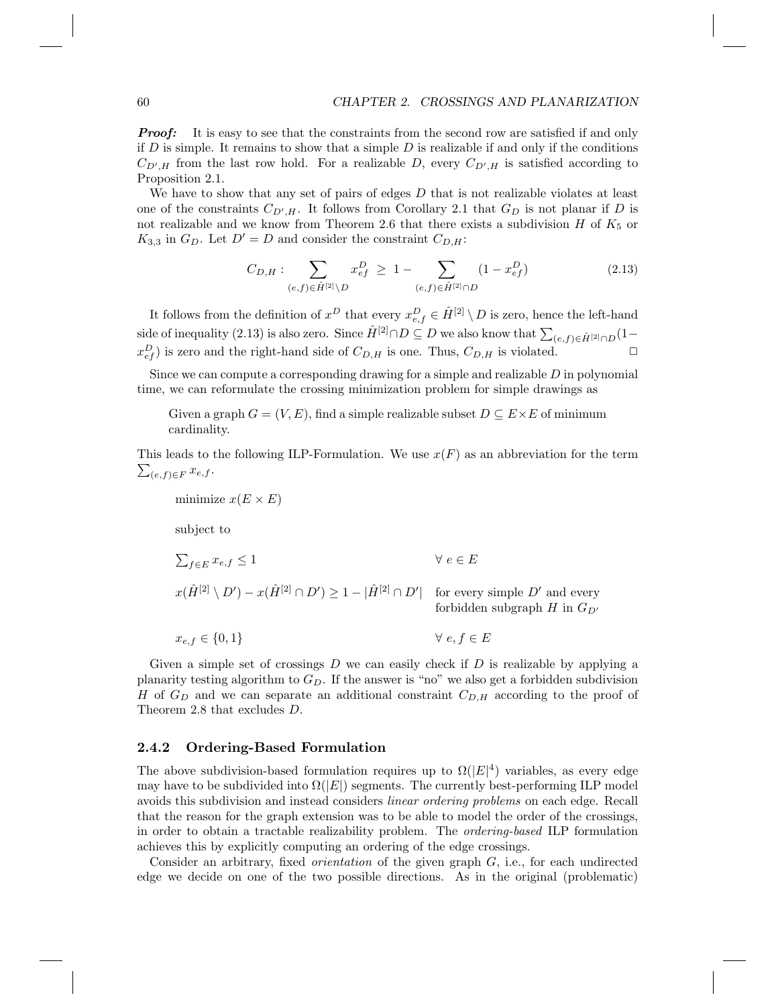$G_{D'}$ 

**Proof:** It is easy to see that the constraints from the second row are satisfied if and only if  $D$  is simple. It remains to show that a simple  $D$  is realizable if and only if the conditions  $C_{D',H}$  from the last row hold. For a realizable D, every  $C_{D',H}$  is satisfied according to Proposition 2.1.

We have to show that any set of pairs of edges  $D$  that is not realizable violates at least one of the constraints  $C_{D',H}$ . It follows from Corollary 2.1 that  $G_D$  is not planar if D is not realizable and we know from Theorem 2.6 that there exists a subdivision  $H$  of  $K_5$  or  $K_{3,3}$  in  $G_D$ . Let  $D' = D$  and consider the constraint  $C_{D,H}$ :

$$
C_{D,H}: \sum_{(e,f)\in \hat{H}^{[2]}\backslash D} x_{ef}^D \ge 1 - \sum_{(e,f)\in \hat{H}^{[2]}\cap D} (1 - x_{ef}^D)
$$
 (2.13)

It follows from the definition of  $x^D$  that every  $x_{e,f}^D \in \hat{H}^{[2]} \setminus D$  is zero, hence the left-hand side of inequality (2.13) is also zero. Since  $\hat{H}^{[2]} \cap D \subseteq D$  we also know that  $\sum_{(e,f) \in \hat{H}^{[2]} \cap D} (1-\frac{1}{2})$  $x_{ef}^D$ ) is zero and the right-hand side of  $C_{D,H}$  is one. Thus,  $C_{D,H}$  is violated.

Since we can compute a corresponding drawing for a simple and realizable  $D$  in polynomial time, we can reformulate the crossing minimization problem for simple drawings as

Given a graph 
$$
G = (V, E)
$$
, find a simple realizable subset  $D \subseteq E \times E$  of minimum cardinality.

 $\sum_{(e,f)\in F} x_{e,f}.$ This leads to the following ILP-Formulation. We use  $x(F)$  as an abbreviation for the term

minimize 
$$
x(E \times E)
$$
  
\nsubject to  
\n
$$
\sum_{f \in E} x_{e,f} \le 1 \qquad \forall e \in E
$$
\n
$$
x(\hat{H}^{[2]} \setminus D') - x(\hat{H}^{[2]} \cap D') \ge 1 - |\hat{H}^{[2]} \cap D'| \text{ for every simple } D' \text{ and every forbidden subgraph } H \text{ in } G_{D'}
$$
\n
$$
x_{e,f} \in \{0,1\} \qquad \forall e, f \in E
$$

Given a simple set of crossings  $D$  we can easily check if  $D$  is realizable by applying a planarity testing algorithm to  $G_D$ . If the answer is "no" we also get a forbidden subdivision H of  $G_D$  and we can separate an additional constraint  $C_{D,H}$  according to the proof of Theorem 2.8 that excludes D.

#### 2.4.2 Ordering-Based Formulation

The above subdivision-based formulation requires up to  $\Omega(|E|^4)$  variables, as every edge may have to be subdivided into  $\Omega(|E|)$  segments. The currently best-performing ILP model avoids this subdivision and instead considers linear ordering problems on each edge. Recall that the reason for the graph extension was to be able to model the order of the crossings, in order to obtain a tractable realizability problem. The ordering-based ILP formulation achieves this by explicitly computing an ordering of the edge crossings.

Consider an arbitrary, fixed *orientation* of the given graph  $G$ , i.e., for each undirected edge we decide on one of the two possible directions. As in the original (problematic)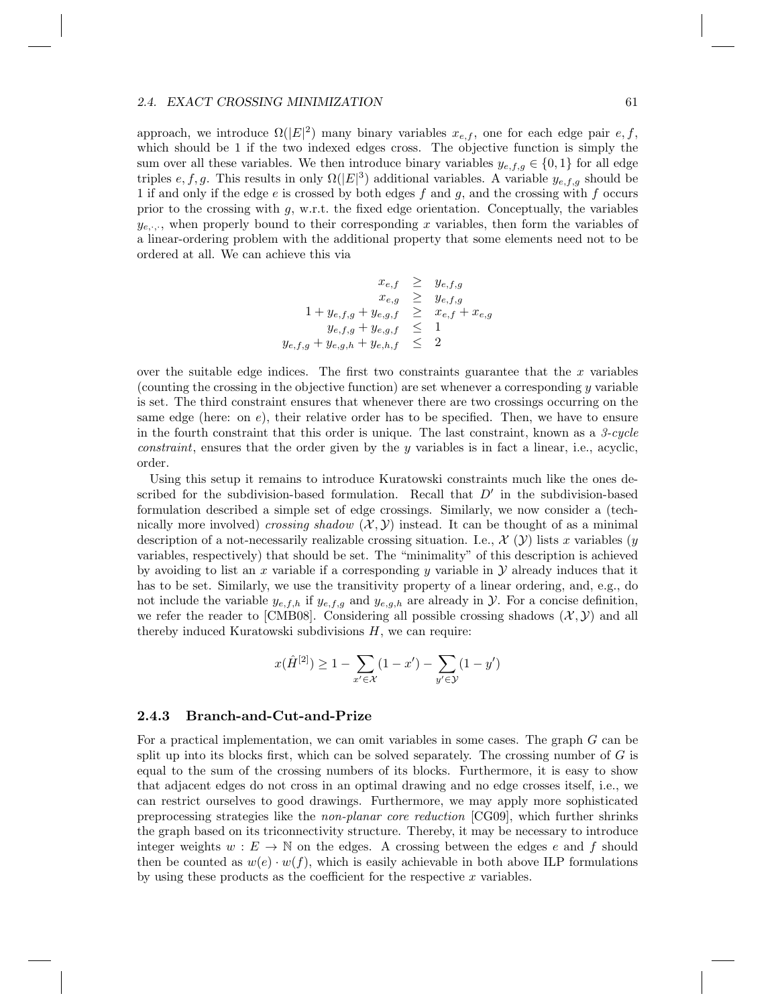#### 2.4. EXACT CROSSING MINIMIZATION 61

approach, we introduce  $\Omega(|E|^2)$  many binary variables  $x_{e,f}$ , one for each edge pair  $e, f$ , which should be 1 if the two indexed edges cross. The objective function is simply the sum over all these variables. We then introduce binary variables  $y_{e,f,g} \in \{0,1\}$  for all edge triples e, f, g. This results in only  $\Omega(|E|^3)$  additional variables. A variable  $y_{e,f,g}$  should be 1 if and only if the edge  $e$  is crossed by both edges  $f$  and  $g$ , and the crossing with  $f$  occurs prior to the crossing with  $g$ , w.r.t. the fixed edge orientation. Conceptually, the variables  $y_{e,\cdot,\cdot}$ , when properly bound to their corresponding x variables, then form the variables of a linear-ordering problem with the additional property that some elements need not to be ordered at all. We can achieve this via

$$
x_{e,f} \geq y_{e,f,g}
$$
  
\n
$$
x_{e,g} \geq y_{e,f,g}
$$
  
\n
$$
1 + y_{e,f,g} + y_{e,g,f} \geq x_{e,f} + x_{e,g}
$$
  
\n
$$
y_{e,f,g} + y_{e,g,h} \leq 1
$$
  
\n
$$
y_{e,f,g} + y_{e,g,h} + y_{e,h,f} \leq 2
$$

over the suitable edge indices. The first two constraints guarantee that the  $x$  variables (counting the crossing in the objective function) are set whenever a corresponding y variable is set. The third constraint ensures that whenever there are two crossings occurring on the same edge (here: on  $e$ ), their relative order has to be specified. Then, we have to ensure in the fourth constraint that this order is unique. The last constraint, known as a  $3-cycle$  $constraint$ , ensures that the order given by the y variables is in fact a linear, i.e., acyclic, order.

Using this setup it remains to introduce Kuratowski constraints much like the ones described for the subdivision-based formulation. Recall that  $D'$  in the subdivision-based formulation described a simple set of edge crossings. Similarly, we now consider a (technically more involved) crossing shadow  $(X, Y)$  instead. It can be thought of as a minimal description of a not-necessarily realizable crossing situation. I.e.,  $\mathcal{X}(y)$  lists x variables (y variables, respectively) that should be set. The "minimality" of this description is achieved by avoiding to list an x variable if a corresponding y variable in  $\mathcal Y$  already induces that it has to be set. Similarly, we use the transitivity property of a linear ordering, and, e.g., do not include the variable  $y_{e,f,h}$  if  $y_{e,f,q}$  and  $y_{e,q,h}$  are already in  $\mathcal Y$ . For a concise definition, we refer the reader to [CMB08]. Considering all possible crossing shadows  $(\mathcal{X}, \mathcal{Y})$  and all thereby induced Kuratowski subdivisions  $H$ , we can require:

$$
x(\hat{H}^{[2]}) \geq 1 - \sum_{x' \in \mathcal{X}} (1-x') - \sum_{y' \in \mathcal{Y}} (1-y')
$$

#### 2.4.3 Branch-and-Cut-and-Prize

For a practical implementation, we can omit variables in some cases. The graph G can be split up into its blocks first, which can be solved separately. The crossing number of  $G$  is equal to the sum of the crossing numbers of its blocks. Furthermore, it is easy to show that adjacent edges do not cross in an optimal drawing and no edge crosses itself, i.e., we can restrict ourselves to good drawings. Furthermore, we may apply more sophisticated preprocessing strategies like the non-planar core reduction [CG09], which further shrinks the graph based on its triconnectivity structure. Thereby, it may be necessary to introduce integer weights  $w : E \to \mathbb{N}$  on the edges. A crossing between the edges e and f should then be counted as  $w(e) \cdot w(f)$ , which is easily achievable in both above ILP formulations by using these products as the coefficient for the respective  $x$  variables.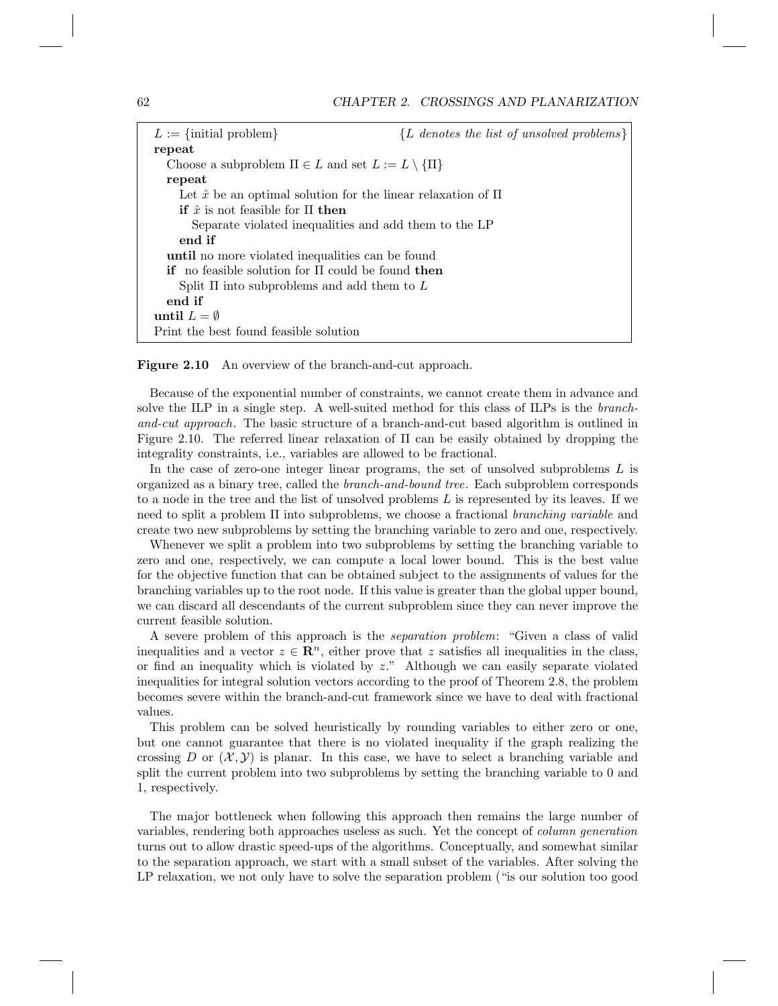| $L := \{$ initial problem $\}$                                          | $\{L \text{ denotes the list of unsolved problems}\}\$ |
|-------------------------------------------------------------------------|--------------------------------------------------------|
| repeat                                                                  |                                                        |
| Choose a subproblem $\Pi \in L$ and set $L := L \setminus {\Pi}$        |                                                        |
| repeat                                                                  |                                                        |
| Let $\hat{x}$ be an optimal solution for the linear relaxation of $\Pi$ |                                                        |
| <b>if</b> $\hat{x}$ is not feasible for $\Pi$ then                      |                                                        |
| Separate violated inequalities and add them to the LP                   |                                                        |
| end if                                                                  |                                                        |
| until no more violated inequalities can be found                        |                                                        |
| <b>if</b> no feasible solution for $\Pi$ could be found <b>then</b>     |                                                        |
| Split $\Pi$ into subproblems and add them to $L$                        |                                                        |
| end if                                                                  |                                                        |
| until $L = \emptyset$                                                   |                                                        |
| Print the best found feasible solution                                  |                                                        |

Figure 2.10 An overview of the branch-and-cut approach.

Because of the exponential number of constraints, we cannot create them in advance and solve the ILP in a single step. A well-suited method for this class of ILPs is the branchand-cut approach. The basic structure of a branch-and-cut based algorithm is outlined in Figure 2.10. The referred linear relaxation of Π can be easily obtained by dropping the integrality constraints, i.e., variables are allowed to be fractional.

In the case of zero-one integer linear programs, the set of unsolved subproblems  $L$  is organized as a binary tree, called the branch-and-bound tree. Each subproblem corresponds to a node in the tree and the list of unsolved problems  $L$  is represented by its leaves. If we need to split a problem Π into subproblems, we choose a fractional branching variable and create two new subproblems by setting the branching variable to zero and one, respectively.

Whenever we split a problem into two subproblems by setting the branching variable to zero and one, respectively, we can compute a local lower bound. This is the best value for the objective function that can be obtained subject to the assignments of values for the branching variables up to the root node. If this value is greater than the global upper bound, we can discard all descendants of the current subproblem since they can never improve the current feasible solution.

A severe problem of this approach is the separation problem: "Given a class of valid inequalities and a vector  $z \in \mathbb{R}^n$ , either prove that z satisfies all inequalities in the class, or find an inequality which is violated by  $z$ ." Although we can easily separate violated inequalities for integral solution vectors according to the proof of Theorem 2.8, the problem becomes severe within the branch-and-cut framework since we have to deal with fractional values.

This problem can be solved heuristically by rounding variables to either zero or one, but one cannot guarantee that there is no violated inequality if the graph realizing the crossing D or  $(\mathcal{X}, \mathcal{Y})$  is planar. In this case, we have to select a branching variable and split the current problem into two subproblems by setting the branching variable to 0 and 1, respectively.

The major bottleneck when following this approach then remains the large number of variables, rendering both approaches useless as such. Yet the concept of column generation turns out to allow drastic speed-ups of the algorithms. Conceptually, and somewhat similar to the separation approach, we start with a small subset of the variables. After solving the LP relaxation, we not only have to solve the separation problem ("is our solution too good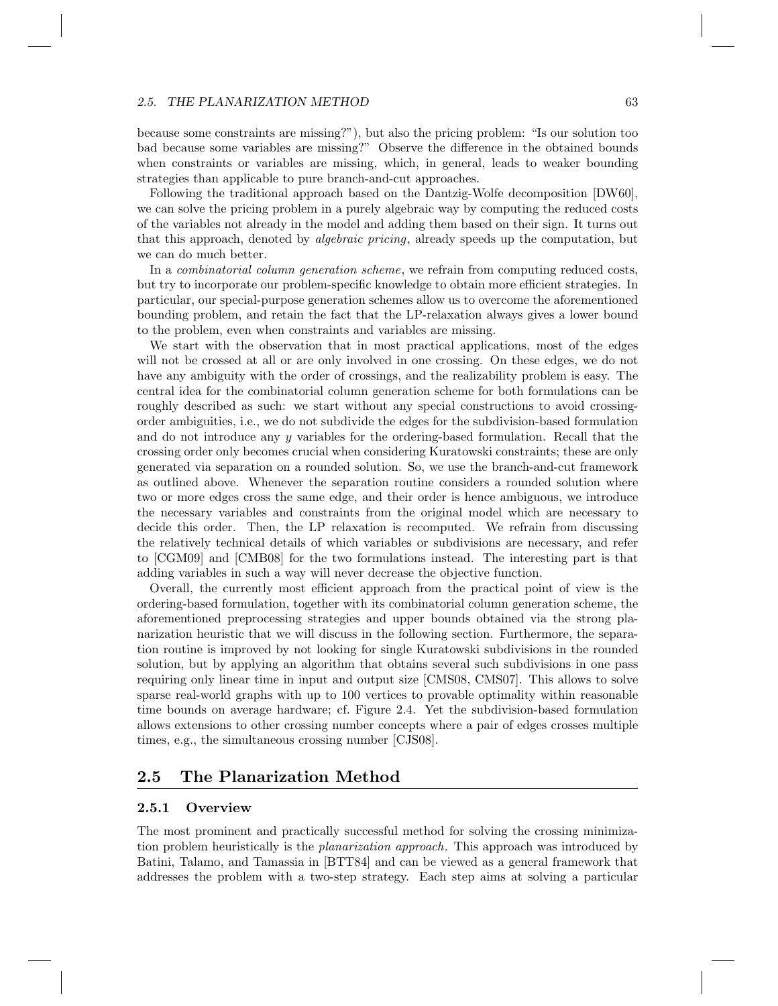#### 2.5. THE PLANARIZATION METHOD 63

because some constraints are missing?"), but also the pricing problem: "Is our solution too bad because some variables are missing?" Observe the difference in the obtained bounds when constraints or variables are missing, which, in general, leads to weaker bounding strategies than applicable to pure branch-and-cut approaches.

Following the traditional approach based on the Dantzig-Wolfe decomposition [DW60], we can solve the pricing problem in a purely algebraic way by computing the reduced costs of the variables not already in the model and adding them based on their sign. It turns out that this approach, denoted by algebraic pricing, already speeds up the computation, but we can do much better.

In a *combinatorial column generation scheme*, we refrain from computing reduced costs, but try to incorporate our problem-specific knowledge to obtain more efficient strategies. In particular, our special-purpose generation schemes allow us to overcome the aforementioned bounding problem, and retain the fact that the LP-relaxation always gives a lower bound to the problem, even when constraints and variables are missing.

We start with the observation that in most practical applications, most of the edges will not be crossed at all or are only involved in one crossing. On these edges, we do not have any ambiguity with the order of crossings, and the realizability problem is easy. The central idea for the combinatorial column generation scheme for both formulations can be roughly described as such: we start without any special constructions to avoid crossingorder ambiguities, i.e., we do not subdivide the edges for the subdivision-based formulation and do not introduce any  $y$  variables for the ordering-based formulation. Recall that the crossing order only becomes crucial when considering Kuratowski constraints; these are only generated via separation on a rounded solution. So, we use the branch-and-cut framework as outlined above. Whenever the separation routine considers a rounded solution where two or more edges cross the same edge, and their order is hence ambiguous, we introduce the necessary variables and constraints from the original model which are necessary to decide this order. Then, the LP relaxation is recomputed. We refrain from discussing the relatively technical details of which variables or subdivisions are necessary, and refer to [CGM09] and [CMB08] for the two formulations instead. The interesting part is that adding variables in such a way will never decrease the objective function.

Overall, the currently most efficient approach from the practical point of view is the ordering-based formulation, together with its combinatorial column generation scheme, the aforementioned preprocessing strategies and upper bounds obtained via the strong planarization heuristic that we will discuss in the following section. Furthermore, the separation routine is improved by not looking for single Kuratowski subdivisions in the rounded solution, but by applying an algorithm that obtains several such subdivisions in one pass requiring only linear time in input and output size [CMS08, CMS07]. This allows to solve sparse real-world graphs with up to 100 vertices to provable optimality within reasonable time bounds on average hardware; cf. Figure 2.4. Yet the subdivision-based formulation allows extensions to other crossing number concepts where a pair of edges crosses multiple times, e.g., the simultaneous crossing number [CJS08].

#### 2.5 The Planarization Method

#### 2.5.1 Overview

The most prominent and practically successful method for solving the crossing minimization problem heuristically is the *planarization approach*. This approach was introduced by Batini, Talamo, and Tamassia in [BTT84] and can be viewed as a general framework that addresses the problem with a two-step strategy. Each step aims at solving a particular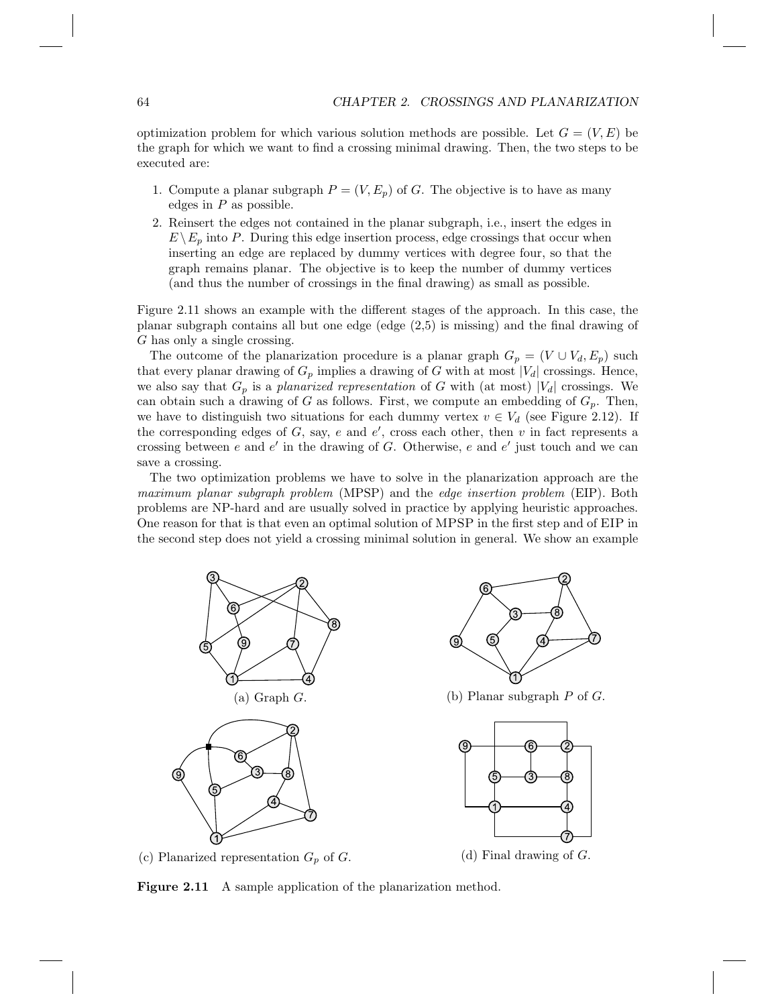optimization problem for which various solution methods are possible. Let  $G = (V, E)$  be the graph for which we want to find a crossing minimal drawing. Then, the two steps to be executed are:

- 1. Compute a planar subgraph  $P = (V, E_p)$  of G. The objective is to have as many edges in  $P$  as possible.
- 2. Reinsert the edges not contained in the planar subgraph, i.e., insert the edges in  $E \setminus E_p$  into P. During this edge insertion process, edge crossings that occur when inserting an edge are replaced by dummy vertices with degree four, so that the graph remains planar. The objective is to keep the number of dummy vertices (and thus the number of crossings in the final drawing) as small as possible.

Figure 2.11 shows an example with the different stages of the approach. In this case, the planar subgraph contains all but one edge (edge (2,5) is missing) and the final drawing of G has only a single crossing.

The outcome of the planarization procedure is a planar graph  $G_p = (V \cup V_d, E_p)$  such that every planar drawing of  $G_p$  implies a drawing of G with at most  $|V_d|$  crossings. Hence, we also say that  $G_p$  is a planarized representation of G with (at most)  $|V_d|$  crossings. We can obtain such a drawing of G as follows. First, we compute an embedding of  $G_p$ . Then, we have to distinguish two situations for each dummy vertex  $v \in V_d$  (see Figure 2.12). If the corresponding edges of  $G$ , say,  $e$  and  $e'$ , cross each other, then  $v$  in fact represents a crossing between  $e$  and  $e'$  in the drawing of  $G$ . Otherwise,  $e$  and  $e'$  just touch and we can save a crossing.

The two optimization problems we have to solve in the planarization approach are the maximum planar subgraph problem (MPSP) and the edge insertion problem (EIP). Both problems are NP-hard and are usually solved in practice by applying heuristic approaches. One reason for that is that even an optimal solution of MPSP in the first step and of EIP in the second step does not yield a crossing minimal solution in general. We show an example



Figure 2.11 A sample application of the planarization method.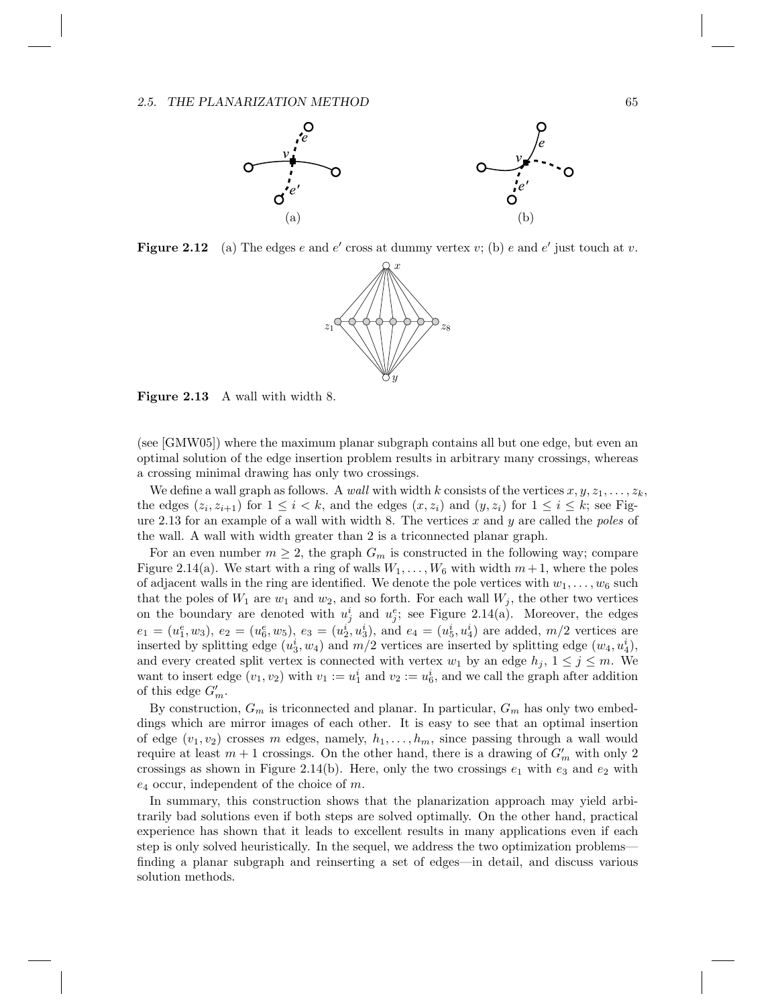

Figure 2.12 (a) The edges e and e' cross at dummy vertex v; (b) e and e' just touch at v.



Figure 2.13 A wall with width 8.

(see [GMW05]) where the maximum planar subgraph contains all but one edge, but even an optimal solution of the edge insertion problem results in arbitrary many crossings, whereas a crossing minimal drawing has only two crossings.

We define a wall graph as follows. A wall with width k consists of the vertices  $x, y, z_1, \ldots, z_k$ , the edges  $(z_i, z_{i+1})$  for  $1 \leq i \leq k$ , and the edges  $(x, z_i)$  and  $(y, z_i)$  for  $1 \leq i \leq k$ ; see Figure 2.13 for an example of a wall with width 8. The vertices x and y are called the poles of the wall. A wall with width greater than 2 is a triconnected planar graph.

For an even number  $m \geq 2$ , the graph  $G_m$  is constructed in the following way; compare Figure 2.14(a). We start with a ring of walls  $W_1, \ldots, W_6$  with width  $m+1$ , where the poles of adjacent walls in the ring are identified. We denote the pole vertices with  $w_1, \ldots, w_6$  such that the poles of  $W_1$  are  $w_1$  and  $w_2$ , and so forth. For each wall  $W_j$ , the other two vertices on the boundary are denoted with  $u_j^i$  and  $u_j^e$ ; see Figure 2.14(a). Moreover, the edges  $e_1 = (u_1^e, w_3), e_2 = (u_6^e, w_5), e_3 = (u_2^i, u_3^i), \text{ and } e_4 = (u_5^i, u_4^i) \text{ are added, } m/2 \text{ vertices are }$ inserted by splitting edge  $(u_3^i, w_4)$  and  $m/2$  vertices are inserted by splitting edge  $(w_4, u_4^i)$ , and every created split vertex is connected with vertex  $w_1$  by an edge  $h_j$ ,  $1 \leq j \leq m$ . We want to insert edge  $(v_1, v_2)$  with  $v_1 := u_1^i$  and  $v_2 := u_6^i$ , and we call the graph after addition of this edge  $G'_m$ .

By construction,  $G_m$  is triconnected and planar. In particular,  $G_m$  has only two embeddings which are mirror images of each other. It is easy to see that an optimal insertion of edge  $(v_1, v_2)$  crosses m edges, namely,  $h_1, \ldots, h_m$ , since passing through a wall would require at least  $m + 1$  crossings. On the other hand, there is a drawing of  $G'_{m}$  with only 2 crossings as shown in Figure 2.14(b). Here, only the two crossings  $e_1$  with  $e_3$  and  $e_2$  with  $e_4$  occur, independent of the choice of m.

In summary, this construction shows that the planarization approach may yield arbitrarily bad solutions even if both steps are solved optimally. On the other hand, practical experience has shown that it leads to excellent results in many applications even if each step is only solved heuristically. In the sequel, we address the two optimization problems finding a planar subgraph and reinserting a set of edges—in detail, and discuss various solution methods.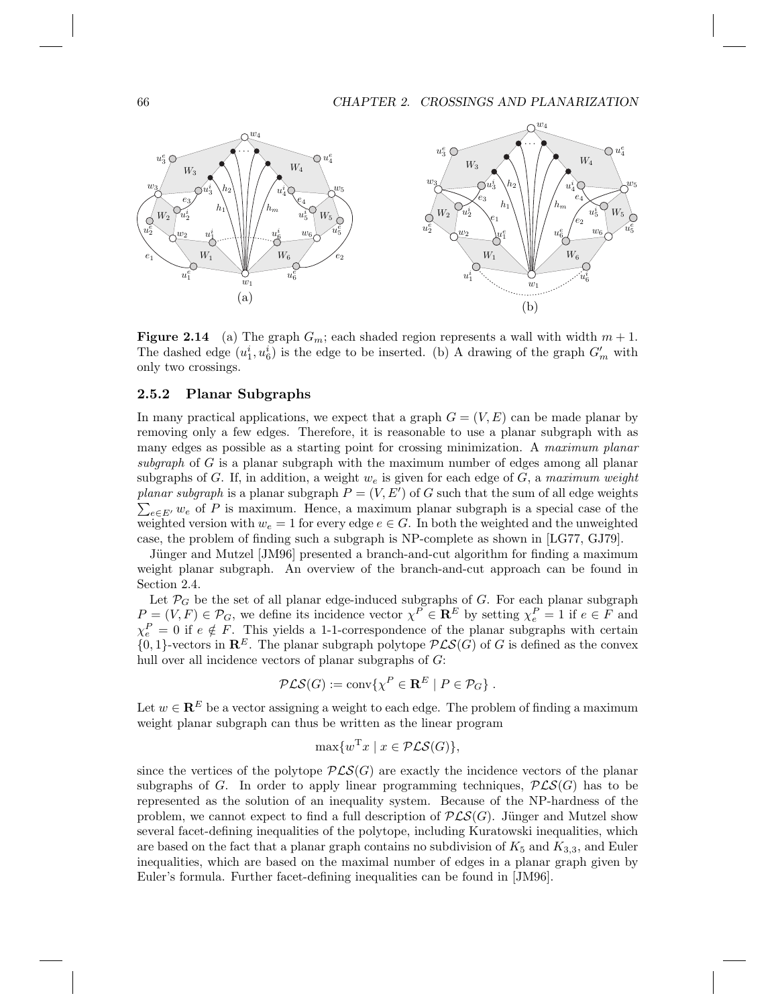

**Figure 2.14** (a) The graph  $G_m$ ; each shaded region represents a wall with width  $m + 1$ . The dashed edge  $(u_1^i, u_6^i)$  is the edge to be inserted. (b) A drawing of the graph  $G'_m$  with only two crossings.

#### 2.5.2 Planar Subgraphs

In many practical applications, we expect that a graph  $G = (V, E)$  can be made planar by removing only a few edges. Therefore, it is reasonable to use a planar subgraph with as many edges as possible as a starting point for crossing minimization. A maximum planar subgraph of G is a planar subgraph with the maximum number of edges among all planar subgraphs of G. If, in addition, a weight  $w_e$  is given for each edge of G, a maximum weight planar subgraph is a planar subgraph  $P = (V, E')$  of G such that the sum of all edge weights  $\sum_{e \in E'} w_e$  of P is maximum. Hence, a maximum planar subgraph is a special case of the weighted version with  $w_e = 1$  for every edge  $e \in G$ . In both the weighted and the unweighted case, the problem of finding such a subgraph is NP-complete as shown in [LG77, GJ79].

Jünger and Mutzel [JM96] presented a branch-and-cut algorithm for finding a maximum weight planar subgraph. An overview of the branch-and-cut approach can be found in Section 2.4.

Let  $\mathcal{P}_G$  be the set of all planar edge-induced subgraphs of G. For each planar subgraph  $P = (V, F) \in \mathcal{P}_G$ , we define its incidence vector  $\chi^P \in \mathbf{R}^E$  by setting  $\chi_e^P = 1$  if  $e \in F$  and  $\chi_e^P = 0$  if  $e \notin F$ . This yields a 1-1-correspondence of the planar subgraphs with certain  $\{0,1\}$ -vectors in  $\mathbb{R}^E$ . The planar subgraph polytope  $\mathcal{PLS}(G)$  of G is defined as the convex hull over all incidence vectors of planar subgraphs of  $G$ :

$$
\mathcal{PLS}(G) := \mathrm{conv}\{\chi^P \in \mathbf{R}^E \mid P \in \mathcal{P}_G\}.
$$

Let  $w \in \mathbb{R}^E$  be a vector assigning a weight to each edge. The problem of finding a maximum weight planar subgraph can thus be written as the linear program

$$
\max \{ w^{\mathrm{T}} x \mid x \in \mathcal{PLS}(G) \},
$$

since the vertices of the polytope  $PLS(G)$  are exactly the incidence vectors of the planar subgraphs of G. In order to apply linear programming techniques,  $PLS(G)$  has to be represented as the solution of an inequality system. Because of the NP-hardness of the problem, we cannot expect to find a full description of  $PLS(G)$ . Jünger and Mutzel show several facet-defining inequalities of the polytope, including Kuratowski inequalities, which are based on the fact that a planar graph contains no subdivision of  $K_5$  and  $K_{3,3}$ , and Euler inequalities, which are based on the maximal number of edges in a planar graph given by Euler's formula. Further facet-defining inequalities can be found in [JM96].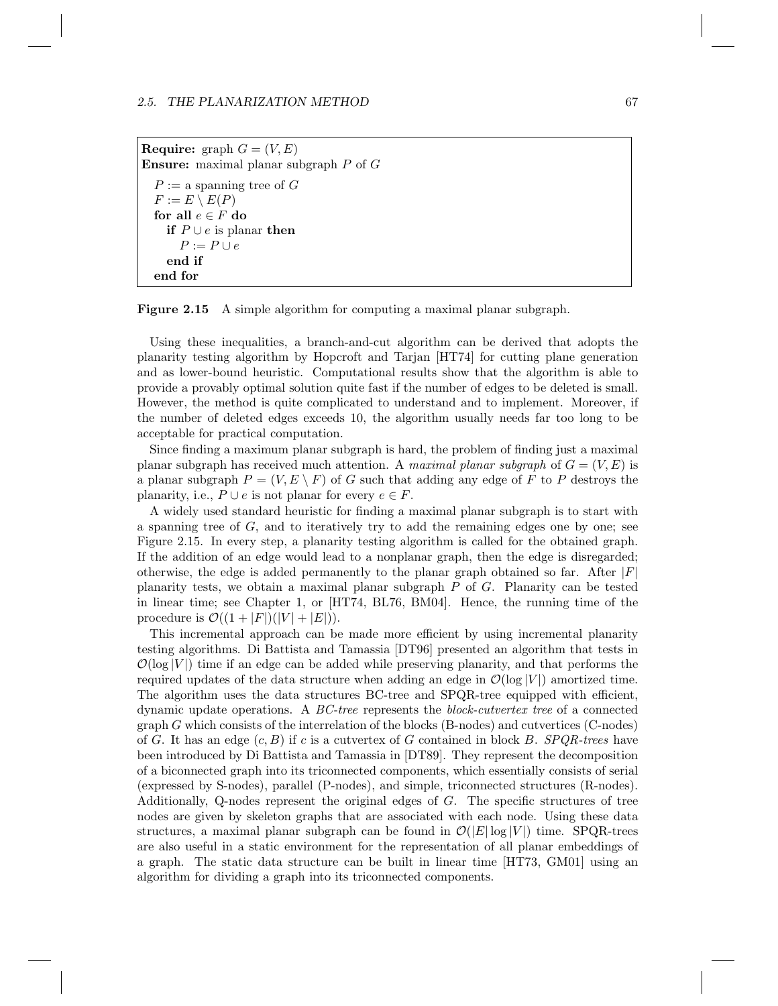**Require:** graph  $G = (V, E)$ Ensure: maximal planar subgraph P of G  $P := a$  spanning tree of G  $F := E \setminus E(P)$ for all  $e \in F$  do **if**  $P ∪ e$  is planar **then**  $P := P \cup e$ end if end for

Figure 2.15 A simple algorithm for computing a maximal planar subgraph.

Using these inequalities, a branch-and-cut algorithm can be derived that adopts the planarity testing algorithm by Hopcroft and Tarjan [HT74] for cutting plane generation and as lower-bound heuristic. Computational results show that the algorithm is able to provide a provably optimal solution quite fast if the number of edges to be deleted is small. However, the method is quite complicated to understand and to implement. Moreover, if the number of deleted edges exceeds 10, the algorithm usually needs far too long to be acceptable for practical computation.

Since finding a maximum planar subgraph is hard, the problem of finding just a maximal planar subgraph has received much attention. A maximal planar subgraph of  $G = (V, E)$  is a planar subgraph  $P = (V, E \setminus F)$  of G such that adding any edge of F to P destroys the planarity, i.e.,  $P \cup e$  is not planar for every  $e \in F$ .

A widely used standard heuristic for finding a maximal planar subgraph is to start with a spanning tree of  $G$ , and to iteratively try to add the remaining edges one by one; see Figure 2.15. In every step, a planarity testing algorithm is called for the obtained graph. If the addition of an edge would lead to a nonplanar graph, then the edge is disregarded; otherwise, the edge is added permanently to the planar graph obtained so far. After  $|F|$ planarity tests, we obtain a maximal planar subgraph P of G. Planarity can be tested in linear time; see Chapter 1, or [HT74, BL76, BM04]. Hence, the running time of the procedure is  $\mathcal{O}((1+|F|)(|V|+|E|)).$ 

This incremental approach can be made more efficient by using incremental planarity testing algorithms. Di Battista and Tamassia [DT96] presented an algorithm that tests in  $\mathcal{O}(\log |V|)$  time if an edge can be added while preserving planarity, and that performs the required updates of the data structure when adding an edge in  $\mathcal{O}(\log |V|)$  amortized time. The algorithm uses the data structures BC-tree and SPQR-tree equipped with efficient, dynamic update operations. A BC-tree represents the block-cutvertex tree of a connected graph G which consists of the interrelation of the blocks (B-nodes) and cutvertices (C-nodes) of G. It has an edge  $(c, B)$  if c is a cutvertex of G contained in block B. SPQR-trees have been introduced by Di Battista and Tamassia in [DT89]. They represent the decomposition of a biconnected graph into its triconnected components, which essentially consists of serial (expressed by S-nodes), parallel (P-nodes), and simple, triconnected structures (R-nodes). Additionally, Q-nodes represent the original edges of G. The specific structures of tree nodes are given by skeleton graphs that are associated with each node. Using these data structures, a maximal planar subgraph can be found in  $\mathcal{O}(|E| \log |V|)$  time. SPQR-trees are also useful in a static environment for the representation of all planar embeddings of a graph. The static data structure can be built in linear time [HT73, GM01] using an algorithm for dividing a graph into its triconnected components.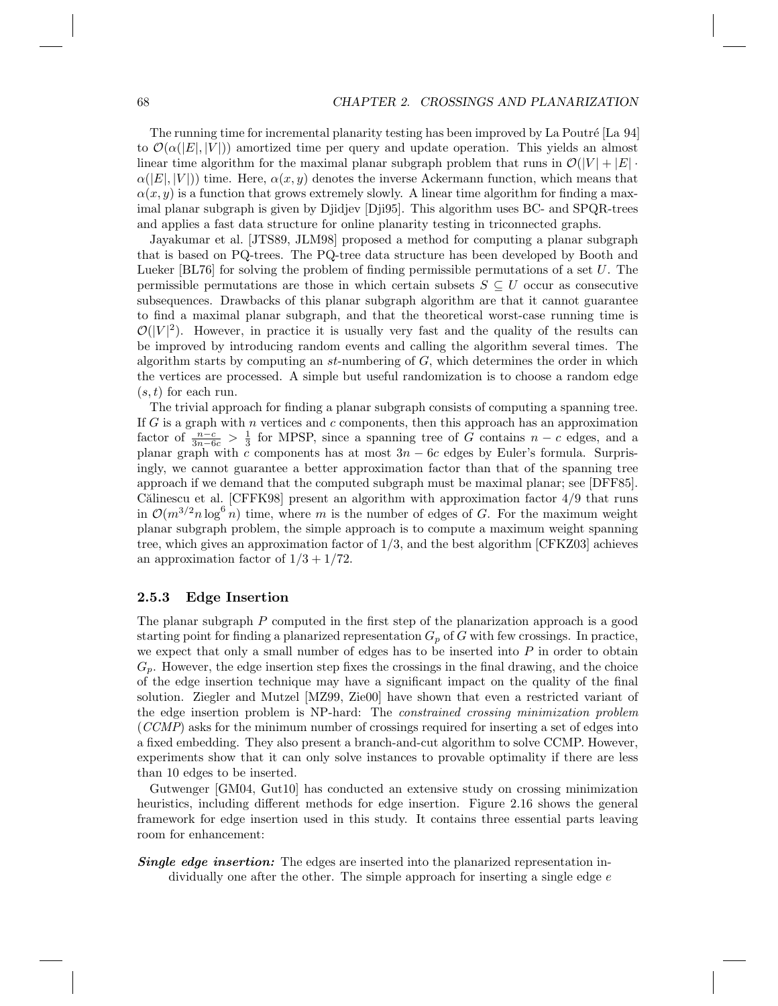The running time for incremental planarity testing has been improved by La Poutré  $[La 94]$ to  $\mathcal{O}(\alpha(|E|, |V|))$  amortized time per query and update operation. This yields an almost linear time algorithm for the maximal planar subgraph problem that runs in  $\mathcal{O}(|V| + |E| \cdot$  $\alpha(|E|, |V|)$ ) time. Here,  $\alpha(x, y)$  denotes the inverse Ackermann function, which means that  $\alpha(x, y)$  is a function that grows extremely slowly. A linear time algorithm for finding a maximal planar subgraph is given by Djidjev [Dji95]. This algorithm uses BC- and SPQR-trees and applies a fast data structure for online planarity testing in triconnected graphs.

Jayakumar et al. [JTS89, JLM98] proposed a method for computing a planar subgraph that is based on PQ-trees. The PQ-tree data structure has been developed by Booth and Lueker  $[BL76]$  for solving the problem of finding permissible permutations of a set U. The permissible permutations are those in which certain subsets  $S \subseteq U$  occur as consecutive subsequences. Drawbacks of this planar subgraph algorithm are that it cannot guarantee to find a maximal planar subgraph, and that the theoretical worst-case running time is  $\mathcal{O}(|V|^2)$ . However, in practice it is usually very fast and the quality of the results can be improved by introducing random events and calling the algorithm several times. The algorithm starts by computing an  $st$ -numbering of  $G$ , which determines the order in which the vertices are processed. A simple but useful randomization is to choose a random edge  $(s, t)$  for each run.

The trivial approach for finding a planar subgraph consists of computing a spanning tree. If G is a graph with n vertices and c components, then this approach has an approximation factor of  $\frac{n-c}{3n-6c} > \frac{1}{3}$  for MPSP, since a spanning tree of G contains  $n-c$  edges, and a planar graph with  $c$  components has at most  $3n - 6c$  edges by Euler's formula. Surprisingly, we cannot guarantee a better approximation factor than that of the spanning tree approach if we demand that the computed subgraph must be maximal planar; see [DFF85]. Călinescu et al.  $[CFFK98]$  present an algorithm with approximation factor  $4/9$  that runs in  $\mathcal{O}(m^{3/2}n \log^6 n)$  time, where m is the number of edges of G. For the maximum weight planar subgraph problem, the simple approach is to compute a maximum weight spanning tree, which gives an approximation factor of  $1/3$ , and the best algorithm [CFKZ03] achieves an approximation factor of  $1/3 + 1/72$ .

#### 2.5.3 Edge Insertion

The planar subgraph P computed in the first step of the planarization approach is a good starting point for finding a planarized representation  $G_p$  of G with few crossings. In practice, we expect that only a small number of edges has to be inserted into  $P$  in order to obtain  $G_p$ . However, the edge insertion step fixes the crossings in the final drawing, and the choice of the edge insertion technique may have a significant impact on the quality of the final solution. Ziegler and Mutzel [MZ99, Zie00] have shown that even a restricted variant of the edge insertion problem is NP-hard: The constrained crossing minimization problem (CCMP) asks for the minimum number of crossings required for inserting a set of edges into a fixed embedding. They also present a branch-and-cut algorithm to solve CCMP. However, experiments show that it can only solve instances to provable optimality if there are less than 10 edges to be inserted.

Gutwenger [GM04, Gut10] has conducted an extensive study on crossing minimization heuristics, including different methods for edge insertion. Figure 2.16 shows the general framework for edge insertion used in this study. It contains three essential parts leaving room for enhancement:

**Single edge insertion:** The edges are inserted into the planarized representation individually one after the other. The simple approach for inserting a single edge  $e$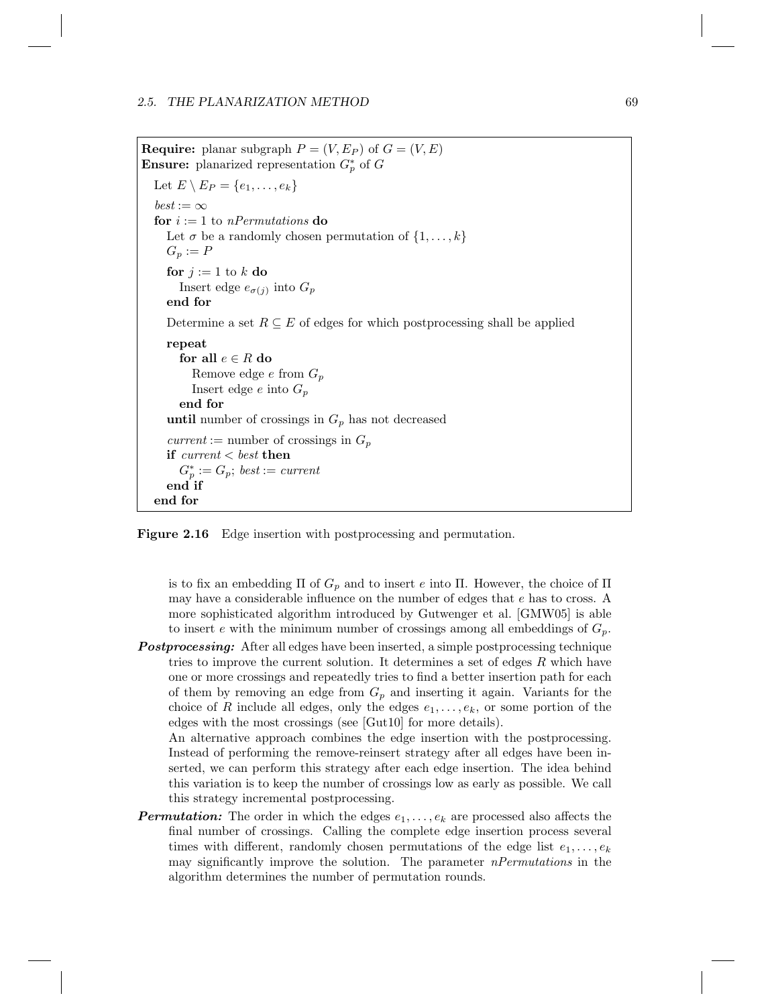#### 2.5. THE PLANARIZATION METHOD 69

```
Require: planar subgraph P = (V, E_P) of G = (V, E)Ensure: planarized representation G_p^* of GLet E \setminus E_P = \{e_1, \ldots, e_k\}best := \inftyfor i := 1 to nPermutations do
    Let \sigma be a randomly chosen permutation of \{1, \ldots, k\}G_p := Pfor j := 1 to k do
       Insert edge e_{\sigma(j)} into G_pend for
    Determine a set R \subseteq E of edges for which postprocessing shall be applied
    repeat
       for all e \in R do
         Remove edge e from G_pInsert edge e into G_pend for
    until number of crossings in G_p has not decreased
    current := number of crossings in G_pif current < best then
       G_p^* := G_p; best := current
    end if
  end for
```
Figure 2.16 Edge insertion with postprocessing and permutation.

is to fix an embedding  $\Pi$  of  $G_p$  and to insert e into  $\Pi$ . However, the choice of  $\Pi$ may have a considerable influence on the number of edges that e has to cross. A more sophisticated algorithm introduced by Gutwenger et al. [GMW05] is able to insert e with the minimum number of crossings among all embeddings of  $G_p$ .

**Postprocessing:** After all edges have been inserted, a simple postprocessing technique tries to improve the current solution. It determines a set of edges  $R$  which have one or more crossings and repeatedly tries to find a better insertion path for each of them by removing an edge from  $G_p$  and inserting it again. Variants for the choice of R include all edges, only the edges  $e_1, \ldots, e_k$ , or some portion of the edges with the most crossings (see [Gut10] for more details).

An alternative approach combines the edge insertion with the postprocessing. Instead of performing the remove-reinsert strategy after all edges have been inserted, we can perform this strategy after each edge insertion. The idea behind this variation is to keep the number of crossings low as early as possible. We call this strategy incremental postprocessing.

**Permutation:** The order in which the edges  $e_1, \ldots, e_k$  are processed also affects the final number of crossings. Calling the complete edge insertion process several times with different, randomly chosen permutations of the edge list  $e_1, \ldots, e_k$ may significantly improve the solution. The parameter nPermutations in the algorithm determines the number of permutation rounds.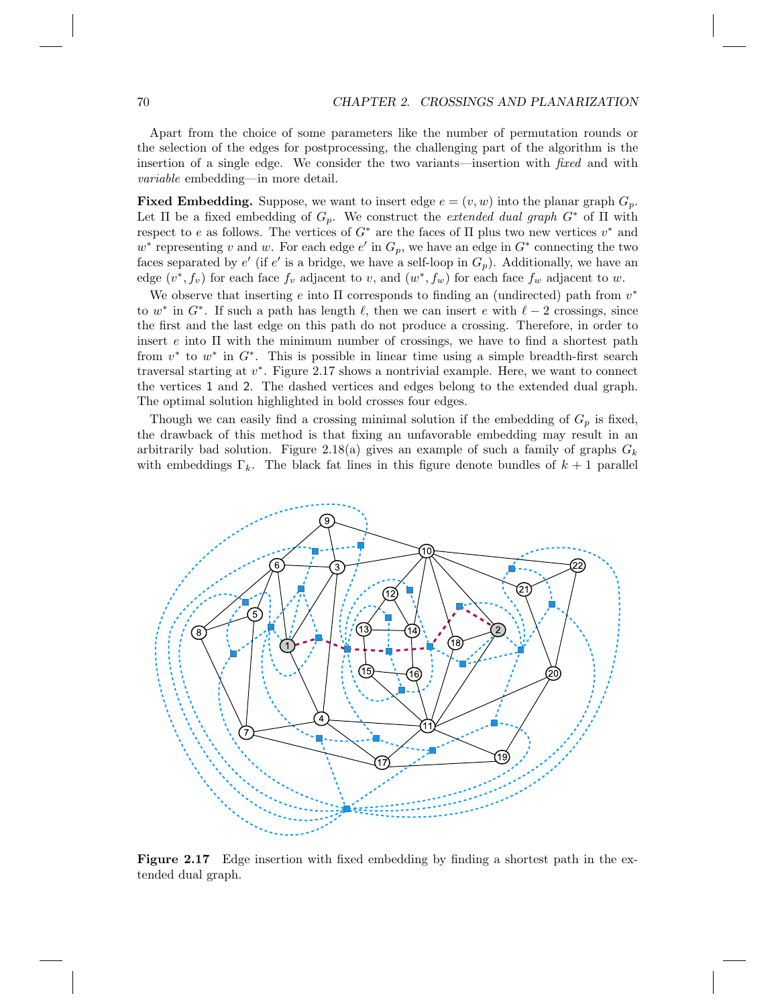Apart from the choice of some parameters like the number of permutation rounds or the selection of the edges for postprocessing, the challenging part of the algorithm is the insertion of a single edge. We consider the two variants—insertion with fixed and with variable embedding—in more detail.

**Fixed Embedding.** Suppose, we want to insert edge  $e = (v, w)$  into the planar graph  $G_p$ . Let  $\Pi$  be a fixed embedding of  $G_p$ . We construct the *extended dual graph*  $G^*$  of  $\Pi$  with respect to e as follows. The vertices of  $G^*$  are the faces of  $\Pi$  plus two new vertices  $v^*$  and  $w^*$  representing v and w. For each edge  $e'$  in  $G_p$ , we have an edge in  $G^*$  connecting the two faces separated by  $e'$  (if  $e'$  is a bridge, we have a self-loop in  $G_p$ ). Additionally, we have an edge  $(v^*, f_v)$  for each face  $f_v$  adjacent to v, and  $(w^*, f_w)$  for each face  $f_w$  adjacent to w.

We observe that inserting  $e$  into  $\Pi$  corresponds to finding an (undirected) path from  $v^*$ to  $w^*$  in  $G^*$ . If such a path has length  $\ell$ , then we can insert e with  $\ell - 2$  crossings, since the first and the last edge on this path do not produce a crossing. Therefore, in order to insert  $e$  into  $\Pi$  with the minimum number of crossings, we have to find a shortest path from  $v^*$  to  $w^*$  in  $G^*$ . This is possible in linear time using a simple breadth-first search traversal starting at  $v^*$ . Figure 2.17 shows a nontrivial example. Here, we want to connect the vertices 1 and 2. The dashed vertices and edges belong to the extended dual graph. The optimal solution highlighted in bold crosses four edges.

Though we can easily find a crossing minimal solution if the embedding of  $G_p$  is fixed, the drawback of this method is that fixing an unfavorable embedding may result in an arbitrarily bad solution. Figure 2.18(a) gives an example of such a family of graphs  $G_k$ with embeddings  $\Gamma_k$ . The black fat lines in this figure denote bundles of  $k+1$  parallel



Figure 2.17 Edge insertion with fixed embedding by finding a shortest path in the extended dual graph.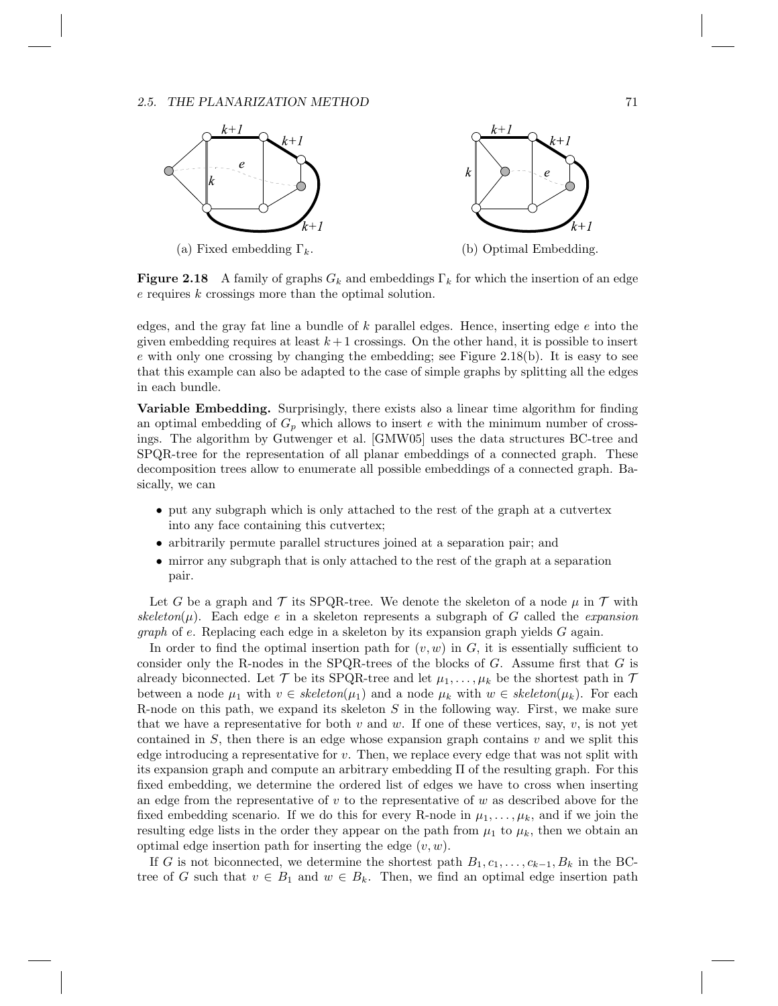

**Figure 2.18** A family of graphs  $G_k$  and embeddings  $\Gamma_k$  for which the insertion of an edge e requires k crossings more than the optimal solution.

edges, and the gray fat line a bundle of k parallel edges. Hence, inserting edge e into the given embedding requires at least  $k+1$  crossings. On the other hand, it is possible to insert e with only one crossing by changing the embedding; see Figure 2.18(b). It is easy to see that this example can also be adapted to the case of simple graphs by splitting all the edges in each bundle.

Variable Embedding. Surprisingly, there exists also a linear time algorithm for finding an optimal embedding of  $G_p$  which allows to insert e with the minimum number of crossings. The algorithm by Gutwenger et al. [GMW05] uses the data structures BC-tree and SPQR-tree for the representation of all planar embeddings of a connected graph. These decomposition trees allow to enumerate all possible embeddings of a connected graph. Basically, we can

- put any subgraph which is only attached to the rest of the graph at a cutvertex into any face containing this cutvertex;
- arbitrarily permute parallel structures joined at a separation pair; and
- mirror any subgraph that is only attached to the rest of the graph at a separation pair.

Let G be a graph and T its SPQR-tree. We denote the skeleton of a node  $\mu$  in T with skeleton( $\mu$ ). Each edge e in a skeleton represents a subgraph of G called the expansion graph of e. Replacing each edge in a skeleton by its expansion graph yields G again.

In order to find the optimal insertion path for  $(v, w)$  in G, it is essentially sufficient to consider only the R-nodes in the SPQR-trees of the blocks of  $G$ . Assume first that  $G$  is already biconnected. Let T be its SPQR-tree and let  $\mu_1, \ldots, \mu_k$  be the shortest path in T between a node  $\mu_1$  with  $v \in skeleton(\mu_1)$  and a node  $\mu_k$  with  $w \in skeleton(\mu_k)$ . For each R-node on this path, we expand its skeleton  $S$  in the following way. First, we make sure that we have a representative for both v and w. If one of these vertices, say, v, is not yet contained in  $S$ , then there is an edge whose expansion graph contains  $v$  and we split this edge introducing a representative for  $v$ . Then, we replace every edge that was not split with its expansion graph and compute an arbitrary embedding Π of the resulting graph. For this fixed embedding, we determine the ordered list of edges we have to cross when inserting an edge from the representative of  $v$  to the representative of  $w$  as described above for the fixed embedding scenario. If we do this for every R-node in  $\mu_1, \ldots, \mu_k$ , and if we join the resulting edge lists in the order they appear on the path from  $\mu_1$  to  $\mu_k$ , then we obtain an optimal edge insertion path for inserting the edge  $(v, w)$ .

If G is not biconnected, we determine the shortest path  $B_1, c_1, \ldots, c_{k-1}, B_k$  in the BCtree of G such that  $v \in B_1$  and  $w \in B_k$ . Then, we find an optimal edge insertion path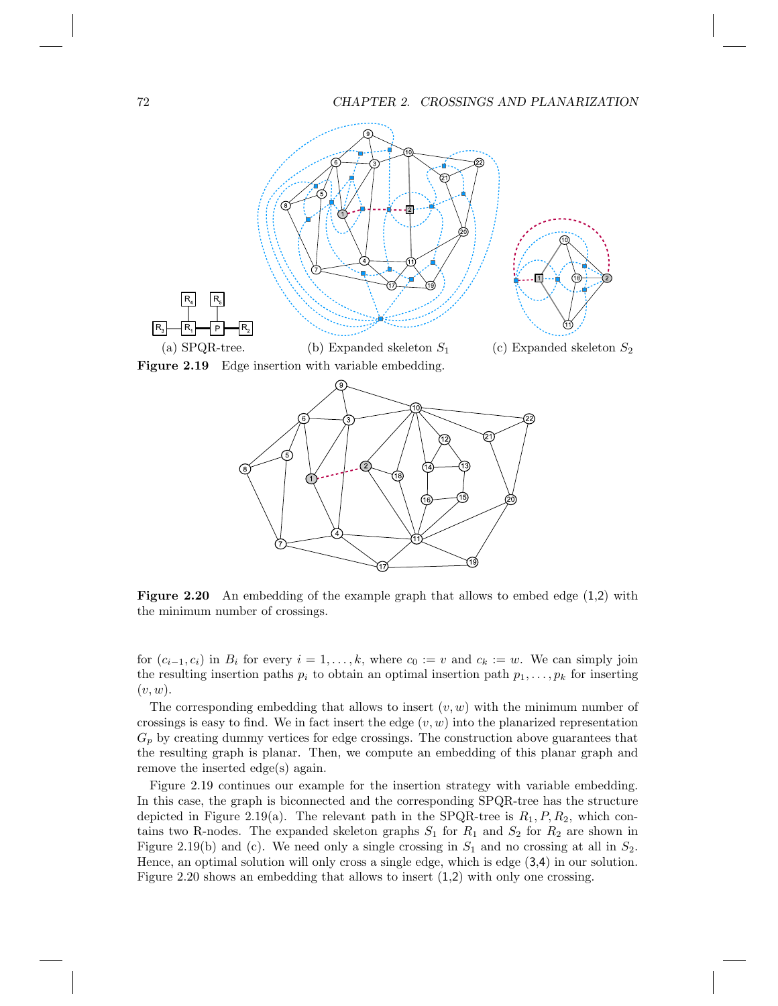

Figure 2.20 An embedding of the example graph that allows to embed edge (1,2) with the minimum number of crossings.

for  $(c_{i-1}, c_i)$  in  $B_i$  for every  $i = 1, \ldots, k$ , where  $c_0 := v$  and  $c_k := w$ . We can simply join the resulting insertion paths  $p_i$  to obtain an optimal insertion path  $p_1, \ldots, p_k$  for inserting  $(v, w)$ .

The corresponding embedding that allows to insert  $(v, w)$  with the minimum number of crossings is easy to find. We in fact insert the edge  $(v, w)$  into the planarized representation  $G_p$  by creating dummy vertices for edge crossings. The construction above guarantees that the resulting graph is planar. Then, we compute an embedding of this planar graph and remove the inserted edge(s) again.

Figure 2.19 continues our example for the insertion strategy with variable embedding. In this case, the graph is biconnected and the corresponding SPQR-tree has the structure depicted in Figure 2.19(a). The relevant path in the SPQR-tree is  $R_1, P, R_2$ , which contains two R-nodes. The expanded skeleton graphs  $S_1$  for  $R_1$  and  $S_2$  for  $R_2$  are shown in Figure 2.19(b) and (c). We need only a single crossing in  $S_1$  and no crossing at all in  $S_2$ . Hence, an optimal solution will only cross a single edge, which is edge (3,4) in our solution. Figure 2.20 shows an embedding that allows to insert (1,2) with only one crossing.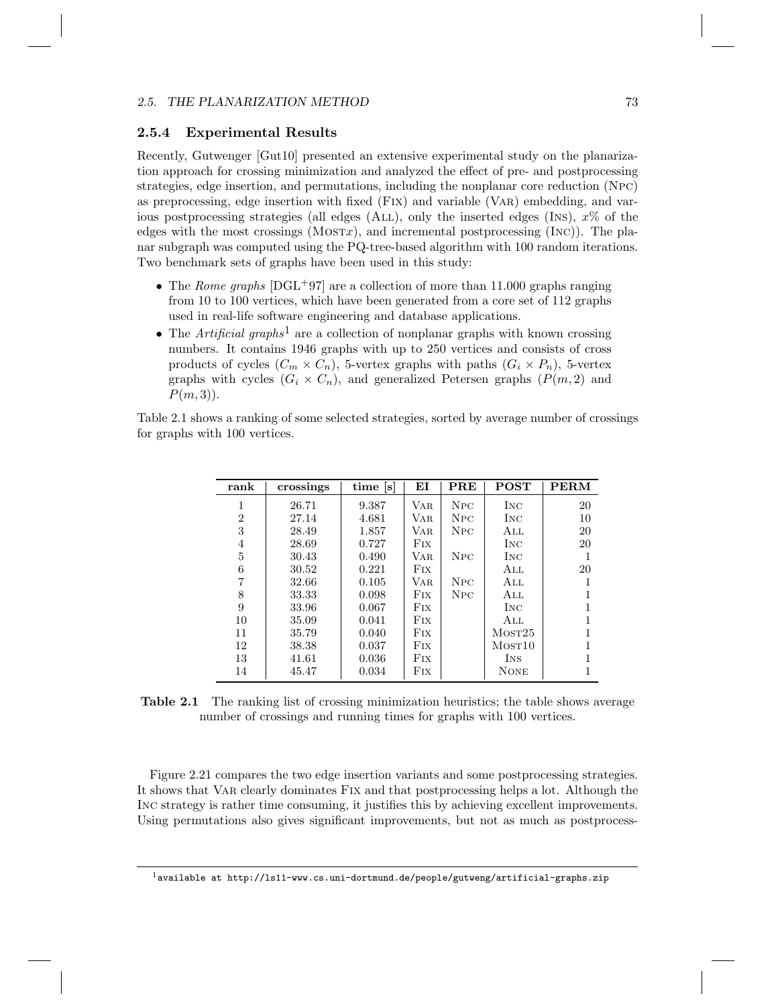#### 2.5. THE PLANARIZATION METHOD 73

#### 2.5.4 Experimental Results

Recently, Gutwenger [Gut10] presented an extensive experimental study on the planarization approach for crossing minimization and analyzed the effect of pre- and postprocessing strategies, edge insertion, and permutations, including the nonplanar core reduction (Npc) as preprocessing, edge insertion with fixed (Fix) and variable (Var) embedding, and various postprocessing strategies (all edges (ALL), only the inserted edges (INS),  $x\%$  of the edges with the most crossings ( $MOSTx$ ), and incremental postprocessing (INC)). The planar subgraph was computed using the PQ-tree-based algorithm with 100 random iterations. Two benchmark sets of graphs have been used in this study:

- The Rome graphs  $[{\rm DGL^+97}]$  are a collection of more than 11.000 graphs ranging from 10 to 100 vertices, which have been generated from a core set of 112 graphs used in real-life software engineering and database applications.
- The Artificial graphs<sup>1</sup> are a collection of nonplanar graphs with known crossing numbers. It contains 1946 graphs with up to 250 vertices and consists of cross products of cycles  $(C_m \times C_n)$ , 5-vertex graphs with paths  $(G_i \times P_n)$ , 5-vertex graphs with cycles  $(G_i \times C_n)$ , and generalized Petersen graphs  $(P(m, 2)$  and  $P(m, 3)$ .

Table 2.1 shows a ranking of some selected strategies, sorted by average number of crossings for graphs with 100 vertices.

| rank           | crossings | time [s] | ЕI                     | <b>PRE</b> | <b>POST</b>         | <b>PERM</b> |
|----------------|-----------|----------|------------------------|------------|---------------------|-------------|
| 1              | 26.71     | 9.387    | <b>VAR</b>             | NPC        | INC                 | 20          |
| $\overline{2}$ | 27.14     | 4.681    | Var                    | NPC        | INC                 | 10          |
| 3              | 28.49     | 1.857    | Var                    | NPC        | All                 | 20          |
| 4              | 28.69     | 0.727    | <b>F</b> <sub>IX</sub> |            | INC                 | 20          |
| 5              | 30.43     | 0.490    | Var                    | NPC        | INC                 |             |
| 6              | 30.52     | 0.221    | F <sub>IX</sub>        |            | All                 | 20          |
| 7              | 32.66     | 0.105    | Var                    | NPC        | All                 |             |
| 8              | 33.33     | 0.098    | <b>F</b> IX            | NPC        | All                 |             |
| 9              | 33.96     | 0.067    | <b>F</b> <sub>IX</sub> |            | INC                 |             |
| 10             | 35.09     | 0.041    | <b>F</b> <sub>IX</sub> |            | All                 |             |
| 11             | 35.79     | 0.040    | <b>F</b> <sub>IX</sub> |            | M <sub>OST</sub> 25 |             |
| 12             | 38.38     | 0.037    | <b>F</b> IX            |            | M <sub>OST10</sub>  |             |
| 13             | 41.61     | 0.036    | <b>F</b> <sub>IX</sub> |            | INS                 |             |
| 14             | 45.47     | 0.034    | Fix                    |            | <b>NONE</b>         |             |

Table 2.1 The ranking list of crossing minimization heuristics; the table shows average number of crossings and running times for graphs with 100 vertices.

Figure 2.21 compares the two edge insertion variants and some postprocessing strategies. It shows that Var clearly dominates Fix and that postprocessing helps a lot. Although the Inc strategy is rather time consuming, it justifies this by achieving excellent improvements. Using permutations also gives significant improvements, but not as much as postprocess-

 $1$ available at http://ls11-www.cs.uni-dortmund.de/people/gutweng/artificial-graphs.zip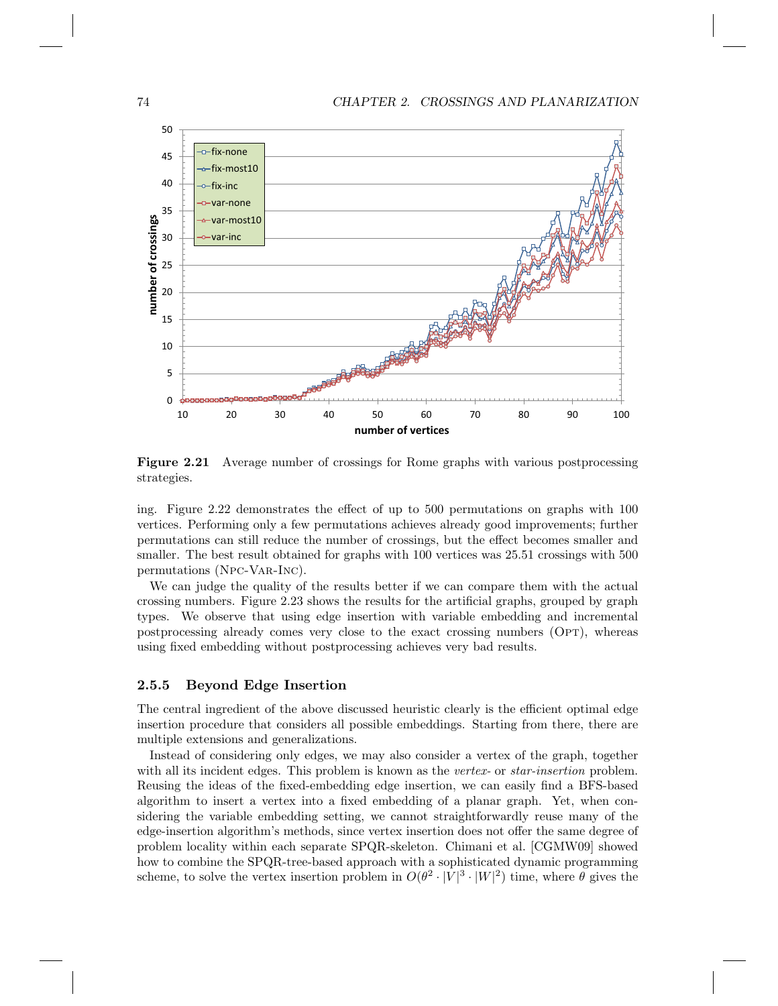

Figure 2.21 Average number of crossings for Rome graphs with various postprocessing strategies.

ing. Figure 2.22 demonstrates the effect of up to 500 permutations on graphs with 100 vertices. Performing only a few permutations achieves already good improvements; further permutations can still reduce the number of crossings, but the effect becomes smaller and smaller. The best result obtained for graphs with 100 vertices was 25.51 crossings with 500 permutations (Npc-Var-Inc).

We can judge the quality of the results better if we can compare them with the actual crossing numbers. Figure 2.23 shows the results for the artificial graphs, grouped by graph types. We observe that using edge insertion with variable embedding and incremental postprocessing already comes very close to the exact crossing numbers (OPT), whereas using fixed embedding without postprocessing achieves very bad results.

#### 2.5.5 Beyond Edge Insertion

The central ingredient of the above discussed heuristic clearly is the efficient optimal edge insertion procedure that considers all possible embeddings. Starting from there, there are multiple extensions and generalizations.

Instead of considering only edges, we may also consider a vertex of the graph, together with all its incident edges. This problem is known as the vertex- or star-insertion problem. Reusing the ideas of the fixed-embedding edge insertion, we can easily find a BFS-based algorithm to insert a vertex into a fixed embedding of a planar graph. Yet, when considering the variable embedding setting, we cannot straightforwardly reuse many of the edge-insertion algorithm's methods, since vertex insertion does not offer the same degree of problem locality within each separate SPQR-skeleton. Chimani et al. [CGMW09] showed how to combine the SPQR-tree-based approach with a sophisticated dynamic programming scheme, to solve the vertex insertion problem in  $O(\theta^2 \cdot |V|^3 \cdot |W|^2)$  time, where  $\theta$  gives the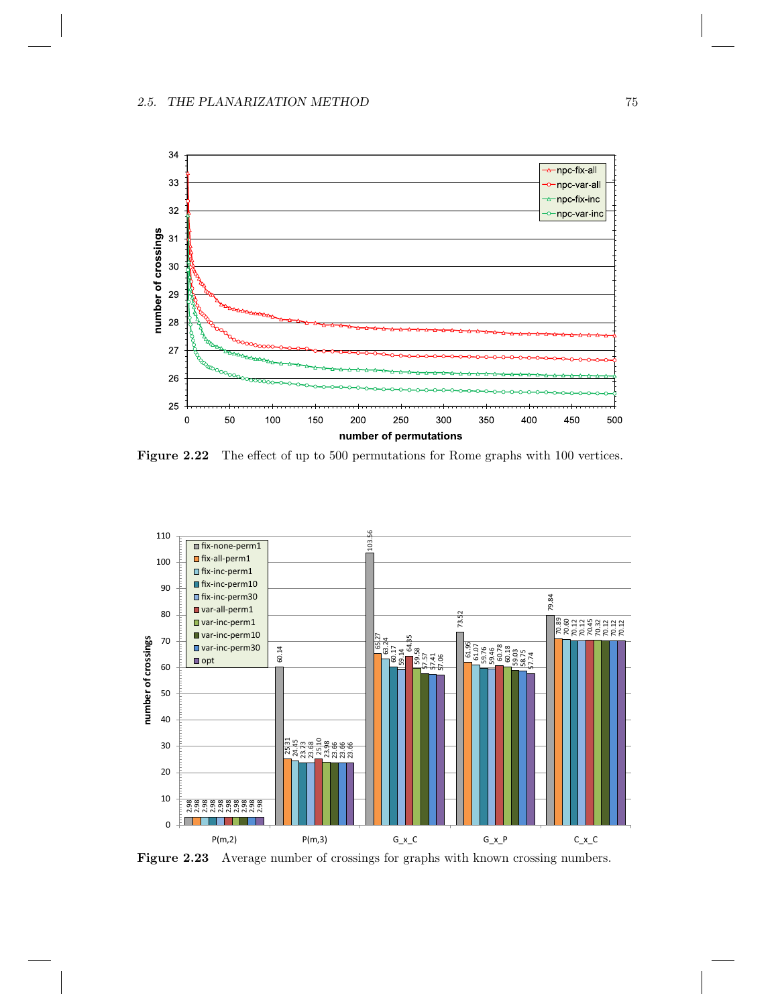

Figure 2.22 The effect of up to 500 permutations for Rome graphs with 100 vertices.



Figure 2.23 Average number of crossings for graphs with known crossing numbers.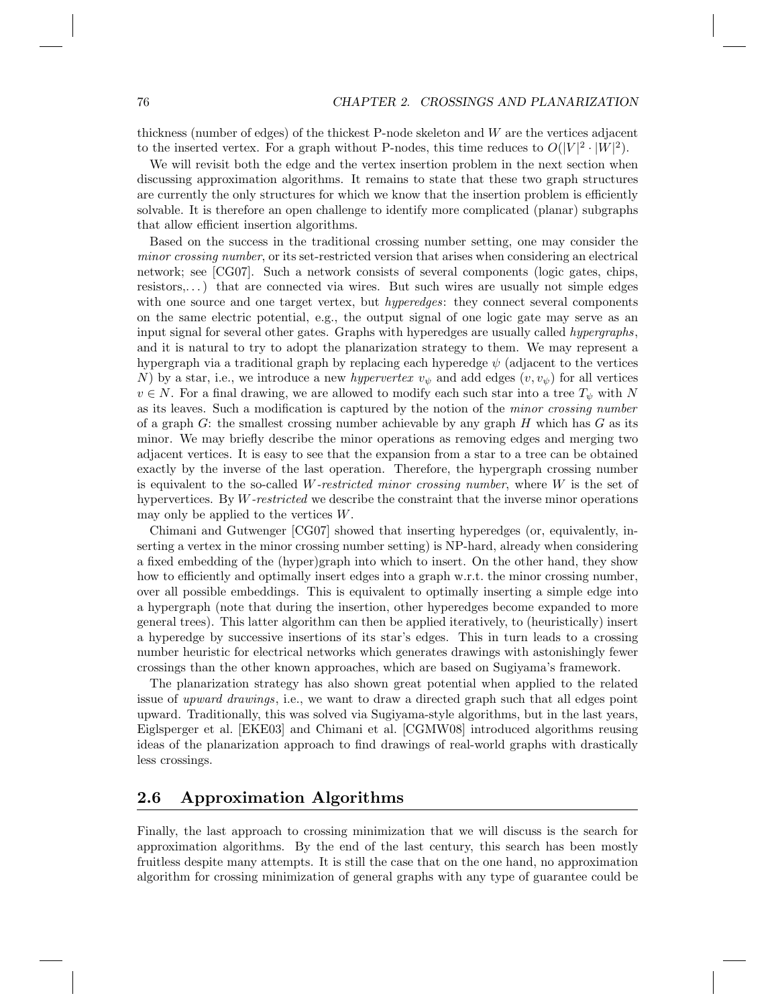thickness (number of edges) of the thickest P-node skeleton and W are the vertices adjacent to the inserted vertex. For a graph without P-nodes, this time reduces to  $O(|V|^2 \cdot |W|^2)$ .

We will revisit both the edge and the vertex insertion problem in the next section when discussing approximation algorithms. It remains to state that these two graph structures are currently the only structures for which we know that the insertion problem is efficiently solvable. It is therefore an open challenge to identify more complicated (planar) subgraphs that allow efficient insertion algorithms.

Based on the success in the traditional crossing number setting, one may consider the minor crossing number, or its set-restricted version that arises when considering an electrical network; see [CG07]. Such a network consists of several components (logic gates, chips, resistors,...) that are connected via wires. But such wires are usually not simple edges with one source and one target vertex, but *hyperedges*: they connect several components on the same electric potential, e.g., the output signal of one logic gate may serve as an input signal for several other gates. Graphs with hyperedges are usually called hypergraphs, and it is natural to try to adopt the planarization strategy to them. We may represent a hypergraph via a traditional graph by replacing each hyperedge  $\psi$  (adjacent to the vertices N) by a star, i.e., we introduce a new *hypervertex*  $v_{\psi}$  and add edges  $(v, v_{\psi})$  for all vertices  $v \in N$ . For a final drawing, we are allowed to modify each such star into a tree  $T_{\psi}$  with N as its leaves. Such a modification is captured by the notion of the minor crossing number of a graph  $G$ : the smallest crossing number achievable by any graph  $H$  which has  $G$  as its minor. We may briefly describe the minor operations as removing edges and merging two adjacent vertices. It is easy to see that the expansion from a star to a tree can be obtained exactly by the inverse of the last operation. Therefore, the hypergraph crossing number is equivalent to the so-called W-restricted minor crossing number, where  $W$  is the set of hypervertices. By W-restricted we describe the constraint that the inverse minor operations may only be applied to the vertices  $W$ .

Chimani and Gutwenger [CG07] showed that inserting hyperedges (or, equivalently, inserting a vertex in the minor crossing number setting) is NP-hard, already when considering a fixed embedding of the (hyper)graph into which to insert. On the other hand, they show how to efficiently and optimally insert edges into a graph w.r.t. the minor crossing number, over all possible embeddings. This is equivalent to optimally inserting a simple edge into a hypergraph (note that during the insertion, other hyperedges become expanded to more general trees). This latter algorithm can then be applied iteratively, to (heuristically) insert a hyperedge by successive insertions of its star's edges. This in turn leads to a crossing number heuristic for electrical networks which generates drawings with astonishingly fewer crossings than the other known approaches, which are based on Sugiyama's framework.

The planarization strategy has also shown great potential when applied to the related issue of upward drawings, i.e., we want to draw a directed graph such that all edges point upward. Traditionally, this was solved via Sugiyama-style algorithms, but in the last years, Eiglsperger et al. [EKE03] and Chimani et al. [CGMW08] introduced algorithms reusing ideas of the planarization approach to find drawings of real-world graphs with drastically less crossings.

#### 2.6 Approximation Algorithms

Finally, the last approach to crossing minimization that we will discuss is the search for approximation algorithms. By the end of the last century, this search has been mostly fruitless despite many attempts. It is still the case that on the one hand, no approximation algorithm for crossing minimization of general graphs with any type of guarantee could be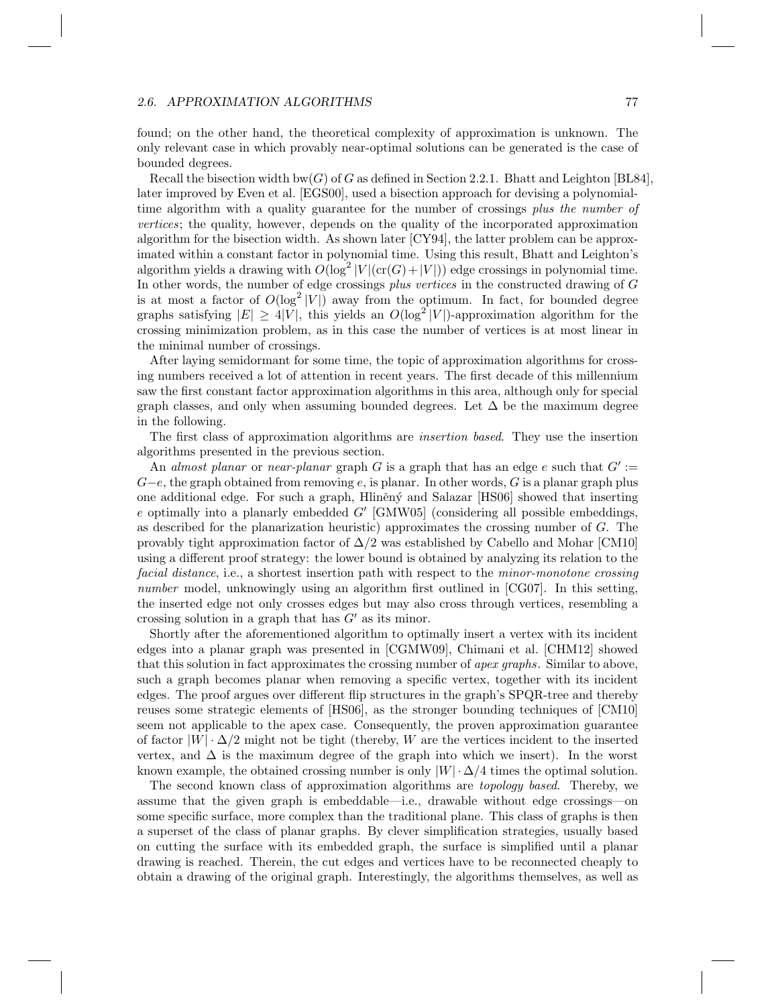#### 2.6. APPROXIMATION ALGORITHMS  $77$

found; on the other hand, the theoretical complexity of approximation is unknown. The only relevant case in which provably near-optimal solutions can be generated is the case of bounded degrees.

Recall the bisection width bw(G) of G as defined in Section 2.2.1. Bhatt and Leighton [BL84], later improved by Even et al. [EGS00], used a bisection approach for devising a polynomialtime algorithm with a quality guarantee for the number of crossings plus the number of vertices; the quality, however, depends on the quality of the incorporated approximation algorithm for the bisection width. As shown later [CY94], the latter problem can be approximated within a constant factor in polynomial time. Using this result, Bhatt and Leighton's algorithm yields a drawing with  $O(\log^2 |V|(\text{cr}(G) + |V|))$  edge crossings in polynomial time. In other words, the number of edge crossings *plus vertices* in the constructed drawing of G is at most a factor of  $O(\log^2 |V|)$  away from the optimum. In fact, for bounded degree graphs satisfying  $|E| \ge 4|V|$ , this yields an  $O(\log^2 |V|)$ -approximation algorithm for the crossing minimization problem, as in this case the number of vertices is at most linear in the minimal number of crossings.

After laying semidormant for some time, the topic of approximation algorithms for crossing numbers received a lot of attention in recent years. The first decade of this millennium saw the first constant factor approximation algorithms in this area, although only for special graph classes, and only when assuming bounded degrees. Let  $\Delta$  be the maximum degree in the following.

The first class of approximation algorithms are insertion based. They use the insertion algorithms presented in the previous section.

An almost planar or near-planar graph G is a graph that has an edge e such that  $G' :=$  $G-e$ , the graph obtained from removing e, is planar. In other words, G is a planar graph plus one additional edge. For such a graph, Hliněný and Salazar [HS06] showed that inserting  $e$  optimally into a planarly embedded  $G'$  [GMW05] (considering all possible embeddings, as described for the planarization heuristic) approximates the crossing number of G. The provably tight approximation factor of  $\Delta/2$  was established by Cabello and Mohar [CM10] using a different proof strategy: the lower bound is obtained by analyzing its relation to the facial distance, i.e., a shortest insertion path with respect to the *minor-monotone* crossing number model, unknowingly using an algorithm first outlined in [CG07]. In this setting, the inserted edge not only crosses edges but may also cross through vertices, resembling a crossing solution in a graph that has  $G'$  as its minor.

Shortly after the aforementioned algorithm to optimally insert a vertex with its incident edges into a planar graph was presented in [CGMW09], Chimani et al. [CHM12] showed that this solution in fact approximates the crossing number of *apex graphs*. Similar to above, such a graph becomes planar when removing a specific vertex, together with its incident edges. The proof argues over different flip structures in the graph's SPQR-tree and thereby reuses some strategic elements of [HS06], as the stronger bounding techniques of [CM10] seem not applicable to the apex case. Consequently, the proven approximation guarantee of factor  $|W| \cdot \Delta/2$  might not be tight (thereby, W are the vertices incident to the inserted vertex, and  $\Delta$  is the maximum degree of the graph into which we insert). In the worst known example, the obtained crossing number is only  $|W| \cdot \Delta/4$  times the optimal solution.

The second known class of approximation algorithms are topology based. Thereby, we assume that the given graph is embeddable—i.e., drawable without edge crossings—on some specific surface, more complex than the traditional plane. This class of graphs is then a superset of the class of planar graphs. By clever simplification strategies, usually based on cutting the surface with its embedded graph, the surface is simplified until a planar drawing is reached. Therein, the cut edges and vertices have to be reconnected cheaply to obtain a drawing of the original graph. Interestingly, the algorithms themselves, as well as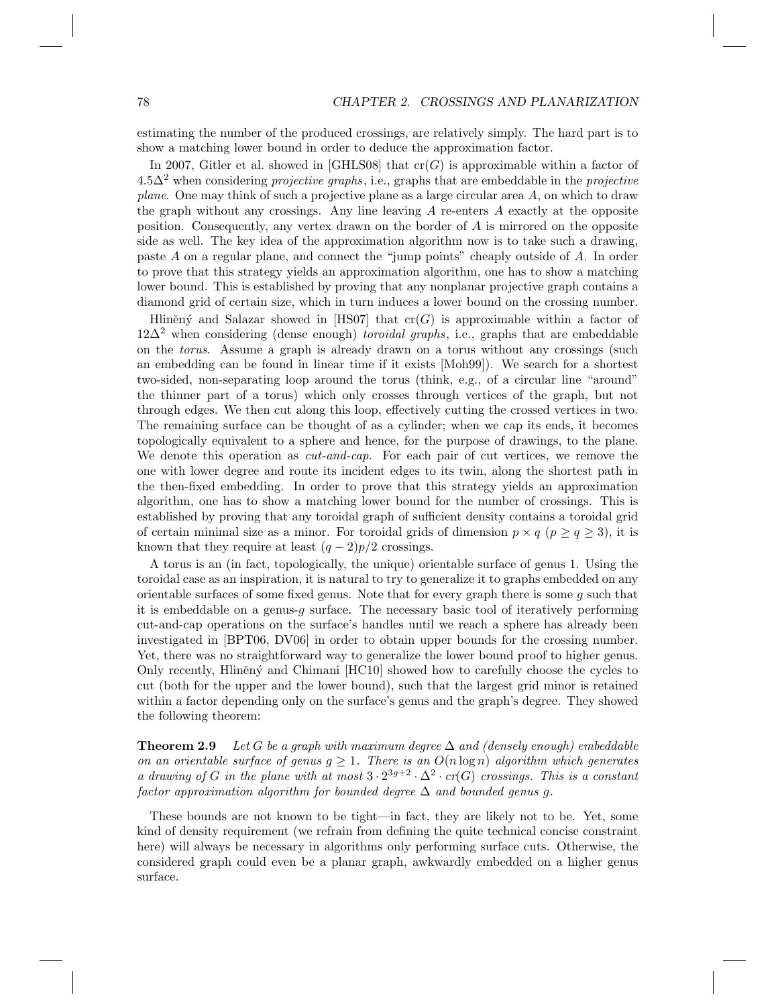estimating the number of the produced crossings, are relatively simply. The hard part is to show a matching lower bound in order to deduce the approximation factor.

In 2007, Gitler et al. showed in [GHLS08] that  $cr(G)$  is approximable within a factor of  $4.5\Delta^2$  when considering projective graphs, i.e., graphs that are embeddable in the projective *plane.* One may think of such a projective plane as a large circular area  $A$ , on which to draw the graph without any crossings. Any line leaving  $A$  re-enters  $A$  exactly at the opposite position. Consequently, any vertex drawn on the border of A is mirrored on the opposite side as well. The key idea of the approximation algorithm now is to take such a drawing, paste A on a regular plane, and connect the "jump points" cheaply outside of A. In order to prove that this strategy yields an approximation algorithm, one has to show a matching lower bound. This is established by proving that any nonplanar projective graph contains a diamond grid of certain size, which in turn induces a lower bound on the crossing number.

Hliněný and Salazar showed in [HS07] that  $cr(G)$  is approximable within a factor of  $12\Delta^2$  when considering (dense enough) toroidal graphs, i.e., graphs that are embeddable on the torus. Assume a graph is already drawn on a torus without any crossings (such an embedding can be found in linear time if it exists [Moh99]). We search for a shortest two-sided, non-separating loop around the torus (think, e.g., of a circular line "around" the thinner part of a torus) which only crosses through vertices of the graph, but not through edges. We then cut along this loop, effectively cutting the crossed vertices in two. The remaining surface can be thought of as a cylinder; when we cap its ends, it becomes topologically equivalent to a sphere and hence, for the purpose of drawings, to the plane. We denote this operation as *cut-and-cap*. For each pair of cut vertices, we remove the one with lower degree and route its incident edges to its twin, along the shortest path in the then-fixed embedding. In order to prove that this strategy yields an approximation algorithm, one has to show a matching lower bound for the number of crossings. This is established by proving that any toroidal graph of sufficient density contains a toroidal grid of certain minimal size as a minor. For toroidal grids of dimension  $p \times q$  ( $p \ge q \ge 3$ ), it is known that they require at least  $(q-2)p/2$  crossings.

A torus is an (in fact, topologically, the unique) orientable surface of genus 1. Using the toroidal case as an inspiration, it is natural to try to generalize it to graphs embedded on any orientable surfaces of some fixed genus. Note that for every graph there is some  $g$  such that it is embeddable on a genus-g surface. The necessary basic tool of iteratively performing cut-and-cap operations on the surface's handles until we reach a sphere has already been investigated in [BPT06, DV06] in order to obtain upper bounds for the crossing number. Yet, there was no straightforward way to generalize the lower bound proof to higher genus. Only recently, Hliněný and Chimani [HC10] showed how to carefully choose the cycles to cut (both for the upper and the lower bound), such that the largest grid minor is retained within a factor depending only on the surface's genus and the graph's degree. They showed the following theorem:

**Theorem 2.9** Let G be a graph with maximum degree  $\Delta$  and (densely enough) embeddable on an orientable surface of genus  $g \geq 1$ . There is an  $O(n \log n)$  algorithm which generates a drawing of G in the plane with at most  $3 \cdot 2^{3g+2} \cdot \Delta^2 \cdot cr(G)$  crossings. This is a constant factor approximation algorithm for bounded degree  $\Delta$  and bounded genus q.

These bounds are not known to be tight—in fact, they are likely not to be. Yet, some kind of density requirement (we refrain from defining the quite technical concise constraint here) will always be necessary in algorithms only performing surface cuts. Otherwise, the considered graph could even be a planar graph, awkwardly embedded on a higher genus surface.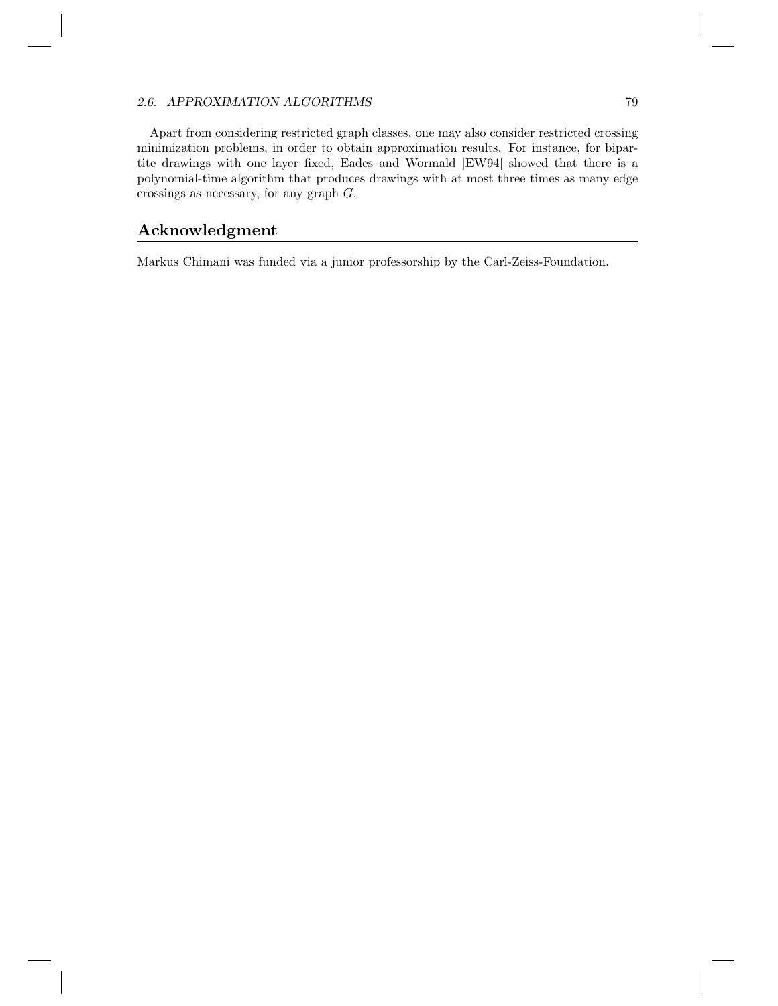#### 2.6. APPROXIMATION ALGORITHMS 79

Apart from considering restricted graph classes, one may also consider restricted crossing minimization problems, in order to obtain approximation results. For instance, for bipartite drawings with one layer fixed, Eades and Wormald [EW94] showed that there is a polynomial-time algorithm that produces drawings with at most three times as many edge crossings as necessary, for any graph G.

### Acknowledgment

Markus Chimani was funded via a junior professorship by the Carl-Zeiss-Foundation.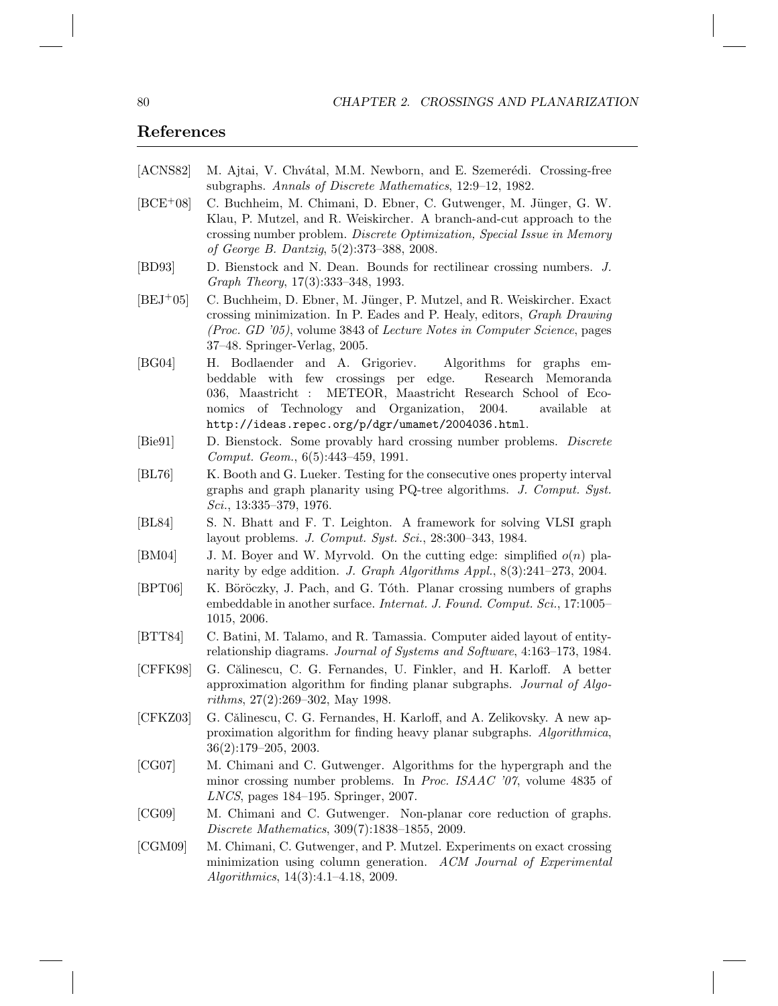#### References

[ACNS82] M. Ajtai, V. Chvátal, M.M. Newborn, and E. Szemerédi. Crossing-free subgraphs. Annals of Discrete Mathematics, 12:9–12, 1982. [BCE<sup>+</sup>08] C. Buchheim, M. Chimani, D. Ebner, C. Gutwenger, M. Jünger, G. W. Klau, P. Mutzel, and R. Weiskircher. A branch-and-cut approach to the crossing number problem. Discrete Optimization, Special Issue in Memory of George B. Dantzig, 5(2):373–388, 2008. [BD93] D. Bienstock and N. Dean. Bounds for rectilinear crossing numbers. J. Graph Theory, 17(3):333–348, 1993. [BEJ<sup>+</sup>05] C. Buchheim, D. Ebner, M. Jünger, P. Mutzel, and R. Weiskircher. Exact crossing minimization. In P. Eades and P. Healy, editors, Graph Drawing (Proc. GD '05), volume 3843 of Lecture Notes in Computer Science, pages 37–48. Springer-Verlag, 2005. [BG04] H. Bodlaender and A. Grigoriev. Algorithms for graphs embeddable with few crossings per edge. Research Memoranda 036, Maastricht : METEOR, Maastricht Research School of Economics of Technology and Organization, 2004. available at http://ideas.repec.org/p/dgr/umamet/2004036.html. [Bie91] D. Bienstock. Some provably hard crossing number problems. Discrete Comput. Geom., 6(5):443–459, 1991. [BL76] K. Booth and G. Lueker. Testing for the consecutive ones property interval graphs and graph planarity using PQ-tree algorithms. J. Comput. Syst. Sci., 13:335–379, 1976. [BL84] S. N. Bhatt and F. T. Leighton. A framework for solving VLSI graph layout problems. J. Comput. Syst. Sci., 28:300–343, 1984. [BM04] J. M. Boyer and W. Myrvold. On the cutting edge: simplified  $o(n)$  planarity by edge addition. J. Graph Algorithms Appl., 8(3):241–273, 2004. [BPT06] K. Böröczky, J. Pach, and G. Tóth. Planar crossing numbers of graphs embeddable in another surface. Internat. J. Found. Comput. Sci., 17:1005– 1015, 2006. [BTT84] C. Batini, M. Talamo, and R. Tamassia. Computer aided layout of entityrelationship diagrams. Journal of Systems and Software, 4:163–173, 1984. [CFFK98] G. Călinescu, C. G. Fernandes, U. Finkler, and H. Karloff. A better approximation algorithm for finding planar subgraphs. Journal of Algorithms, 27(2):269–302, May 1998. [CFKZ03] G. Călinescu, C. G. Fernandes, H. Karloff, and A. Zelikovsky. A new approximation algorithm for finding heavy planar subgraphs. Algorithmica, 36(2):179–205, 2003. [CG07] M. Chimani and C. Gutwenger. Algorithms for the hypergraph and the minor crossing number problems. In Proc. ISAAC '07, volume 4835 of LNCS, pages 184–195. Springer, 2007. [CG09] M. Chimani and C. Gutwenger. Non-planar core reduction of graphs. Discrete Mathematics, 309(7):1838–1855, 2009. [CGM09] M. Chimani, C. Gutwenger, and P. Mutzel. Experiments on exact crossing minimization using column generation. ACM Journal of Experimental Algorithmics, 14(3):4.1–4.18, 2009.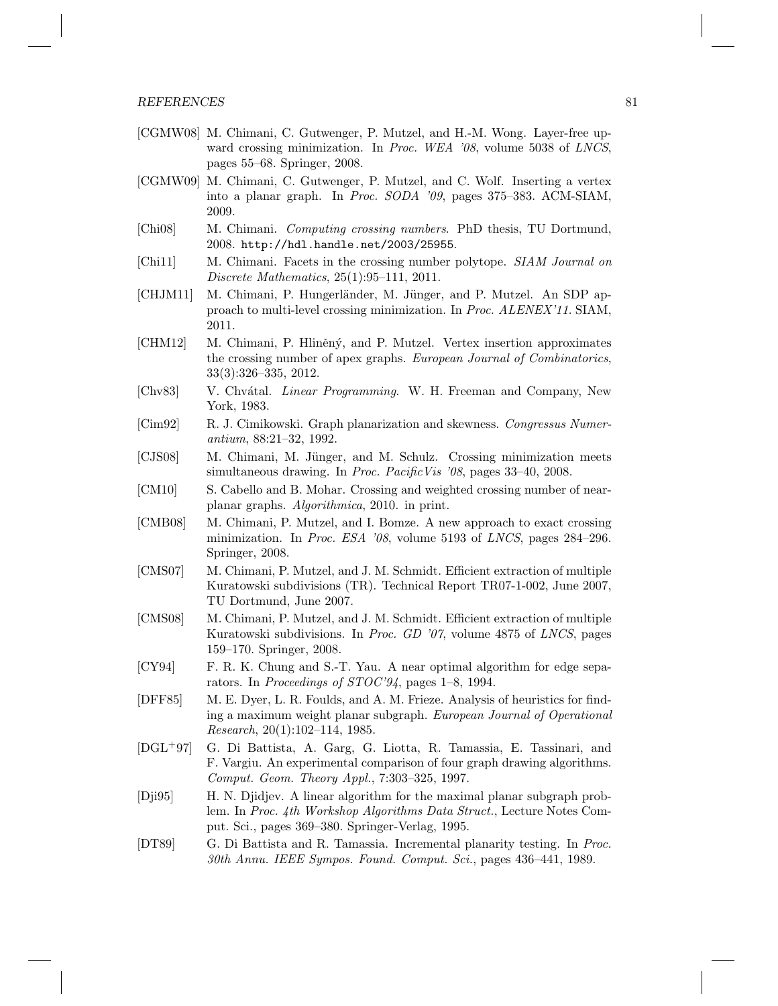REFERENCES 81

- [CGMW08] M. Chimani, C. Gutwenger, P. Mutzel, and H.-M. Wong. Layer-free upward crossing minimization. In Proc. WEA '08, volume 5038 of LNCS, pages 55–68. Springer, 2008.
- [CGMW09] M. Chimani, C. Gutwenger, P. Mutzel, and C. Wolf. Inserting a vertex into a planar graph. In Proc. SODA '09, pages 375–383. ACM-SIAM, 2009.
- [Chi08] M. Chimani. Computing crossing numbers. PhD thesis, TU Dortmund, 2008. http://hdl.handle.net/2003/25955.
- [Chi11] M. Chimani. Facets in the crossing number polytope. SIAM Journal on Discrete Mathematics, 25(1):95–111, 2011.
- [CHJM11] M. Chimani, P. Hungerländer, M. Jünger, and P. Mutzel. An SDP approach to multi-level crossing minimization. In Proc. ALENEX'11. SIAM, 2011.
- [CHM12] M. Chimani, P. Hliněný, and P. Mutzel. Vertex insertion approximates the crossing number of apex graphs. European Journal of Combinatorics, 33(3):326–335, 2012.
- [Chv83] V. Chvátal. *Linear Programming*. W. H. Freeman and Company, New York, 1983.
- [Cim92] R. J. Cimikowski. Graph planarization and skewness. Congressus Numerantium, 88:21–32, 1992.
- [CJS08] M. Chimani, M. Jünger, and M. Schulz. Crossing minimization meets simultaneous drawing. In *Proc. Pacific Vis '08*, pages 33–40, 2008.
- [CM10] S. Cabello and B. Mohar. Crossing and weighted crossing number of nearplanar graphs. Algorithmica, 2010. in print.
- [CMB08] M. Chimani, P. Mutzel, and I. Bomze. A new approach to exact crossing minimization. In Proc. ESA '08, volume 5193 of LNCS, pages 284–296. Springer, 2008.
- [CMS07] M. Chimani, P. Mutzel, and J. M. Schmidt. Efficient extraction of multiple Kuratowski subdivisions (TR). Technical Report TR07-1-002, June 2007, TU Dortmund, June 2007.
- [CMS08] M. Chimani, P. Mutzel, and J. M. Schmidt. Efficient extraction of multiple Kuratowski subdivisions. In Proc. GD '07, volume 4875 of LNCS, pages 159–170. Springer, 2008.
- [CY94] F. R. K. Chung and S.-T. Yau. A near optimal algorithm for edge separators. In Proceedings of STOC'94, pages 1–8, 1994.
- [DFF85] M. E. Dyer, L. R. Foulds, and A. M. Frieze. Analysis of heuristics for finding a maximum weight planar subgraph. European Journal of Operational Research, 20(1):102–114, 1985.
- [DGL+97] G. Di Battista, A. Garg, G. Liotta, R. Tamassia, E. Tassinari, and F. Vargiu. An experimental comparison of four graph drawing algorithms. Comput. Geom. Theory Appl., 7:303–325, 1997.
- [Dji95] H. N. Djidjev. A linear algorithm for the maximal planar subgraph problem. In Proc. 4th Workshop Algorithms Data Struct., Lecture Notes Comput. Sci., pages 369–380. Springer-Verlag, 1995.
- [DT89] G. Di Battista and R. Tamassia. Incremental planarity testing. In Proc. 30th Annu. IEEE Sympos. Found. Comput. Sci., pages 436–441, 1989.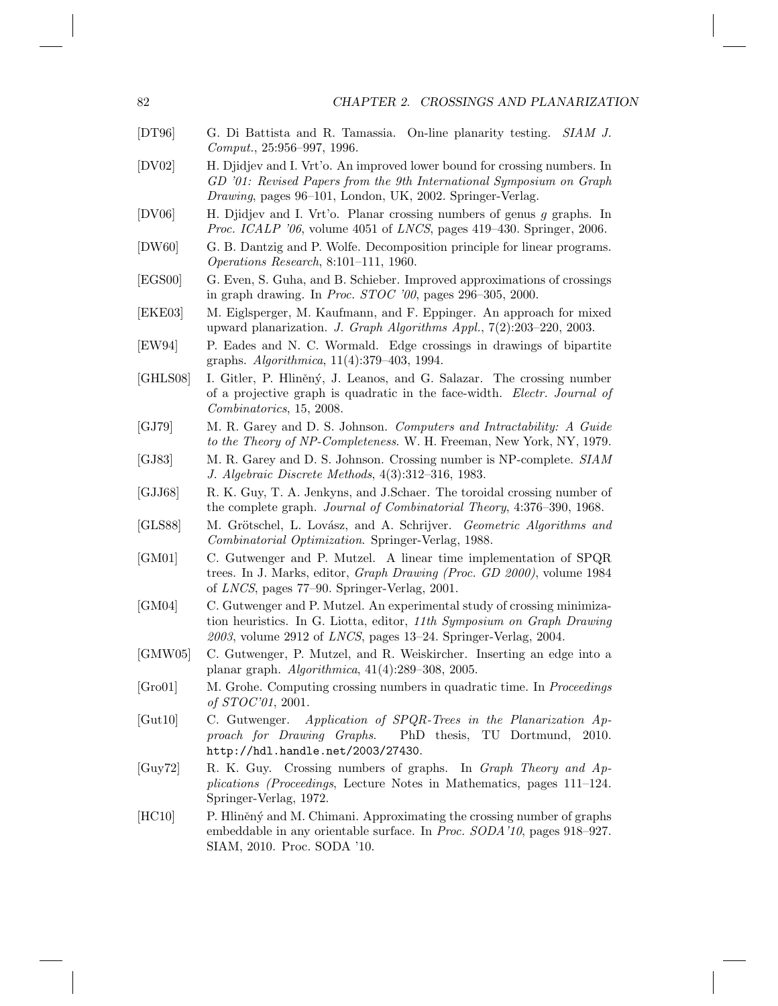| [DT96]   | G. Di Battista and R. Tamassia. On-line planarity testing. SIAM J.<br>Comput., 25:956-997, 1996.                                                                                                                               |
|----------|--------------------------------------------------------------------------------------------------------------------------------------------------------------------------------------------------------------------------------|
| [DV02]   | H. Djidjev and I. Vrt'o. An improved lower bound for crossing numbers. In<br>GD '01: Revised Papers from the 9th International Symposium on Graph<br><i>Drawing</i> , pages 96–101, London, UK, 2002. Springer-Verlag.         |
| [DV06]   | H. Djidjev and I. Vrt'o. Planar crossing numbers of genus $g$ graphs. In<br><i>Proc. ICALP '06, volume 4051 of LNCS, pages 419-430. Springer, 2006.</i>                                                                        |
| [DW60]   | G. B. Dantzig and P. Wolfe. Decomposition principle for linear programs.<br>$Operations$ $Research$ , $8:101-111$ , 1960.                                                                                                      |
| [EGS00]  | G. Even, S. Guha, and B. Schieber. Improved approximations of crossings<br>in graph drawing. In <i>Proc. STOC</i> '00, pages $296-305$ , 2000.                                                                                 |
| [EKE03]  | M. Eiglsperger, M. Kaufmann, and F. Eppinger. An approach for mixed<br>upward planarization. J. Graph Algorithms Appl., $7(2):203-220$ , 2003.                                                                                 |
| [EW94]   | P. Eades and N. C. Wormald. Edge crossings in drawings of bipartite<br>graphs. $Algorithmica, 11(4):379-403, 1994.$                                                                                                            |
| [GHLS08] | I. Gitler, P. Hliněný, J. Leanos, and G. Salazar. The crossing number<br>of a projective graph is quadratic in the face-width. Electr. Journal of<br>Combinatorics, 15, 2008.                                                  |
| [GJ79]   | M. R. Garey and D. S. Johnson. Computers and Intractability: A Guide<br>to the Theory of NP-Completeness. W. H. Freeman, New York, NY, 1979.                                                                                   |
| [GJ83]   | M. R. Garey and D. S. Johnson. Crossing number is NP-complete. SIAM<br>J. Algebraic Discrete Methods, 4(3):312-316, 1983.                                                                                                      |
| [GJJ68]  | R. K. Guy, T. A. Jenkyns, and J. Schaer. The toroidal crossing number of<br>the complete graph. Journal of Combinatorial Theory, 4:376-390, 1968.                                                                              |
| [GLS88]  | M. Grötschel, L. Lovász, and A. Schrijver. Geometric Algorithms and<br>Combinatorial Optimization. Springer-Verlag, 1988.                                                                                                      |
| [GM01]   | C. Gutwenger and P. Mutzel. A linear time implementation of SPQR<br>trees. In J. Marks, editor, <i>Graph Drawing (Proc. GD 2000)</i> , volume 1984<br>of LNCS, pages 77-90. Springer-Verlag, 2001.                             |
| [GM04]   | C. Gutwenger and P. Mutzel. An experimental study of crossing minimiza-<br>tion heuristics. In G. Liotta, editor, 11th Symposium on Graph Drawing<br>$2003$ , volume 2912 of <i>LNCS</i> , pages 13–24. Springer-Verlag, 2004. |
| [GMW05]  | C. Gutwenger, P. Mutzel, and R. Weiskircher. Inserting an edge into a<br>planar graph. $Algorithmica, 41(4):289-308, 2005.$                                                                                                    |
| [Gro01]  | M. Grohe. Computing crossing numbers in quadratic time. In Proceedings<br>of STOC'01, 2001.                                                                                                                                    |
| [Gut10]  | C. Gutwenger.<br>Application of SPQR-Trees in the Planarization Ap-<br>PhD thesis, TU Dortmund, 2010.<br>proach for Drawing Graphs.<br>http://hdl.handle.net/2003/27430.                                                       |
| [Guy72]  | R. K. Guy. Crossing numbers of graphs. In Graph Theory and Ap-<br>plications (Proceedings, Lecture Notes in Mathematics, pages 111-124.<br>Springer-Verlag, 1972.                                                              |
| [HC10]   | P. Hliněný and M. Chimani. Approximating the crossing number of graphs<br>embeddable in any orientable surface. In <i>Proc. SODA</i> '10, pages 918–927.<br>SIAM, 2010. Proc. SODA '10.                                        |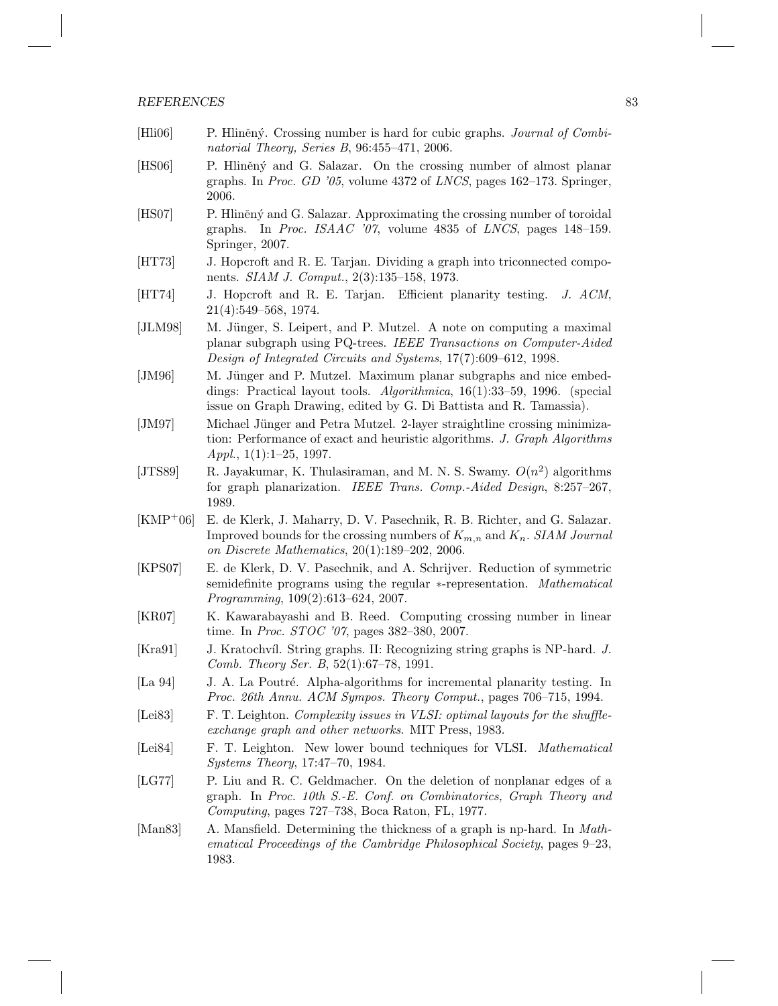#### REFERENCES 83

- [Hli06] P. Hliněný. Crossing number is hard for cubic graphs. *Journal of Combi*natorial Theory, Series B, 96:455–471, 2006.
- [HS06] P. Hliněný and G. Salazar. On the crossing number of almost planar graphs. In *Proc. GD '05*, volume  $4372$  of *LNCS*, pages  $162-173$ . Springer, 2006.
- [HS07] P. Hliněný and G. Salazar. Approximating the crossing number of toroidal graphs. In Proc. ISAAC '07, volume 4835 of LNCS, pages 148–159. Springer, 2007.
- [HT73] J. Hopcroft and R. E. Tarjan. Dividing a graph into triconnected components. *SIAM J. Comput.*, 2(3):135–158, 1973.
- [HT74] J. Hopcroft and R. E. Tarjan. Efficient planarity testing. J. ACM, 21(4):549–568, 1974.
- [JLM98] M. Jünger, S. Leipert, and P. Mutzel. A note on computing a maximal planar subgraph using PQ-trees. IEEE Transactions on Computer-Aided Design of Integrated Circuits and Systems, 17(7):609–612, 1998.
- [JM96] M. Jünger and P. Mutzel. Maximum planar subgraphs and nice embeddings: Practical layout tools. Algorithmica, 16(1):33–59, 1996. (special issue on Graph Drawing, edited by G. Di Battista and R. Tamassia).
- [JM97] Michael Jünger and Petra Mutzel. 2-layer straightline crossing minimization: Performance of exact and heuristic algorithms. J. Graph Algorithms  $Appl., 1(1):1-25, 1997.$
- [JTS89] R. Jayakumar, K. Thulasiraman, and M. N. S. Swamy.  $O(n^2)$  algorithms for graph planarization. IEEE Trans. Comp.-Aided Design, 8:257-267, 1989.
- [KMP<sup>+</sup>06] E. de Klerk, J. Maharry, D. V. Pasechnik, R. B. Richter, and G. Salazar. Improved bounds for the crossing numbers of  $K_{m,n}$  and  $K_n$ . SIAM Journal on Discrete Mathematics, 20(1):189–202, 2006.
- [KPS07] E. de Klerk, D. V. Pasechnik, and A. Schrijver. Reduction of symmetric semidefinite programs using the regular ∗-representation. Mathematical Programming, 109(2):613–624, 2007.
- [KR07] K. Kawarabayashi and B. Reed. Computing crossing number in linear time. In *Proc. STOC '07*, pages 382-380, 2007.
- [Kra91] J. Kratochvíl. String graphs. II: Recognizing string graphs is NP-hard. J. Comb. Theory Ser. B, 52(1):67–78, 1991.
- [La 94] J. A. La Poutré. Alpha-algorithms for incremental planarity testing. In Proc. 26th Annu. ACM Sympos. Theory Comput., pages 706–715, 1994.
- [Lei83] F. T. Leighton. Complexity issues in VLSI: optimal layouts for the shuffleexchange graph and other networks. MIT Press, 1983.
- [Lei84] F. T. Leighton. New lower bound techniques for VLSI. Mathematical Systems Theory, 17:47–70, 1984.
- [LG77] P. Liu and R. C. Geldmacher. On the deletion of nonplanar edges of a graph. In Proc. 10th S.-E. Conf. on Combinatorics, Graph Theory and Computing, pages 727–738, Boca Raton, FL, 1977.
- [Man83] A. Mansfield. Determining the thickness of a graph is np-hard. In Mathematical Proceedings of the Cambridge Philosophical Society, pages 9–23, 1983.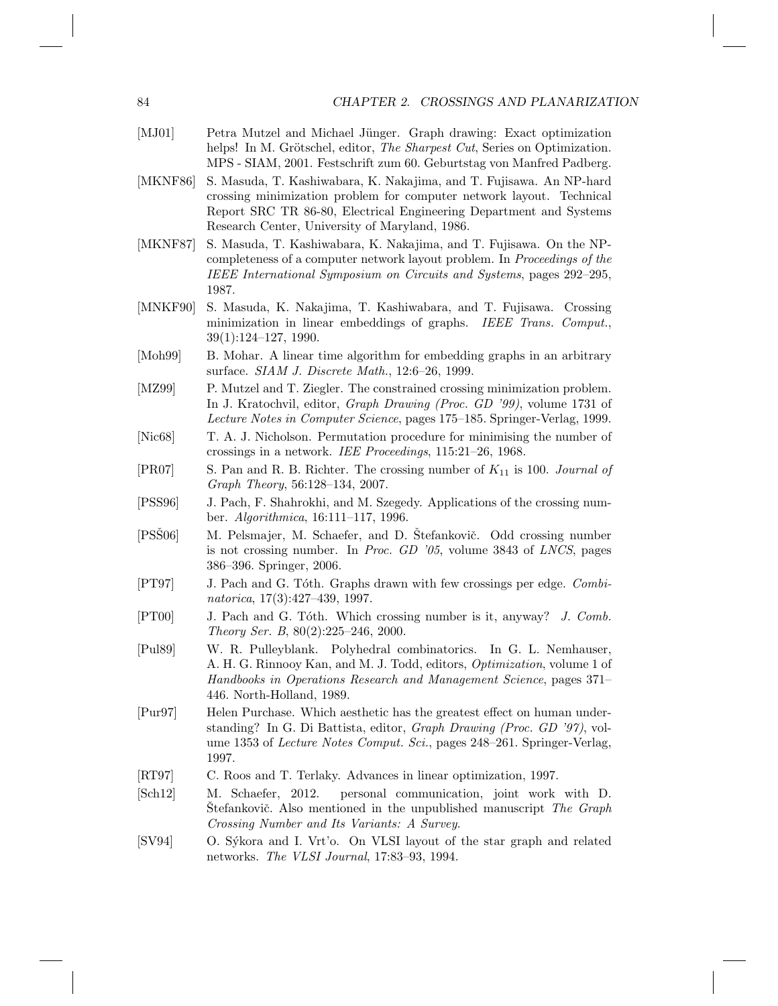| 84                              | CHAPTER 2. CROSSINGS AND PLANARIZATION                                                                                                                                                                                                                              |
|---------------------------------|---------------------------------------------------------------------------------------------------------------------------------------------------------------------------------------------------------------------------------------------------------------------|
| [MJ01]                          | Petra Mutzel and Michael Jünger. Graph drawing: Exact optimization<br>helps! In M. Grötschel, editor, The Sharpest Cut, Series on Optimization.<br>MPS - SIAM, 2001. Festschrift zum 60. Geburtstag von Manfred Padberg.                                            |
| [MKNF86]                        | S. Masuda, T. Kashiwabara, K. Nakajima, and T. Fujisawa. An NP-hard<br>crossing minimization problem for computer network layout. Technical<br>Report SRC TR 86-80, Electrical Engineering Department and Systems<br>Research Center, University of Maryland, 1986. |
| [MKNF87]                        | S. Masuda, T. Kashiwabara, K. Nakajima, and T. Fujisawa. On the NP-<br>completeness of a computer network layout problem. In Proceedings of the<br>IEEE International Symposium on Circuits and Systems, pages 292-295,<br>1987.                                    |
| [MNKF90]                        | S. Masuda, K. Nakajima, T. Kashiwabara, and T. Fujisawa. Crossing<br>minimization in linear embeddings of graphs. IEEE Trans. Comput.,<br>$39(1):124-127, 1990.$                                                                                                    |
| [Moh99]                         | B. Mohar. A linear time algorithm for embedding graphs in an arbitrary<br>surface. SIAM J. Discrete Math., 12:6-26, 1999.                                                                                                                                           |
| [MZ99]                          | P. Mutzel and T. Ziegler. The constrained crossing minimization problem.<br>In J. Kratochvil, editor, <i>Graph Drawing (Proc. GD '99)</i> , volume 1731 of<br>Lecture Notes in Computer Science, pages 175-185. Springer-Verlag, 1999.                              |
| [Nic68]                         | T. A. J. Nicholson. Permutation procedure for minimising the number of<br>crossings in a network. IEE Proceedings, 115:21-26, 1968.                                                                                                                                 |
| [PR07]                          | S. Pan and R. B. Richter. The crossing number of $K_{11}$ is 100. Journal of<br>Graph Theory, 56:128-134, 2007.                                                                                                                                                     |
| [PSS96]                         | J. Pach, F. Shahrokhi, and M. Szegedy. Applications of the crossing num-<br>ber. <i>Algorithmica</i> , 16:111-117, 1996.                                                                                                                                            |
| $[PS\check{S}06]$               | M. Pelsmajer, M. Schaefer, and D. Stefankovič. Odd crossing number<br>is not crossing number. In <i>Proc. GD '05</i> , volume 3843 of <i>LNCS</i> , pages<br>386–396. Springer, 2006.                                                                               |
| [PT97]                          | J. Pach and G. Tóth. Graphs drawn with few crossings per edge. Combi-<br>natorica, $17(3):427-439$ , 1997.                                                                                                                                                          |
| [PT00]                          | J. Pach and G. Tóth. Which crossing number is it, anyway? J. Comb.<br>Theory Ser. B, $80(2):225-246$ , 2000.                                                                                                                                                        |
| [Pul89]                         | W. R. Pulleyblank. Polyhedral combinatorics. In G. L. Nemhauser,<br>A. H. G. Rinnooy Kan, and M. J. Todd, editors, Optimization, volume 1 of<br>Handbooks in Operations Research and Management Science, pages 371–<br>446. North-Holland, 1989.                    |
| [Pur97]                         | Helen Purchase. Which aesthetic has the greatest effect on human under-<br>standing? In G. Di Battista, editor, <i>Graph Drawing (Proc. GD '97)</i> , vol-<br>ume 1353 of <i>Lecture Notes Comput. Sci.</i> , pages 248–261. Springer-Verlag,<br>1997.              |
| $\left[\text{RT}97\right]$      | C. Roos and T. Terlaky. Advances in linear optimization, 1997.                                                                                                                                                                                                      |
| $\lbrack \text{Sch} 12 \rbrack$ | M. Schaefer, 2012.<br>personal communication, joint work with D.<br>Štefankovič. Also mentioned in the unpublished manuscript The Graph<br>Crossing Number and Its Variants: A Survey.                                                                              |
| [SV94]                          | O. Sýkora and I. Vrt'o. On VLSI layout of the star graph and related<br>networks. The VLSI Journal, 17:83-93, 1994.                                                                                                                                                 |